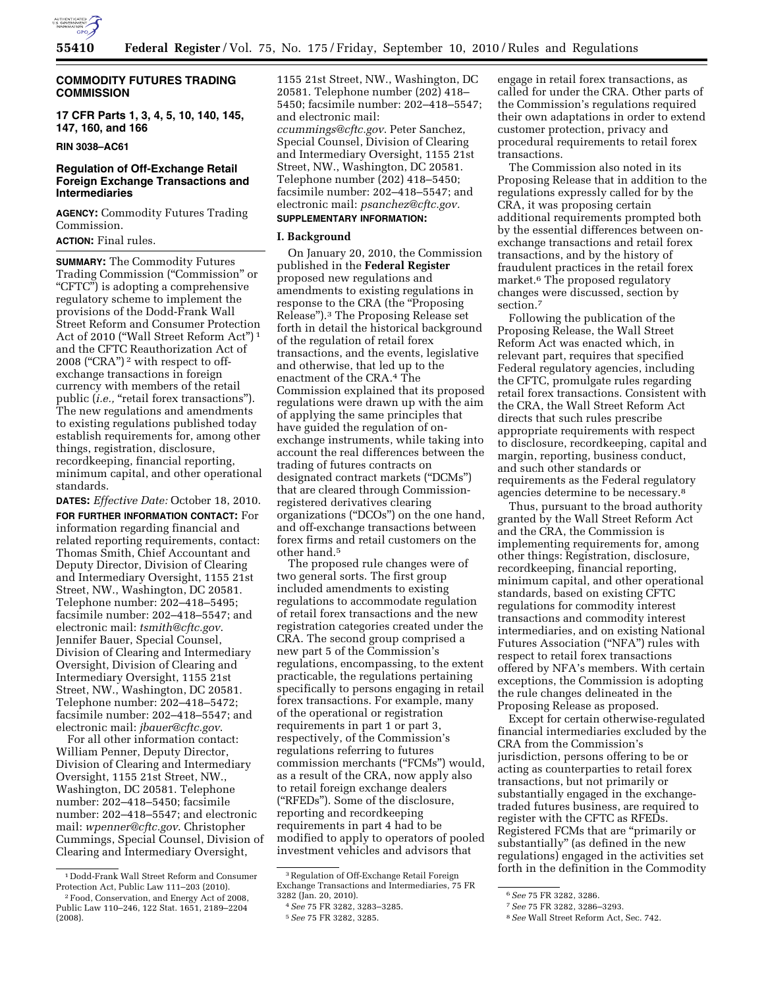

## **COMMODITY FUTURES TRADING COMMISSION**

**17 CFR Parts 1, 3, 4, 5, 10, 140, 145, 147, 160, and 166** 

#### **RIN 3038–AC61**

## **Regulation of Off-Exchange Retail Foreign Exchange Transactions and Intermediaries**

**AGENCY:** Commodity Futures Trading Commission.

# **ACTION:** Final rules.

**SUMMARY:** The Commodity Futures Trading Commission (''Commission'' or "CFTC") is adopting a comprehensive regulatory scheme to implement the provisions of the Dodd-Frank Wall Street Reform and Consumer Protection Act of 2010 (''Wall Street Reform Act'') 1 and the CFTC Reauthorization Act of 2008 ("CRA")<sup>2</sup> with respect to offexchange transactions in foreign currency with members of the retail public (*i.e.*, "retail forex transactions"). The new regulations and amendments to existing regulations published today establish requirements for, among other things, registration, disclosure, recordkeeping, financial reporting, minimum capital, and other operational standards.

**DATES:** *Effective Date:* October 18, 2010. **FOR FURTHER INFORMATION CONTACT:** For information regarding financial and related reporting requirements, contact: Thomas Smith, Chief Accountant and Deputy Director, Division of Clearing and Intermediary Oversight, 1155 21st Street, NW., Washington, DC 20581. Telephone number: 202–418–5495; facsimile number: 202–418–5547; and electronic mail: *[tsmith@cftc.gov](mailto:tsmith@cftc.gov)*. Jennifer Bauer, Special Counsel, Division of Clearing and Intermediary Oversight, Division of Clearing and Intermediary Oversight, 1155 21st Street, NW., Washington, DC 20581. Telephone number: 202–418–5472; facsimile number: 202–418–5547; and electronic mail: *[jbauer@cftc.gov](mailto:jbauer@cftc.gov)*.

For all other information contact: William Penner, Deputy Director, Division of Clearing and Intermediary Oversight, 1155 21st Street, NW., Washington, DC 20581. Telephone number: 202–418–5450; facsimile number: 202–418–5547; and electronic mail: *[wpenner@cftc.gov](mailto:wpenner@cftc.gov)*. Christopher Cummings, Special Counsel, Division of Clearing and Intermediary Oversight,

1155 21st Street, NW., Washington, DC 20581. Telephone number (202) 418– 5450; facsimile number: 202–418–5547; and electronic mail: *[ccummings@cftc.gov](mailto:ccummings@cftc.gov)*. Peter Sanchez, Special Counsel, Division of Clearing and Intermediary Oversight, 1155 21st Street, NW., Washington, DC 20581. Telephone number (202) 418–5450; facsimile number: 202–418–5547; and electronic mail: *[psanchez@cftc.gov.](mailto:psanchez@cftc.gov)* 

# **SUPPLEMENTARY INFORMATION:**

### **I. Background**

On January 20, 2010, the Commission published in the **Federal Register**  proposed new regulations and amendments to existing regulations in response to the CRA (the "Proposing" Release'').3 The Proposing Release set forth in detail the historical background of the regulation of retail forex transactions, and the events, legislative and otherwise, that led up to the enactment of the CRA.4 The Commission explained that its proposed regulations were drawn up with the aim of applying the same principles that have guided the regulation of onexchange instruments, while taking into account the real differences between the trading of futures contracts on designated contract markets (''DCMs'') that are cleared through Commissionregistered derivatives clearing organizations (''DCOs'') on the one hand, and off-exchange transactions between forex firms and retail customers on the other hand.5

The proposed rule changes were of two general sorts. The first group included amendments to existing regulations to accommodate regulation of retail forex transactions and the new registration categories created under the CRA. The second group comprised a new part 5 of the Commission's regulations, encompassing, to the extent practicable, the regulations pertaining specifically to persons engaging in retail forex transactions. For example, many of the operational or registration requirements in part 1 or part 3, respectively, of the Commission's regulations referring to futures commission merchants (''FCMs'') would, as a result of the CRA, now apply also to retail foreign exchange dealers (''RFEDs''). Some of the disclosure, reporting and recordkeeping requirements in part 4 had to be modified to apply to operators of pooled investment vehicles and advisors that

engage in retail forex transactions, as called for under the CRA. Other parts of the Commission's regulations required their own adaptations in order to extend customer protection, privacy and procedural requirements to retail forex transactions.

The Commission also noted in its Proposing Release that in addition to the regulations expressly called for by the CRA, it was proposing certain additional requirements prompted both by the essential differences between onexchange transactions and retail forex transactions, and by the history of fraudulent practices in the retail forex market.6 The proposed regulatory changes were discussed, section by section.7

Following the publication of the Proposing Release, the Wall Street Reform Act was enacted which, in relevant part, requires that specified Federal regulatory agencies, including the CFTC, promulgate rules regarding retail forex transactions. Consistent with the CRA, the Wall Street Reform Act directs that such rules prescribe appropriate requirements with respect to disclosure, recordkeeping, capital and margin, reporting, business conduct, and such other standards or requirements as the Federal regulatory agencies determine to be necessary.8

Thus, pursuant to the broad authority granted by the Wall Street Reform Act and the CRA, the Commission is implementing requirements for, among other things: Registration, disclosure, recordkeeping, financial reporting, minimum capital, and other operational standards, based on existing CFTC regulations for commodity interest transactions and commodity interest intermediaries, and on existing National Futures Association (''NFA'') rules with respect to retail forex transactions offered by NFA's members. With certain exceptions, the Commission is adopting the rule changes delineated in the Proposing Release as proposed.

Except for certain otherwise-regulated financial intermediaries excluded by the CRA from the Commission's jurisdiction, persons offering to be or acting as counterparties to retail forex transactions, but not primarily or substantially engaged in the exchangetraded futures business, are required to register with the CFTC as RFEDs. Registered FCMs that are ''primarily or substantially'' (as defined in the new regulations) engaged in the activities set forth in the definition in the Commodity

<sup>1</sup> Dodd-Frank Wall Street Reform and Consumer Protection Act, Public Law 111–203 (2010).

<sup>2</sup>Food, Conservation, and Energy Act of 2008, Public Law 110–246, 122 Stat. 1651, 2189–2204 (2008).

<sup>3</sup>Regulation of Off-Exchange Retail Foreign Exchange Transactions and Intermediaries, 75 FR 3282 (Jan. 20, 2010).

<sup>4</sup>*See* 75 FR 3282, 3283–3285.

<sup>5</sup>*See* 75 FR 3282, 3285.

<sup>6</sup>*See* 75 FR 3282, 3286.

<sup>7</sup>*See* 75 FR 3282, 3286–3293.

<sup>8</sup>*See* Wall Street Reform Act, Sec. 742.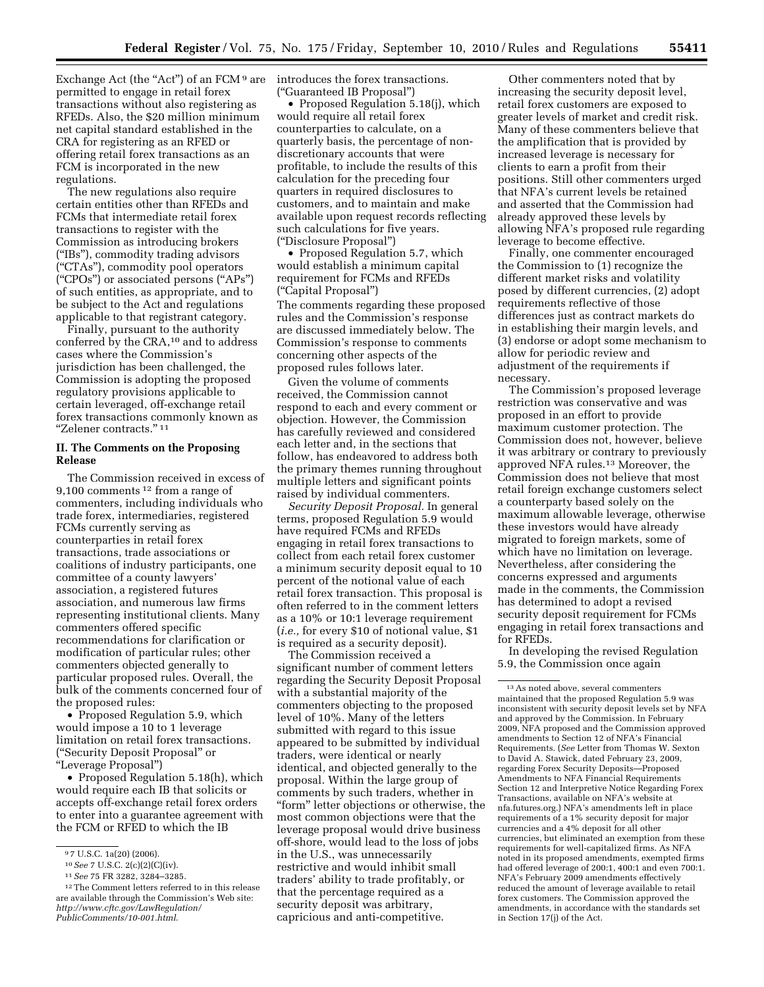Exchange Act (the "Act") of an  $FCM<sup>9</sup>$  are permitted to engage in retail forex transactions without also registering as RFEDs. Also, the \$20 million minimum net capital standard established in the CRA for registering as an RFED or offering retail forex transactions as an FCM is incorporated in the new regulations.

The new regulations also require certain entities other than RFEDs and FCMs that intermediate retail forex transactions to register with the Commission as introducing brokers (''IBs''), commodity trading advisors (''CTAs''), commodity pool operators (''CPOs'') or associated persons (''APs'') of such entities, as appropriate, and to be subject to the Act and regulations applicable to that registrant category.

Finally, pursuant to the authority conferred by the CRA,<sup>10</sup> and to address cases where the Commission's jurisdiction has been challenged, the Commission is adopting the proposed regulatory provisions applicable to certain leveraged, off-exchange retail forex transactions commonly known as ''Zelener contracts.'' 11

## **II. The Comments on the Proposing Release**

The Commission received in excess of 9,100 comments 12 from a range of commenters, including individuals who trade forex, intermediaries, registered FCMs currently serving as counterparties in retail forex transactions, trade associations or coalitions of industry participants, one committee of a county lawyers' association, a registered futures association, and numerous law firms representing institutional clients. Many commenters offered specific recommendations for clarification or modification of particular rules; other commenters objected generally to particular proposed rules. Overall, the bulk of the comments concerned four of the proposed rules:

• Proposed Regulation 5.9, which would impose a 10 to 1 leverage limitation on retail forex transactions. (''Security Deposit Proposal'' or ''Leverage Proposal'')

• Proposed Regulation 5.18(h), which would require each IB that solicits or accepts off-exchange retail forex orders to enter into a guarantee agreement with the FCM or RFED to which the IB

introduces the forex transactions. (''Guaranteed IB Proposal'')

• Proposed Regulation 5.18(j), which would require all retail forex counterparties to calculate, on a quarterly basis, the percentage of nondiscretionary accounts that were profitable, to include the results of this calculation for the preceding four quarters in required disclosures to customers, and to maintain and make available upon request records reflecting such calculations for five years. (''Disclosure Proposal'')

• Proposed Regulation 5.7, which would establish a minimum capital requirement for FCMs and RFEDs (''Capital Proposal'') The comments regarding these proposed rules and the Commission's response are discussed immediately below. The Commission's response to comments concerning other aspects of the proposed rules follows later.

Given the volume of comments received, the Commission cannot respond to each and every comment or objection. However, the Commission has carefully reviewed and considered each letter and, in the sections that follow, has endeavored to address both the primary themes running throughout multiple letters and significant points raised by individual commenters.

*Security Deposit Proposal.* In general terms, proposed Regulation 5.9 would have required FCMs and RFEDs engaging in retail forex transactions to collect from each retail forex customer a minimum security deposit equal to 10 percent of the notional value of each retail forex transaction. This proposal is often referred to in the comment letters as a 10% or 10:1 leverage requirement (*i.e.,* for every \$10 of notional value, \$1 is required as a security deposit).

The Commission received a significant number of comment letters regarding the Security Deposit Proposal with a substantial majority of the commenters objecting to the proposed level of 10%. Many of the letters submitted with regard to this issue appeared to be submitted by individual traders, were identical or nearly identical, and objected generally to the proposal. Within the large group of comments by such traders, whether in ''form'' letter objections or otherwise, the most common objections were that the leverage proposal would drive business off-shore, would lead to the loss of jobs in the U.S., was unnecessarily restrictive and would inhibit small traders' ability to trade profitably, or that the percentage required as a security deposit was arbitrary, capricious and anti-competitive.

Other commenters noted that by increasing the security deposit level, retail forex customers are exposed to greater levels of market and credit risk. Many of these commenters believe that the amplification that is provided by increased leverage is necessary for clients to earn a profit from their positions. Still other commenters urged that NFA's current levels be retained and asserted that the Commission had already approved these levels by allowing NFA's proposed rule regarding leverage to become effective.

Finally, one commenter encouraged the Commission to (1) recognize the different market risks and volatility posed by different currencies, (2) adopt requirements reflective of those differences just as contract markets do in establishing their margin levels, and (3) endorse or adopt some mechanism to allow for periodic review and adjustment of the requirements if necessary.

The Commission's proposed leverage restriction was conservative and was proposed in an effort to provide maximum customer protection. The Commission does not, however, believe it was arbitrary or contrary to previously approved NFA rules.13 Moreover, the Commission does not believe that most retail foreign exchange customers select a counterparty based solely on the maximum allowable leverage, otherwise these investors would have already migrated to foreign markets, some of which have no limitation on leverage. Nevertheless, after considering the concerns expressed and arguments made in the comments, the Commission has determined to adopt a revised security deposit requirement for FCMs engaging in retail forex transactions and for RFEDs.

In developing the revised Regulation 5.9, the Commission once again

<sup>9</sup> 7 U.S.C. 1a(20) (2006).

<sup>10</sup>*See* 7 U.S.C. 2(c)(2)(C)(iv).

<sup>11</sup>*See* 75 FR 3282, 3284–3285.

<sup>12</sup>The Comment letters referred to in this release are available through the Commission's Web site: *[http://www.cftc.gov/LawRegulation/](http://www.cftc.gov/LawRegulation/PublicComments/10-001.html) [PublicComments/10-001.html](http://www.cftc.gov/LawRegulation/PublicComments/10-001.html)*.

<sup>13</sup>As noted above, several commenters maintained that the proposed Regulation 5.9 was inconsistent with security deposit levels set by NFA and approved by the Commission. In February 2009, NFA proposed and the Commission approved amendments to Section 12 of NFA's Financial Requirements. (*See* Letter from Thomas W. Sexton to David A. Stawick, dated February 23, 2009, regarding Forex Security Deposits—Proposed Amendments to NFA Financial Requirements Section 12 and Interpretive Notice Regarding Forex Transactions, available on NFA's website at nfa.futures.org.) NFA's amendments left in place requirements of a 1% security deposit for major currencies and a 4% deposit for all other currencies, but eliminated an exemption from these requirements for well-capitalized firms. As NFA noted in its proposed amendments, exempted firms had offered leverage of 200:1, 400:1 and even 700:1. NFA's February 2009 amendments effectively reduced the amount of leverage available to retail forex customers. The Commission approved the amendments, in accordance with the standards set in Section 17(j) of the Act.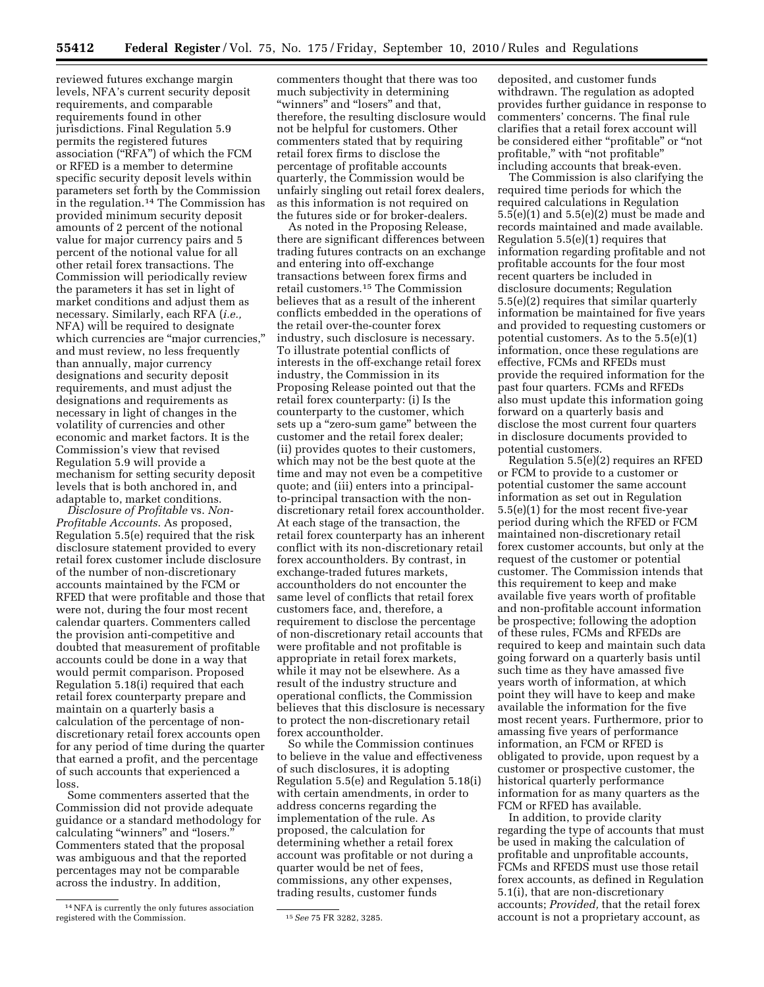reviewed futures exchange margin levels, NFA's current security deposit requirements, and comparable requirements found in other jurisdictions. Final Regulation 5.9 permits the registered futures association (''RFA'') of which the FCM or RFED is a member to determine specific security deposit levels within parameters set forth by the Commission in the regulation.14 The Commission has provided minimum security deposit amounts of 2 percent of the notional value for major currency pairs and 5 percent of the notional value for all other retail forex transactions. The Commission will periodically review the parameters it has set in light of market conditions and adjust them as necessary. Similarly, each RFA (*i.e.,*  NFA) will be required to designate which currencies are "major currencies," and must review, no less frequently than annually, major currency designations and security deposit requirements, and must adjust the designations and requirements as necessary in light of changes in the volatility of currencies and other economic and market factors. It is the Commission's view that revised Regulation 5.9 will provide a mechanism for setting security deposit levels that is both anchored in, and adaptable to, market conditions.

*Disclosure of Profitable* vs. *Non-Profitable Accounts*. As proposed, Regulation 5.5(e) required that the risk disclosure statement provided to every retail forex customer include disclosure of the number of non-discretionary accounts maintained by the FCM or RFED that were profitable and those that were not, during the four most recent calendar quarters. Commenters called the provision anti-competitive and doubted that measurement of profitable accounts could be done in a way that would permit comparison. Proposed Regulation 5.18(i) required that each retail forex counterparty prepare and maintain on a quarterly basis a calculation of the percentage of nondiscretionary retail forex accounts open for any period of time during the quarter that earned a profit, and the percentage of such accounts that experienced a loss.

Some commenters asserted that the Commission did not provide adequate guidance or a standard methodology for calculating ''winners'' and ''losers.'' Commenters stated that the proposal was ambiguous and that the reported percentages may not be comparable across the industry. In addition,

commenters thought that there was too much subjectivity in determining ''winners'' and ''losers'' and that, therefore, the resulting disclosure would not be helpful for customers. Other commenters stated that by requiring retail forex firms to disclose the percentage of profitable accounts quarterly, the Commission would be unfairly singling out retail forex dealers, as this information is not required on the futures side or for broker-dealers.

As noted in the Proposing Release, there are significant differences between trading futures contracts on an exchange and entering into off-exchange transactions between forex firms and retail customers.15 The Commission believes that as a result of the inherent conflicts embedded in the operations of the retail over-the-counter forex industry, such disclosure is necessary. To illustrate potential conflicts of interests in the off-exchange retail forex industry, the Commission in its Proposing Release pointed out that the retail forex counterparty: (i) Is the counterparty to the customer, which sets up a "zero-sum game" between the customer and the retail forex dealer; (ii) provides quotes to their customers, which may not be the best quote at the time and may not even be a competitive quote; and (iii) enters into a principalto-principal transaction with the nondiscretionary retail forex accountholder. At each stage of the transaction, the retail forex counterparty has an inherent conflict with its non-discretionary retail forex accountholders. By contrast, in exchange-traded futures markets, accountholders do not encounter the same level of conflicts that retail forex customers face, and, therefore, a requirement to disclose the percentage of non-discretionary retail accounts that were profitable and not profitable is appropriate in retail forex markets, while it may not be elsewhere. As a result of the industry structure and operational conflicts, the Commission believes that this disclosure is necessary to protect the non-discretionary retail forex accountholder.

So while the Commission continues to believe in the value and effectiveness of such disclosures, it is adopting Regulation 5.5(e) and Regulation 5.18(i) with certain amendments, in order to address concerns regarding the implementation of the rule. As proposed, the calculation for determining whether a retail forex account was profitable or not during a quarter would be net of fees, commissions, any other expenses, trading results, customer funds

deposited, and customer funds withdrawn. The regulation as adopted provides further guidance in response to commenters' concerns. The final rule clarifies that a retail forex account will be considered either ''profitable'' or ''not profitable,'' with ''not profitable'' including accounts that break-even.

The Commission is also clarifying the required time periods for which the required calculations in Regulation  $5.5(e)(1)$  and  $5.5(e)(2)$  must be made and records maintained and made available. Regulation 5.5(e)(1) requires that information regarding profitable and not profitable accounts for the four most recent quarters be included in disclosure documents; Regulation 5.5(e)(2) requires that similar quarterly information be maintained for five years and provided to requesting customers or potential customers. As to the 5.5(e)(1) information, once these regulations are effective, FCMs and RFEDs must provide the required information for the past four quarters. FCMs and RFEDs also must update this information going forward on a quarterly basis and disclose the most current four quarters in disclosure documents provided to potential customers.

Regulation 5.5(e)(2) requires an RFED or FCM to provide to a customer or potential customer the same account information as set out in Regulation 5.5(e)(1) for the most recent five-year period during which the RFED or FCM maintained non-discretionary retail forex customer accounts, but only at the request of the customer or potential customer. The Commission intends that this requirement to keep and make available five years worth of profitable and non-profitable account information be prospective; following the adoption of these rules, FCMs and RFEDs are required to keep and maintain such data going forward on a quarterly basis until such time as they have amassed five years worth of information, at which point they will have to keep and make available the information for the five most recent years. Furthermore, prior to amassing five years of performance information, an FCM or RFED is obligated to provide, upon request by a customer or prospective customer, the historical quarterly performance information for as many quarters as the FCM or RFED has available.

In addition, to provide clarity regarding the type of accounts that must be used in making the calculation of profitable and unprofitable accounts, FCMs and RFEDS must use those retail forex accounts, as defined in Regulation 5.1(i), that are non-discretionary accounts; *Provided,* that the retail forex account is not a proprietary account, as

<sup>14</sup>NFA is currently the only futures association registered with the Commission. 15*See* 75 FR 3282, 3285.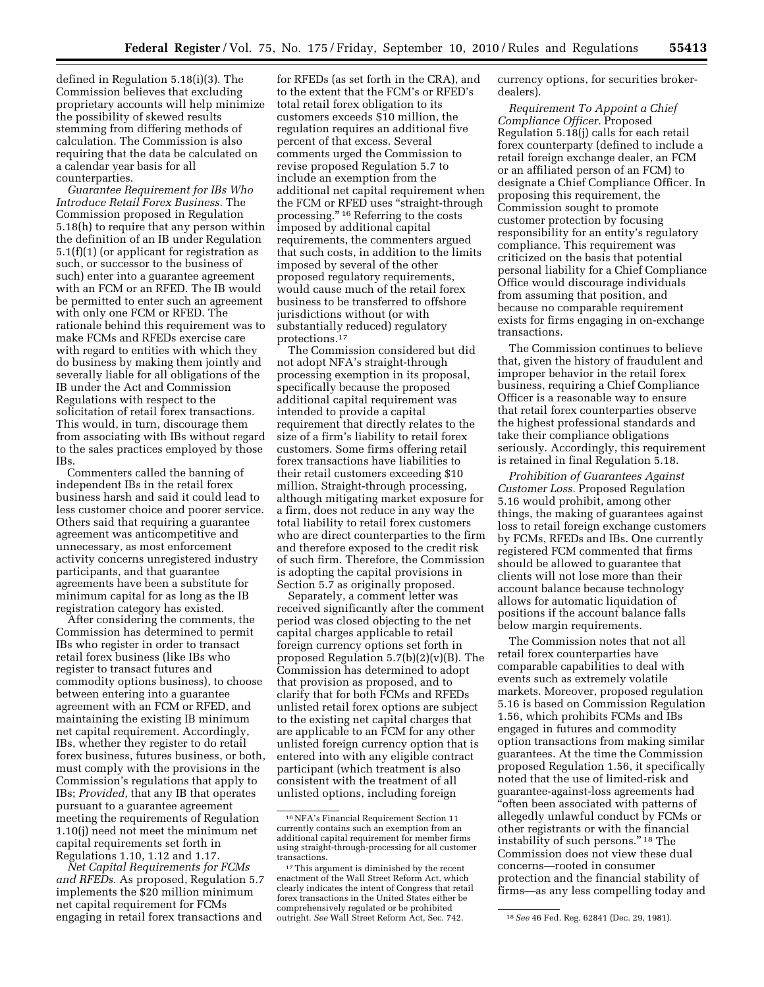defined in Regulation 5.18(i)(3). The Commission believes that excluding proprietary accounts will help minimize the possibility of skewed results stemming from differing methods of calculation. The Commission is also requiring that the data be calculated on a calendar year basis for all counterparties.

*Guarantee Requirement for IBs Who Introduce Retail Forex Business.* The Commission proposed in Regulation 5.18(h) to require that any person within the definition of an IB under Regulation 5.1(f)(1) (or applicant for registration as such, or successor to the business of such) enter into a guarantee agreement with an FCM or an RFED. The IB would be permitted to enter such an agreement with only one FCM or RFED. The rationale behind this requirement was to make FCMs and RFEDs exercise care with regard to entities with which they do business by making them jointly and severally liable for all obligations of the IB under the Act and Commission Regulations with respect to the solicitation of retail forex transactions. This would, in turn, discourage them from associating with IBs without regard to the sales practices employed by those IBs.

Commenters called the banning of independent IBs in the retail forex business harsh and said it could lead to less customer choice and poorer service. Others said that requiring a guarantee agreement was anticompetitive and unnecessary, as most enforcement activity concerns unregistered industry participants, and that guarantee agreements have been a substitute for minimum capital for as long as the IB registration category has existed.

After considering the comments, the Commission has determined to permit IBs who register in order to transact retail forex business (like IBs who register to transact futures and commodity options business), to choose between entering into a guarantee agreement with an FCM or RFED, and maintaining the existing IB minimum net capital requirement. Accordingly, IBs, whether they register to do retail forex business, futures business, or both, must comply with the provisions in the Commission's regulations that apply to IBs; *Provided,* that any IB that operates pursuant to a guarantee agreement meeting the requirements of Regulation 1.10(j) need not meet the minimum net capital requirements set forth in Regulations 1.10, 1.12 and 1.17.

*Net Capital Requirements for FCMs and RFEDs.* As proposed, Regulation 5.7 implements the \$20 million minimum net capital requirement for FCMs engaging in retail forex transactions and

for RFEDs (as set forth in the CRA), and to the extent that the FCM's or RFED's total retail forex obligation to its customers exceeds \$10 million, the regulation requires an additional five percent of that excess. Several comments urged the Commission to revise proposed Regulation 5.7 to include an exemption from the additional net capital requirement when the FCM or RFED uses ''straight-through processing.'' 16 Referring to the costs imposed by additional capital requirements, the commenters argued that such costs, in addition to the limits imposed by several of the other proposed regulatory requirements, would cause much of the retail forex business to be transferred to offshore jurisdictions without (or with substantially reduced) regulatory protections.17

The Commission considered but did not adopt NFA's straight-through processing exemption in its proposal, specifically because the proposed additional capital requirement was intended to provide a capital requirement that directly relates to the size of a firm's liability to retail forex customers. Some firms offering retail forex transactions have liabilities to their retail customers exceeding \$10 million. Straight-through processing, although mitigating market exposure for a firm, does not reduce in any way the total liability to retail forex customers who are direct counterparties to the firm and therefore exposed to the credit risk of such firm. Therefore, the Commission is adopting the capital provisions in Section 5.7 as originally proposed.

Separately, a comment letter was received significantly after the comment period was closed objecting to the net capital charges applicable to retail foreign currency options set forth in proposed Regulation 5.7(b)(2)(v)(B). The Commission has determined to adopt that provision as proposed, and to clarify that for both FCMs and RFEDs unlisted retail forex options are subject to the existing net capital charges that are applicable to an FCM for any other unlisted foreign currency option that is entered into with any eligible contract participant (which treatment is also consistent with the treatment of all unlisted options, including foreign

currency options, for securities brokerdealers).

*Requirement To Appoint a Chief Compliance Officer.* Proposed Regulation 5.18(j) calls for each retail forex counterparty (defined to include a retail foreign exchange dealer, an FCM or an affiliated person of an FCM) to designate a Chief Compliance Officer. In proposing this requirement, the Commission sought to promote customer protection by focusing responsibility for an entity's regulatory compliance. This requirement was criticized on the basis that potential personal liability for a Chief Compliance Office would discourage individuals from assuming that position, and because no comparable requirement exists for firms engaging in on-exchange transactions.

The Commission continues to believe that, given the history of fraudulent and improper behavior in the retail forex business, requiring a Chief Compliance Officer is a reasonable way to ensure that retail forex counterparties observe the highest professional standards and take their compliance obligations seriously. Accordingly, this requirement is retained in final Regulation 5.18.

*Prohibition of Guarantees Against Customer Loss.* Proposed Regulation 5.16 would prohibit, among other things, the making of guarantees against loss to retail foreign exchange customers by FCMs, RFEDs and IBs. One currently registered FCM commented that firms should be allowed to guarantee that clients will not lose more than their account balance because technology allows for automatic liquidation of positions if the account balance falls below margin requirements.

The Commission notes that not all retail forex counterparties have comparable capabilities to deal with events such as extremely volatile markets. Moreover, proposed regulation 5.16 is based on Commission Regulation 1.56, which prohibits FCMs and IBs engaged in futures and commodity option transactions from making similar guarantees. At the time the Commission proposed Regulation 1.56, it specifically noted that the use of limited-risk and guarantee-against-loss agreements had often been associated with patterns of allegedly unlawful conduct by FCMs or other registrants or with the financial instability of such persons.'' 18 The Commission does not view these dual concerns—rooted in consumer protection and the financial stability of firms—as any less compelling today and

<sup>16</sup>NFA's Financial Requirement Section 11 currently contains such an exemption from an additional capital requirement for member firms using straight-through-processing for all customer transactions.

<sup>&</sup>lt;sup>17</sup>This argument is diminished by the recent enactment of the Wall Street Reform Act, which clearly indicates the intent of Congress that retail forex transactions in the United States either be comprehensively regulated or be prohibited outright. *See* Wall Street Reform Act, Sec. 742. 18*See* 46 Fed. Reg. 62841 (Dec. 29, 1981).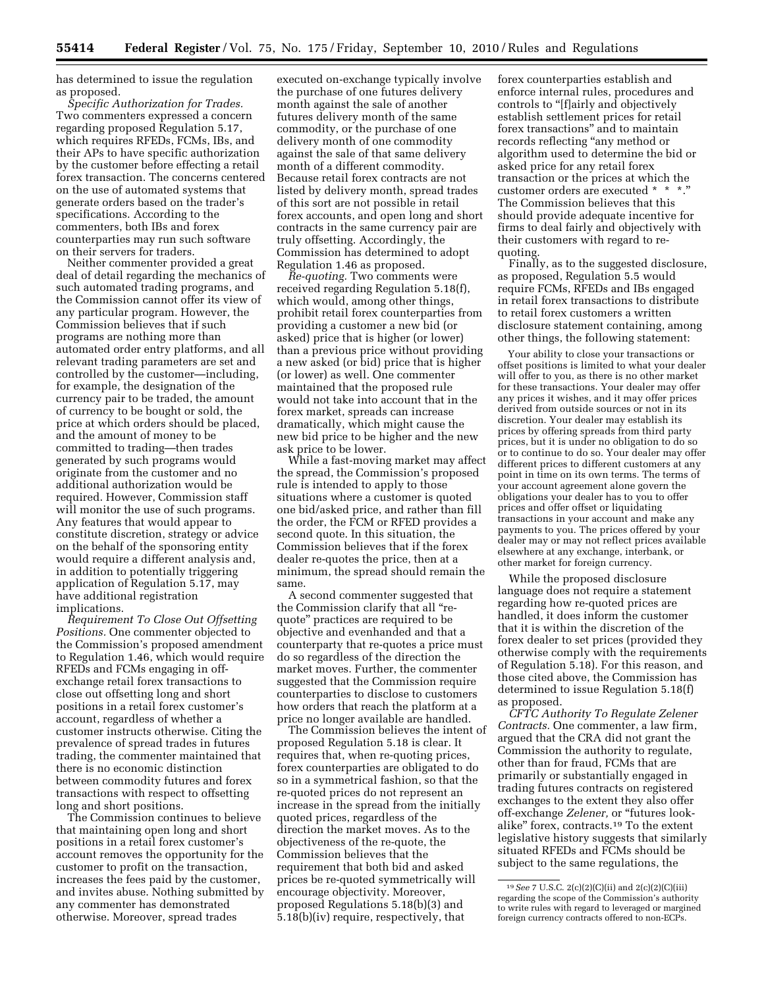has determined to issue the regulation as proposed.

*Specific Authorization for Trades.*  Two commenters expressed a concern regarding proposed Regulation 5.17, which requires RFEDs, FCMs, IBs, and their APs to have specific authorization by the customer before effecting a retail forex transaction. The concerns centered on the use of automated systems that generate orders based on the trader's specifications. According to the commenters, both IBs and forex counterparties may run such software on their servers for traders.

Neither commenter provided a great deal of detail regarding the mechanics of such automated trading programs, and the Commission cannot offer its view of any particular program. However, the Commission believes that if such programs are nothing more than automated order entry platforms, and all relevant trading parameters are set and controlled by the customer—including, for example, the designation of the currency pair to be traded, the amount of currency to be bought or sold, the price at which orders should be placed, and the amount of money to be committed to trading—then trades generated by such programs would originate from the customer and no additional authorization would be required. However, Commission staff will monitor the use of such programs. Any features that would appear to constitute discretion, strategy or advice on the behalf of the sponsoring entity would require a different analysis and, in addition to potentially triggering application of Regulation 5.17, may have additional registration implications.

*Requirement To Close Out Offsetting Positions.* One commenter objected to the Commission's proposed amendment to Regulation 1.46, which would require RFEDs and FCMs engaging in offexchange retail forex transactions to close out offsetting long and short positions in a retail forex customer's account, regardless of whether a customer instructs otherwise. Citing the prevalence of spread trades in futures trading, the commenter maintained that there is no economic distinction between commodity futures and forex transactions with respect to offsetting long and short positions.

The Commission continues to believe that maintaining open long and short positions in a retail forex customer's account removes the opportunity for the customer to profit on the transaction, increases the fees paid by the customer, and invites abuse. Nothing submitted by any commenter has demonstrated otherwise. Moreover, spread trades

executed on-exchange typically involve the purchase of one futures delivery month against the sale of another futures delivery month of the same commodity, or the purchase of one delivery month of one commodity against the sale of that same delivery month of a different commodity. Because retail forex contracts are not listed by delivery month, spread trades of this sort are not possible in retail forex accounts, and open long and short contracts in the same currency pair are truly offsetting. Accordingly, the Commission has determined to adopt Regulation 1.46 as proposed.

*Re-quoting.* Two comments were received regarding Regulation 5.18(f), which would, among other things, prohibit retail forex counterparties from providing a customer a new bid (or asked) price that is higher (or lower) than a previous price without providing a new asked (or bid) price that is higher (or lower) as well. One commenter maintained that the proposed rule would not take into account that in the forex market, spreads can increase dramatically, which might cause the new bid price to be higher and the new ask price to be lower.

While a fast-moving market may affect the spread, the Commission's proposed rule is intended to apply to those situations where a customer is quoted one bid/asked price, and rather than fill the order, the FCM or RFED provides a second quote. In this situation, the Commission believes that if the forex dealer re-quotes the price, then at a minimum, the spread should remain the same.

A second commenter suggested that the Commission clarify that all ''requote'' practices are required to be objective and evenhanded and that a counterparty that re-quotes a price must do so regardless of the direction the market moves. Further, the commenter suggested that the Commission require counterparties to disclose to customers how orders that reach the platform at a price no longer available are handled.

The Commission believes the intent of proposed Regulation 5.18 is clear. It requires that, when re-quoting prices, forex counterparties are obligated to do so in a symmetrical fashion, so that the re-quoted prices do not represent an increase in the spread from the initially quoted prices, regardless of the direction the market moves. As to the objectiveness of the re-quote, the Commission believes that the requirement that both bid and asked prices be re-quoted symmetrically will encourage objectivity. Moreover, proposed Regulations 5.18(b)(3) and 5.18(b)(iv) require, respectively, that

forex counterparties establish and enforce internal rules, procedures and controls to "[f]airly and objectively establish settlement prices for retail forex transactions'' and to maintain records reflecting ''any method or algorithm used to determine the bid or asked price for any retail forex transaction or the prices at which the customer orders are executed \* \* \*. The Commission believes that this should provide adequate incentive for firms to deal fairly and objectively with their customers with regard to requoting.

Finally, as to the suggested disclosure, as proposed, Regulation 5.5 would require FCMs, RFEDs and IBs engaged in retail forex transactions to distribute to retail forex customers a written disclosure statement containing, among other things, the following statement:

Your ability to close your transactions or offset positions is limited to what your dealer will offer to you, as there is no other market for these transactions. Your dealer may offer any prices it wishes, and it may offer prices derived from outside sources or not in its discretion. Your dealer may establish its prices by offering spreads from third party prices, but it is under no obligation to do so or to continue to do so. Your dealer may offer different prices to different customers at any point in time on its own terms. The terms of your account agreement alone govern the obligations your dealer has to you to offer prices and offer offset or liquidating transactions in your account and make any payments to you. The prices offered by your dealer may or may not reflect prices available elsewhere at any exchange, interbank, or other market for foreign currency.

While the proposed disclosure language does not require a statement regarding how re-quoted prices are handled, it does inform the customer that it is within the discretion of the forex dealer to set prices (provided they otherwise comply with the requirements of Regulation 5.18). For this reason, and those cited above, the Commission has determined to issue Regulation 5.18(f) as proposed.

*CFTC Authority To Regulate Zelener Contracts.* One commenter, a law firm, argued that the CRA did not grant the Commission the authority to regulate, other than for fraud, FCMs that are primarily or substantially engaged in trading futures contracts on registered exchanges to the extent they also offer off-exchange *Zelener*, or "futures lookalike'' forex, contracts.19 To the extent legislative history suggests that similarly situated RFEDs and FCMs should be subject to the same regulations, the

<sup>19</sup>*See* 7 U.S.C. 2(c)(2)(C)(ii) and 2(c)(2)(C)(iii) regarding the scope of the Commission's authority to write rules with regard to leveraged or margined foreign currency contracts offered to non-ECPs.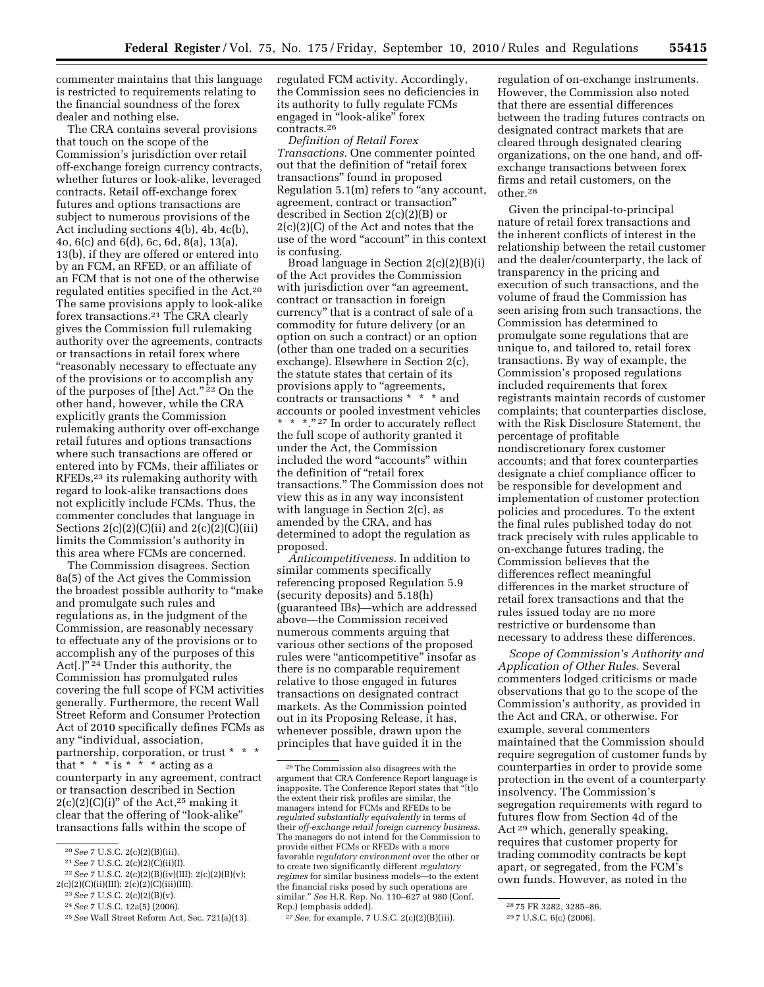commenter maintains that this language is restricted to requirements relating to the financial soundness of the forex dealer and nothing else.

The CRA contains several provisions that touch on the scope of the Commission's jurisdiction over retail off-exchange foreign currency contracts, whether futures or look-alike, leveraged contracts. Retail off-exchange forex futures and options transactions are subject to numerous provisions of the Act including sections 4(b), 4b, 4c(b), 4o, 6(c) and 6(d), 6c, 6d, 8(a), 13(a), 13(b), if they are offered or entered into by an FCM, an RFED, or an affiliate of an FCM that is not one of the otherwise regulated entities specified in the Act.20 The same provisions apply to look-alike forex transactions.21 The CRA clearly gives the Commission full rulemaking authority over the agreements, contracts or transactions in retail forex where ''reasonably necessary to effectuate any of the provisions or to accomplish any of the purposes of [the] Act."<sup>22</sup> On the other hand, however, while the CRA explicitly grants the Commission rulemaking authority over off-exchange retail futures and options transactions where such transactions are offered or entered into by FCMs, their affiliates or RFEDs,23 its rulemaking authority with regard to look-alike transactions does not explicitly include FCMs. Thus, the commenter concludes that language in Sections  $2(c)(2)(C)(ii)$  and  $2(c)(2)(C)(iii)$ limits the Commission's authority in this area where FCMs are concerned.

The Commission disagrees. Section 8a(5) of the Act gives the Commission the broadest possible authority to ''make and promulgate such rules and regulations as, in the judgment of the Commission, are reasonably necessary to effectuate any of the provisions or to accomplish any of the purposes of this Act[.]"<sup>24</sup> Under this authority, the Commission has promulgated rules covering the full scope of FCM activities generally. Furthermore, the recent Wall Street Reform and Consumer Protection Act of 2010 specifically defines FCMs as any ''individual, association, partnership, corporation, or trust \* \* \* that  $* * is * * * \text{ acting as a}$ counterparty in any agreement, contract or transaction described in Section  $2(c)(2)(c)(i)$ " of the Act,<sup>25</sup> making it clear that the offering of ''look-alike'' transactions falls within the scope of

regulated FCM activity. Accordingly, the Commission sees no deficiencies in its authority to fully regulate FCMs engaged in ''look-alike'' forex contracts.26

*Definition of Retail Forex Transactions.* One commenter pointed out that the definition of "retail forex transactions'' found in proposed Regulation 5.1(m) refers to ''any account, agreement, contract or transaction'' described in Section 2(c)(2)(B) or 2(c)(2)(C) of the Act and notes that the use of the word "account" in this context is confusing.

Broad language in Section 2(c)(2)(B)(i) of the Act provides the Commission with jurisdiction over "an agreement, contract or transaction in foreign currency'' that is a contract of sale of a commodity for future delivery (or an option on such a contract) or an option (other than one traded on a securities exchange). Elsewhere in Section 2(c), the statute states that certain of its provisions apply to "agreements, contracts or transactions \* \* \* and accounts or pooled investment vehicles \* \* \*." <sup>27</sup> In order to accurately reflect the full scope of authority granted it under the Act, the Commission included the word "accounts" within the definition of ''retail forex transactions.'' The Commission does not view this as in any way inconsistent with language in Section 2(c), as amended by the CRA, and has determined to adopt the regulation as proposed.

*Anticompetitiveness.* In addition to similar comments specifically referencing proposed Regulation 5.9 (security deposits) and 5.18(h) (guaranteed IBs)—which are addressed above—the Commission received numerous comments arguing that various other sections of the proposed rules were ''anticompetitive'' insofar as there is no comparable requirement relative to those engaged in futures transactions on designated contract markets. As the Commission pointed out in its Proposing Release, it has, whenever possible, drawn upon the principles that have guided it in the

27*See,* for example, 7 U.S.C. 2(c)(2)(B)(iii).

regulation of on-exchange instruments. However, the Commission also noted that there are essential differences between the trading futures contracts on designated contract markets that are cleared through designated clearing organizations, on the one hand, and offexchange transactions between forex firms and retail customers, on the other.28

Given the principal-to-principal nature of retail forex transactions and the inherent conflicts of interest in the relationship between the retail customer and the dealer/counterparty, the lack of transparency in the pricing and execution of such transactions, and the volume of fraud the Commission has seen arising from such transactions, the Commission has determined to promulgate some regulations that are unique to, and tailored to, retail forex transactions. By way of example, the Commission's proposed regulations included requirements that forex registrants maintain records of customer complaints; that counterparties disclose, with the Risk Disclosure Statement, the percentage of profitable nondiscretionary forex customer accounts; and that forex counterparties designate a chief compliance officer to be responsible for development and implementation of customer protection policies and procedures. To the extent the final rules published today do not track precisely with rules applicable to on-exchange futures trading, the Commission believes that the differences reflect meaningful differences in the market structure of retail forex transactions and that the rules issued today are no more restrictive or burdensome than necessary to address these differences.

*Scope of Commission's Authority and Application of Other Rules.* Several commenters lodged criticisms or made observations that go to the scope of the Commission's authority, as provided in the Act and CRA, or otherwise. For example, several commenters maintained that the Commission should require segregation of customer funds by counterparties in order to provide some protection in the event of a counterparty insolvency. The Commission's segregation requirements with regard to futures flow from Section 4d of the Act 29 which, generally speaking, requires that customer property for trading commodity contracts be kept apart, or segregated, from the FCM's own funds. However, as noted in the

<sup>20</sup>*See* 7 U.S.C. 2(c)(2)(B)(iii).

<sup>21</sup>*See* 7 U.S.C. 2(c)(2)(C)(ii)(I).

<sup>22</sup>*See* 7 U.S.C. 2(c)(2)(B)(iv)(III); 2(c)(2)(B)(v); 2(c)(2)(C)(ii)(III); 2(c)(2)(C)(iii)(III).

<sup>23</sup>*See* 7 U.S.C. 2(c)(2)(B)(v).

<sup>24</sup>*See* 7 U.S.C. 12a(5) (2006).

<sup>25</sup>*See* Wall Street Reform Act, Sec. 721(a)(13).

<sup>26</sup>The Commission also disagrees with the argument that CRA Conference Report language is inapposite. The Conference Report states that ''[t]o the extent their risk profiles are similar, the managers intend for FCMs and RFEDs to be *regulated substantially equivalently* in terms of their *off-exchange retail foreign currency business.*  The managers do not intend for the Commission to provide either FCMs or RFEDs with a more favorable *regulatory environment* over the other or to create two significantly different *regulatory regimes* for similar business models—to the extent the financial risks posed by such operations are similar.'' *See* H.R. Rep. No. 110–627 at 980 (Conf. Rep.) (emphasis added).

<sup>28</sup> 75 FR 3282, 3285–86.

<sup>29</sup> 7 U.S.C. 6(c) (2006).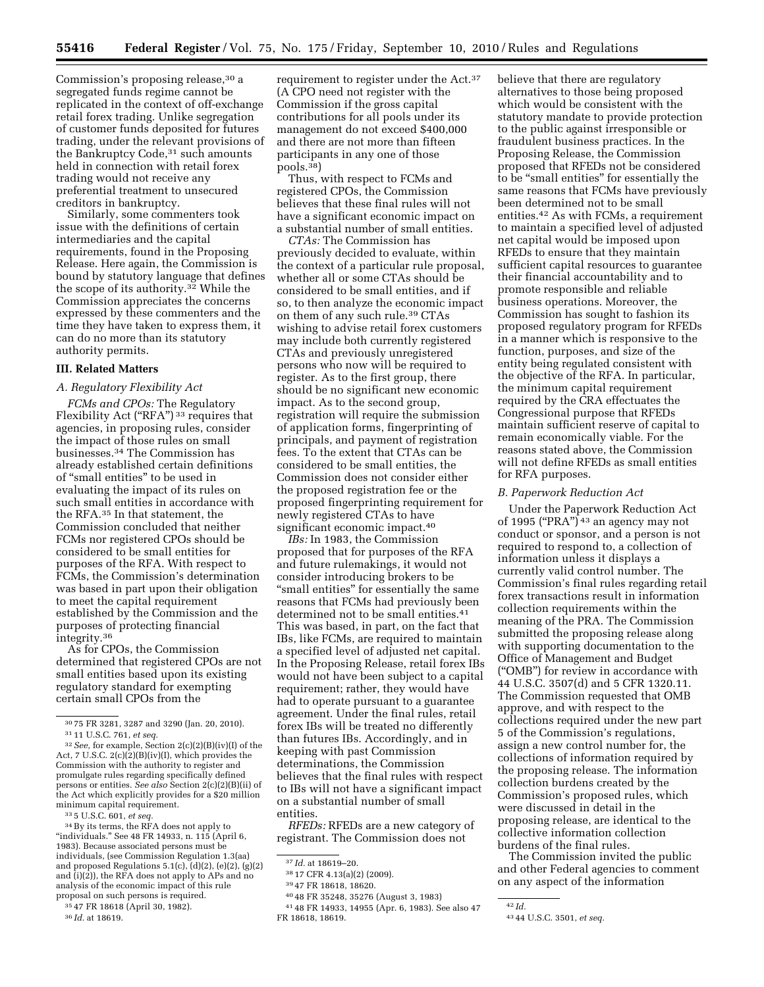Commission's proposing release,<sup>30</sup> a segregated funds regime cannot be replicated in the context of off-exchange retail forex trading. Unlike segregation of customer funds deposited for futures trading, under the relevant provisions of the Bankruptcy Code,<sup>31</sup> such amounts held in connection with retail forex trading would not receive any preferential treatment to unsecured creditors in bankruptcy.

Similarly, some commenters took issue with the definitions of certain intermediaries and the capital requirements, found in the Proposing Release. Here again, the Commission is bound by statutory language that defines the scope of its authority.32 While the Commission appreciates the concerns expressed by these commenters and the time they have taken to express them, it can do no more than its statutory authority permits.

## **III. Related Matters**

### *A. Regulatory Flexibility Act*

*FCMs and CPOs:* The Regulatory Flexibility Act ("RFA") <sup>33</sup> requires that agencies, in proposing rules, consider the impact of those rules on small businesses.34 The Commission has already established certain definitions of ''small entities'' to be used in evaluating the impact of its rules on such small entities in accordance with the RFA.35 In that statement, the Commission concluded that neither FCMs nor registered CPOs should be considered to be small entities for purposes of the RFA. With respect to FCMs, the Commission's determination was based in part upon their obligation to meet the capital requirement established by the Commission and the purposes of protecting financial integrity.36

As for CPOs, the Commission determined that registered CPOs are not small entities based upon its existing regulatory standard for exempting certain small CPOs from the

34By its terms, the RFA does not apply to ''individuals.'' See 48 FR 14933, n. 115 (April 6, 1983). Because associated persons must be individuals, (see Commission Regulation 1.3(aa) and proposed Regulations 5.1(c), (d)(2), (e)(2), (g)(2) and  $(i)(2)$ ), the RFA does not apply to APs and no analysis of the economic impact of this rule proposal on such persons is required.

requirement to register under the Act.37 (A CPO need not register with the Commission if the gross capital contributions for all pools under its management do not exceed \$400,000 and there are not more than fifteen participants in any one of those pools.38)

Thus, with respect to FCMs and registered CPOs, the Commission believes that these final rules will not have a significant economic impact on a substantial number of small entities.

*CTAs:* The Commission has previously decided to evaluate, within the context of a particular rule proposal, whether all or some CTAs should be considered to be small entities, and if so, to then analyze the economic impact on them of any such rule.39 CTAs wishing to advise retail forex customers may include both currently registered CTAs and previously unregistered persons who now will be required to register. As to the first group, there should be no significant new economic impact. As to the second group, registration will require the submission of application forms, fingerprinting of principals, and payment of registration fees. To the extent that CTAs can be considered to be small entities, the Commission does not consider either the proposed registration fee or the proposed fingerprinting requirement for newly registered CTAs to have significant economic impact.40

*IBs:* In 1983, the Commission proposed that for purposes of the RFA and future rulemakings, it would not consider introducing brokers to be "small entities" for essentially the same reasons that FCMs had previously been determined not to be small entities.<sup>41</sup> This was based, in part, on the fact that IBs, like FCMs, are required to maintain a specified level of adjusted net capital. In the Proposing Release, retail forex IBs would not have been subject to a capital requirement; rather, they would have had to operate pursuant to a guarantee agreement. Under the final rules, retail forex IBs will be treated no differently than futures IBs. Accordingly, and in keeping with past Commission determinations, the Commission believes that the final rules with respect to IBs will not have a significant impact on a substantial number of small entities.

*RFEDs:* RFEDs are a new category of registrant. The Commission does not

believe that there are regulatory alternatives to those being proposed which would be consistent with the statutory mandate to provide protection to the public against irresponsible or fraudulent business practices. In the Proposing Release, the Commission proposed that RFEDs not be considered to be ''small entities'' for essentially the same reasons that FCMs have previously been determined not to be small entities.42 As with FCMs, a requirement to maintain a specified level of adjusted net capital would be imposed upon RFEDs to ensure that they maintain sufficient capital resources to guarantee their financial accountability and to promote responsible and reliable business operations. Moreover, the Commission has sought to fashion its proposed regulatory program for RFEDs in a manner which is responsive to the function, purposes, and size of the entity being regulated consistent with the objective of the RFA. In particular, the minimum capital requirement required by the CRA effectuates the Congressional purpose that RFEDs maintain sufficient reserve of capital to remain economically viable. For the reasons stated above, the Commission will not define RFEDs as small entities for RFA purposes.

### *B. Paperwork Reduction Act*

Under the Paperwork Reduction Act of 1995 ("PRA") $43$  an agency may not conduct or sponsor, and a person is not required to respond to, a collection of information unless it displays a currently valid control number. The Commission's final rules regarding retail forex transactions result in information collection requirements within the meaning of the PRA. The Commission submitted the proposing release along with supporting documentation to the Office of Management and Budget (''OMB'') for review in accordance with 44 U.S.C. 3507(d) and 5 CFR 1320.11. The Commission requested that OMB approve, and with respect to the collections required under the new part 5 of the Commission's regulations, assign a new control number for, the collections of information required by the proposing release. The information collection burdens created by the Commission's proposed rules, which were discussed in detail in the proposing release, are identical to the collective information collection burdens of the final rules.

The Commission invited the public and other Federal agencies to comment on any aspect of the information

<sup>30</sup> 75 FR 3281, 3287 and 3290 (Jan. 20, 2010). 31 11 U.S.C. 761, *et seq.* 

<sup>32</sup>*See,* for example, Section 2(c)(2)(B)(iv)(I) of the Act, 7 U.S.C.  $2(c)(2)(B)(iv)(I)$ , which provides the Commission with the authority to register and promulgate rules regarding specifically defined persons or entities. *See also* Section 2(c)(2)(B)(ii) of the Act which explicitly provides for a \$20 million minimum capital requirement.

<sup>33</sup> 5 U.S.C. 601, *et seq.* 

<sup>35</sup> 47 FR 18618 (April 30, 1982).

<sup>36</sup> *Id.* at 18619.

<sup>37</sup> *Id.* at 18619–20.

<sup>38</sup> 17 CFR 4.13(a)(2) (2009).

<sup>39</sup> 47 FR 18618, 18620.

<sup>40</sup> 48 FR 35248, 35276 (August 3, 1983)

<sup>41</sup> 48 FR 14933, 14955 (Apr. 6, 1983). See also 47 FR 18618, 18619.

<sup>42</sup> *Id.* 

<sup>43</sup> 44 U.S.C. 3501, *et seq.*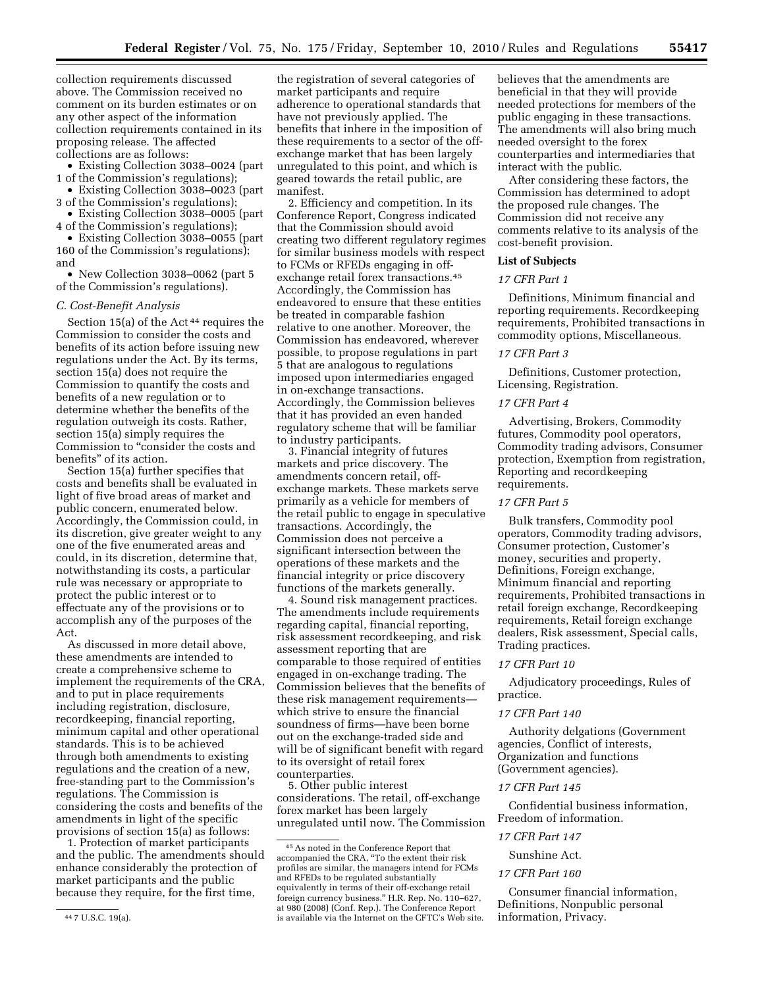collection requirements discussed above. The Commission received no comment on its burden estimates or on any other aspect of the information collection requirements contained in its proposing release. The affected collections are as follows:

• Existing Collection 3038–0024 (part 1 of the Commission's regulations);

• Existing Collection 3038–0023 (part 3 of the Commission's regulations);

• Existing Collection 3038–0005 (part 4 of the Commission's regulations);

• Existing Collection 3038–0055 (part 160 of the Commission's regulations); and

• New Collection 3038–0062 (part 5 of the Commission's regulations).

### *C. Cost-Benefit Analysis*

Section 15(a) of the Act<sup>44</sup> requires the Commission to consider the costs and benefits of its action before issuing new regulations under the Act. By its terms, section 15(a) does not require the Commission to quantify the costs and benefits of a new regulation or to determine whether the benefits of the regulation outweigh its costs. Rather, section 15(a) simply requires the Commission to ''consider the costs and benefits'' of its action.

Section 15(a) further specifies that costs and benefits shall be evaluated in light of five broad areas of market and public concern, enumerated below. Accordingly, the Commission could, in its discretion, give greater weight to any one of the five enumerated areas and could, in its discretion, determine that, notwithstanding its costs, a particular rule was necessary or appropriate to protect the public interest or to effectuate any of the provisions or to accomplish any of the purposes of the Act.

As discussed in more detail above, these amendments are intended to create a comprehensive scheme to implement the requirements of the CRA, and to put in place requirements including registration, disclosure, recordkeeping, financial reporting, minimum capital and other operational standards. This is to be achieved through both amendments to existing regulations and the creation of a new, free-standing part to the Commission's regulations. The Commission is considering the costs and benefits of the amendments in light of the specific provisions of section 15(a) as follows:

1. Protection of market participants and the public. The amendments should enhance considerably the protection of market participants and the public because they require, for the first time,

the registration of several categories of market participants and require adherence to operational standards that have not previously applied. The benefits that inhere in the imposition of these requirements to a sector of the offexchange market that has been largely unregulated to this point, and which is geared towards the retail public, are manifest.

2. Efficiency and competition. In its Conference Report, Congress indicated that the Commission should avoid creating two different regulatory regimes for similar business models with respect to FCMs or RFEDs engaging in offexchange retail forex transactions.45 Accordingly, the Commission has endeavored to ensure that these entities be treated in comparable fashion relative to one another. Moreover, the Commission has endeavored, wherever possible, to propose regulations in part 5 that are analogous to regulations imposed upon intermediaries engaged in on-exchange transactions. Accordingly, the Commission believes that it has provided an even handed regulatory scheme that will be familiar to industry participants.

3. Financial integrity of futures markets and price discovery. The amendments concern retail, offexchange markets. These markets serve primarily as a vehicle for members of the retail public to engage in speculative transactions. Accordingly, the Commission does not perceive a significant intersection between the operations of these markets and the financial integrity or price discovery functions of the markets generally.

4. Sound risk management practices. The amendments include requirements regarding capital, financial reporting, risk assessment recordkeeping, and risk assessment reporting that are comparable to those required of entities engaged in on-exchange trading. The Commission believes that the benefits of these risk management requirements which strive to ensure the financial soundness of firms—have been borne out on the exchange-traded side and will be of significant benefit with regard to its oversight of retail forex counterparties.

5. Other public interest considerations. The retail, off-exchange forex market has been largely unregulated until now. The Commission

believes that the amendments are beneficial in that they will provide needed protections for members of the public engaging in these transactions. The amendments will also bring much needed oversight to the forex counterparties and intermediaries that interact with the public.

After considering these factors, the Commission has determined to adopt the proposed rule changes. The Commission did not receive any comments relative to its analysis of the cost-benefit provision.

## **List of Subjects**

## *17 CFR Part 1*

Definitions, Minimum financial and reporting requirements. Recordkeeping requirements, Prohibited transactions in commodity options, Miscellaneous.

### *17 CFR Part 3*

Definitions, Customer protection, Licensing, Registration.

### *17 CFR Part 4*

Advertising, Brokers, Commodity futures, Commodity pool operators, Commodity trading advisors, Consumer protection, Exemption from registration, Reporting and recordkeeping requirements.

### *17 CFR Part 5*

Bulk transfers, Commodity pool operators, Commodity trading advisors, Consumer protection, Customer's money, securities and property, Definitions, Foreign exchange, Minimum financial and reporting requirements, Prohibited transactions in retail foreign exchange, Recordkeeping requirements, Retail foreign exchange dealers, Risk assessment, Special calls, Trading practices.

## *17 CFR Part 10*

Adjudicatory proceedings, Rules of practice.

### *17 CFR Part 140*

Authority delgations (Government agencies, Conflict of interests, Organization and functions (Government agencies).

## *17 CFR Part 145*

Confidential business information, Freedom of information.

### *17 CFR Part 147*

Sunshine Act.

#### *17 CFR Part 160*

Consumer financial information, Definitions, Nonpublic personal information, Privacy.

<sup>44</sup> 7 U.S.C. 19(a).

<sup>45</sup>As noted in the Conference Report that accompanied the CRA, ''To the extent their risk profiles are similar, the managers intend for FCMs and RFEDs to be regulated substantially equivalently in terms of their off-exchange retail foreign currency business.'' H.R. Rep. No. 110–627, at 980 (2008) (Conf. Rep.). The Conference Report is available via the Internet on the CFTC's Web site.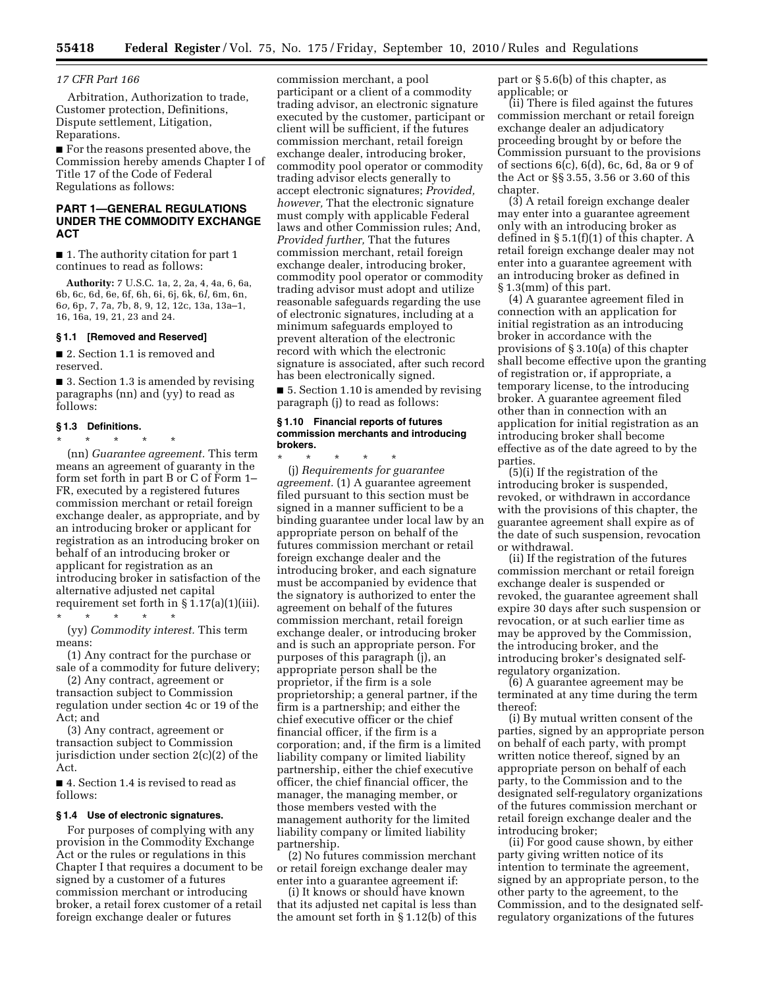### *17 CFR Part 166*

Arbitration, Authorization to trade, Customer protection, Definitions, Dispute settlement, Litigation, Reparations.

■ For the reasons presented above, the Commission hereby amends Chapter I of Title 17 of the Code of Federal Regulations as follows:

## **PART 1—GENERAL REGULATIONS UNDER THE COMMODITY EXCHANGE ACT**

■ 1. The authority citation for part 1 continues to read as follows:

**Authority:** 7 U.S.C. 1a, 2, 2a, 4, 4a, 6, 6a, 6b, 6c, 6d, 6e, 6f, 6h, 6i, 6j, 6k, 6*l,* 6m, 6n, 6*o,* 6p, 7, 7a, 7b, 8, 9, 12, 12c, 13a, 13a–1, 16, 16a, 19, 21, 23 and 24.

#### **§ 1.1 [Removed and Reserved]**

■ 2. Section 1.1 is removed and reserved.

■ 3. Section 1.3 is amended by revising paragraphs (nn) and (yy) to read as follows:

## **§ 1.3 Definitions.**

\* \* \* \* \*

(nn) *Guarantee agreement.* This term means an agreement of guaranty in the form set forth in part B or C of Form 1– FR, executed by a registered futures commission merchant or retail foreign exchange dealer, as appropriate, and by an introducing broker or applicant for registration as an introducing broker on behalf of an introducing broker or applicant for registration as an introducing broker in satisfaction of the alternative adjusted net capital requirement set forth in § 1.17(a)(1)(iii).

\* \* \* \* \* (yy) *Commodity interest.* This term means:

(1) Any contract for the purchase or sale of a commodity for future delivery;

(2) Any contract, agreement or transaction subject to Commission regulation under section 4c or 19 of the Act; and

(3) Any contract, agreement or transaction subject to Commission jurisdiction under section 2(c)(2) of the Act.

■ 4. Section 1.4 is revised to read as follows:

## **§ 1.4 Use of electronic signatures.**

For purposes of complying with any provision in the Commodity Exchange Act or the rules or regulations in this Chapter I that requires a document to be signed by a customer of a futures commission merchant or introducing broker, a retail forex customer of a retail foreign exchange dealer or futures

commission merchant, a pool participant or a client of a commodity trading advisor, an electronic signature executed by the customer, participant or client will be sufficient, if the futures commission merchant, retail foreign exchange dealer, introducing broker, commodity pool operator or commodity trading advisor elects generally to accept electronic signatures; *Provided, however,* That the electronic signature must comply with applicable Federal laws and other Commission rules; And, *Provided further,* That the futures commission merchant, retail foreign exchange dealer, introducing broker, commodity pool operator or commodity trading advisor must adopt and utilize reasonable safeguards regarding the use of electronic signatures, including at a minimum safeguards employed to prevent alteration of the electronic record with which the electronic signature is associated, after such record has been electronically signed.

■ 5. Section 1.10 is amended by revising paragraph (j) to read as follows:

### **§ 1.10 Financial reports of futures commission merchants and introducing brokers.**

\* \* \* \* \* (j) *Requirements for guarantee agreement.* (1) A guarantee agreement filed pursuant to this section must be signed in a manner sufficient to be a binding guarantee under local law by an appropriate person on behalf of the futures commission merchant or retail foreign exchange dealer and the introducing broker, and each signature must be accompanied by evidence that the signatory is authorized to enter the agreement on behalf of the futures commission merchant, retail foreign exchange dealer, or introducing broker and is such an appropriate person. For purposes of this paragraph (j), an appropriate person shall be the proprietor, if the firm is a sole proprietorship; a general partner, if the firm is a partnership; and either the chief executive officer or the chief financial officer, if the firm is a corporation; and, if the firm is a limited liability company or limited liability partnership, either the chief executive officer, the chief financial officer, the manager, the managing member, or those members vested with the management authority for the limited liability company or limited liability partnership.

(2) No futures commission merchant or retail foreign exchange dealer may enter into a guarantee agreement if:

(i) It knows or should have known that its adjusted net capital is less than the amount set forth in § 1.12(b) of this part or § 5.6(b) of this chapter, as applicable; or

(ii) There is filed against the futures commission merchant or retail foreign exchange dealer an adjudicatory proceeding brought by or before the Commission pursuant to the provisions of sections 6(c), 6(d), 6c, 6d, 8a or 9 of the Act or §§ 3.55, 3.56 or 3.60 of this chapter.

(3) A retail foreign exchange dealer may enter into a guarantee agreement only with an introducing broker as defined in § 5.1(f)(1) of this chapter. A retail foreign exchange dealer may not enter into a guarantee agreement with an introducing broker as defined in § 1.3(mm) of this part.

(4) A guarantee agreement filed in connection with an application for initial registration as an introducing broker in accordance with the provisions of § 3.10(a) of this chapter shall become effective upon the granting of registration or, if appropriate, a temporary license, to the introducing broker. A guarantee agreement filed other than in connection with an application for initial registration as an introducing broker shall become effective as of the date agreed to by the parties.

(5)(i) If the registration of the introducing broker is suspended, revoked, or withdrawn in accordance with the provisions of this chapter, the guarantee agreement shall expire as of the date of such suspension, revocation or withdrawal.

(ii) If the registration of the futures commission merchant or retail foreign exchange dealer is suspended or revoked, the guarantee agreement shall expire 30 days after such suspension or revocation, or at such earlier time as may be approved by the Commission, the introducing broker, and the introducing broker's designated selfregulatory organization.

(6) A guarantee agreement may be terminated at any time during the term thereof:

(i) By mutual written consent of the parties, signed by an appropriate person on behalf of each party, with prompt written notice thereof, signed by an appropriate person on behalf of each party, to the Commission and to the designated self-regulatory organizations of the futures commission merchant or retail foreign exchange dealer and the introducing broker;

(ii) For good cause shown, by either party giving written notice of its intention to terminate the agreement, signed by an appropriate person, to the other party to the agreement, to the Commission, and to the designated selfregulatory organizations of the futures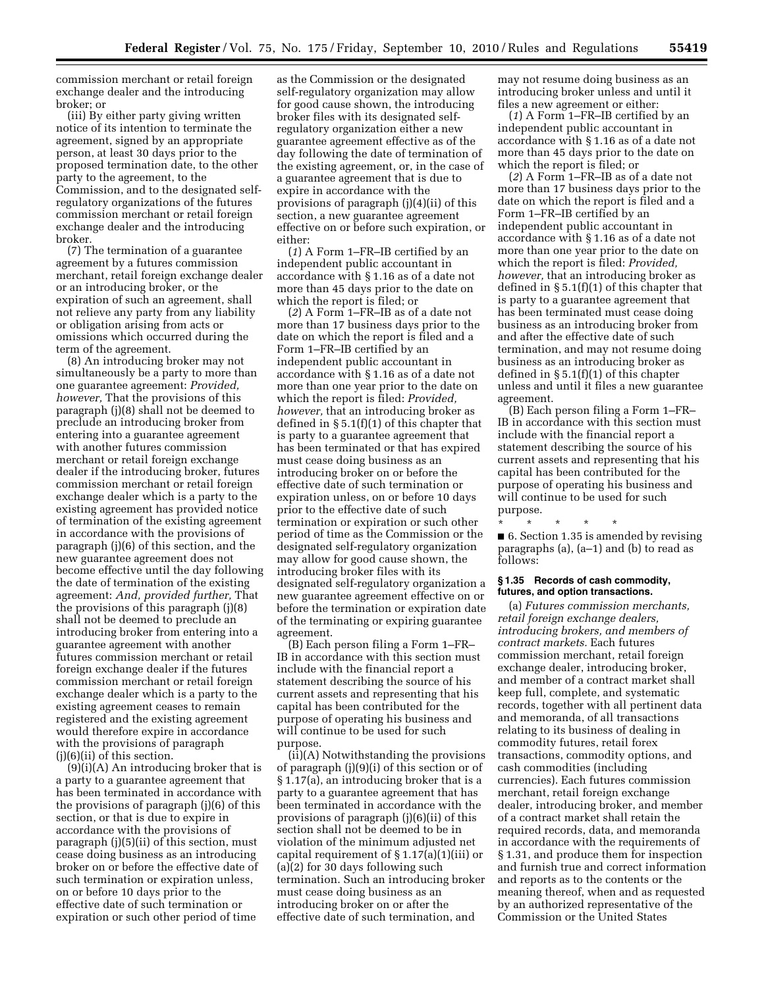commission merchant or retail foreign exchange dealer and the introducing broker; or

(iii) By either party giving written notice of its intention to terminate the agreement, signed by an appropriate person, at least 30 days prior to the proposed termination date, to the other party to the agreement, to the Commission, and to the designated selfregulatory organizations of the futures commission merchant or retail foreign exchange dealer and the introducing broker.

(7) The termination of a guarantee agreement by a futures commission merchant, retail foreign exchange dealer or an introducing broker, or the expiration of such an agreement, shall not relieve any party from any liability or obligation arising from acts or omissions which occurred during the term of the agreement.

(8) An introducing broker may not simultaneously be a party to more than one guarantee agreement: *Provided, however,* That the provisions of this paragraph (j)(8) shall not be deemed to preclude an introducing broker from entering into a guarantee agreement with another futures commission merchant or retail foreign exchange dealer if the introducing broker, futures commission merchant or retail foreign exchange dealer which is a party to the existing agreement has provided notice of termination of the existing agreement in accordance with the provisions of paragraph (j)(6) of this section, and the new guarantee agreement does not become effective until the day following the date of termination of the existing agreement: *And, provided further,* That the provisions of this paragraph (j)(8) shall not be deemed to preclude an introducing broker from entering into a guarantee agreement with another futures commission merchant or retail foreign exchange dealer if the futures commission merchant or retail foreign exchange dealer which is a party to the existing agreement ceases to remain registered and the existing agreement would therefore expire in accordance with the provisions of paragraph  $(i)(6)(ii)$  of this section.

(9)(i)(A) An introducing broker that is a party to a guarantee agreement that has been terminated in accordance with the provisions of paragraph (j)(6) of this section, or that is due to expire in accordance with the provisions of paragraph (j)(5)(ii) of this section, must cease doing business as an introducing broker on or before the effective date of such termination or expiration unless, on or before 10 days prior to the effective date of such termination or expiration or such other period of time

as the Commission or the designated self-regulatory organization may allow for good cause shown, the introducing broker files with its designated selfregulatory organization either a new guarantee agreement effective as of the day following the date of termination of the existing agreement, or, in the case of a guarantee agreement that is due to expire in accordance with the provisions of paragraph (j)(4)(ii) of this section, a new guarantee agreement effective on or before such expiration, or either:

(*1*) A Form 1–FR–IB certified by an independent public accountant in accordance with § 1.16 as of a date not more than 45 days prior to the date on which the report is filed; or

(*2*) A Form 1–FR–IB as of a date not more than 17 business days prior to the date on which the report is filed and a Form 1–FR–IB certified by an independent public accountant in accordance with § 1.16 as of a date not more than one year prior to the date on which the report is filed: *Provided, however,* that an introducing broker as defined in § 5.1(f)(1) of this chapter that is party to a guarantee agreement that has been terminated or that has expired must cease doing business as an introducing broker on or before the effective date of such termination or expiration unless, on or before 10 days prior to the effective date of such termination or expiration or such other period of time as the Commission or the designated self-regulatory organization may allow for good cause shown, the introducing broker files with its designated self-regulatory organization a new guarantee agreement effective on or before the termination or expiration date of the terminating or expiring guarantee agreement.

(B) Each person filing a Form 1–FR– IB in accordance with this section must include with the financial report a statement describing the source of his current assets and representing that his capital has been contributed for the purpose of operating his business and will continue to be used for such purpose.

(ii)(A) Notwithstanding the provisions of paragraph (j)(9)(i) of this section or of § 1.17(a), an introducing broker that is a party to a guarantee agreement that has been terminated in accordance with the provisions of paragraph (j)(6)(ii) of this section shall not be deemed to be in violation of the minimum adjusted net capital requirement of § 1.17(a)(1)(iii) or (a)(2) for 30 days following such termination. Such an introducing broker must cease doing business as an introducing broker on or after the effective date of such termination, and

may not resume doing business as an introducing broker unless and until it files a new agreement or either:

(*1*) A Form 1–FR–IB certified by an independent public accountant in accordance with § 1.16 as of a date not more than 45 days prior to the date on which the report is filed; or

(*2*) A Form 1–FR–IB as of a date not more than 17 business days prior to the date on which the report is filed and a Form 1–FR–IB certified by an independent public accountant in accordance with § 1.16 as of a date not more than one year prior to the date on which the report is filed: *Provided, however,* that an introducing broker as defined in § 5.1(f)(1) of this chapter that is party to a guarantee agreement that has been terminated must cease doing business as an introducing broker from and after the effective date of such termination, and may not resume doing business as an introducing broker as defined in § 5.1(f)(1) of this chapter unless and until it files a new guarantee agreement.

(B) Each person filing a Form 1–FR– IB in accordance with this section must include with the financial report a statement describing the source of his current assets and representing that his capital has been contributed for the purpose of operating his business and will continue to be used for such purpose.

\* \* \* \* \* ■ 6. Section 1.35 is amended by revising paragraphs (a), (a–1) and (b) to read as follows:

### **§ 1.35 Records of cash commodity, futures, and option transactions.**

(a) *Futures commission merchants, retail foreign exchange dealers, introducing brokers, and members of contract markets.* Each futures commission merchant, retail foreign exchange dealer, introducing broker, and member of a contract market shall keep full, complete, and systematic records, together with all pertinent data and memoranda, of all transactions relating to its business of dealing in commodity futures, retail forex transactions, commodity options, and cash commodities (including currencies). Each futures commission merchant, retail foreign exchange dealer, introducing broker, and member of a contract market shall retain the required records, data, and memoranda in accordance with the requirements of § 1.31, and produce them for inspection and furnish true and correct information and reports as to the contents or the meaning thereof, when and as requested by an authorized representative of the Commission or the United States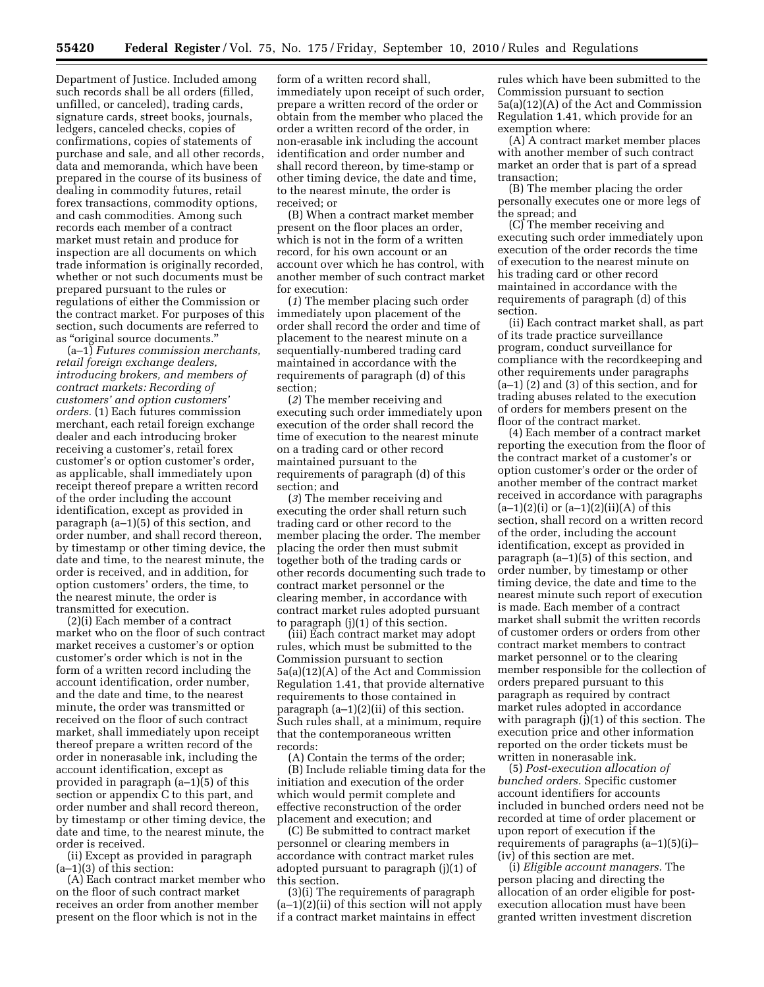Department of Justice. Included among such records shall be all orders (filled, unfilled, or canceled), trading cards, signature cards, street books, journals, ledgers, canceled checks, copies of confirmations, copies of statements of purchase and sale, and all other records, data and memoranda, which have been prepared in the course of its business of dealing in commodity futures, retail forex transactions, commodity options, and cash commodities. Among such records each member of a contract market must retain and produce for inspection are all documents on which trade information is originally recorded, whether or not such documents must be prepared pursuant to the rules or regulations of either the Commission or the contract market. For purposes of this section, such documents are referred to as ''original source documents.''

(a–1) *Futures commission merchants, retail foreign exchange dealers, introducing brokers, and members of contract markets: Recording of customers' and option customers' orders.* (1) Each futures commission merchant, each retail foreign exchange dealer and each introducing broker receiving a customer's, retail forex customer's or option customer's order, as applicable, shall immediately upon receipt thereof prepare a written record of the order including the account identification, except as provided in paragraph (a–1)(5) of this section, and order number, and shall record thereon, by timestamp or other timing device, the date and time, to the nearest minute, the order is received, and in addition, for option customers' orders, the time, to the nearest minute, the order is transmitted for execution.

(2)(i) Each member of a contract market who on the floor of such contract market receives a customer's or option customer's order which is not in the form of a written record including the account identification, order number, and the date and time, to the nearest minute, the order was transmitted or received on the floor of such contract market, shall immediately upon receipt thereof prepare a written record of the order in nonerasable ink, including the account identification, except as provided in paragraph (a–1)(5) of this section or appendix C to this part, and order number and shall record thereon, by timestamp or other timing device, the date and time, to the nearest minute, the order is received.

(ii) Except as provided in paragraph  $(a-1)(3)$  of this section:

(A) Each contract market member who on the floor of such contract market receives an order from another member present on the floor which is not in the

form of a written record shall, immediately upon receipt of such order, prepare a written record of the order or obtain from the member who placed the order a written record of the order, in non-erasable ink including the account identification and order number and shall record thereon, by time-stamp or other timing device, the date and time, to the nearest minute, the order is received; or

(B) When a contract market member present on the floor places an order, which is not in the form of a written record, for his own account or an account over which he has control, with another member of such contract market for execution:

(*1*) The member placing such order immediately upon placement of the order shall record the order and time of placement to the nearest minute on a sequentially-numbered trading card maintained in accordance with the requirements of paragraph (d) of this section;

(*2*) The member receiving and executing such order immediately upon execution of the order shall record the time of execution to the nearest minute on a trading card or other record maintained pursuant to the requirements of paragraph (d) of this section; and

(*3*) The member receiving and executing the order shall return such trading card or other record to the member placing the order. The member placing the order then must submit together both of the trading cards or other records documenting such trade to contract market personnel or the clearing member, in accordance with contract market rules adopted pursuant to paragraph (j)(1) of this section.

(iii) Each contract market may adopt rules, which must be submitted to the Commission pursuant to section 5a(a)(12)(A) of the Act and Commission Regulation 1.41, that provide alternative requirements to those contained in paragraph (a–1)(2)(ii) of this section. Such rules shall, at a minimum, require that the contemporaneous written records:

(A) Contain the terms of the order; (B) Include reliable timing data for the initiation and execution of the order which would permit complete and effective reconstruction of the order placement and execution; and

(C) Be submitted to contract market personnel or clearing members in accordance with contract market rules adopted pursuant to paragraph (j)(1) of this section.

(3)(i) The requirements of paragraph  $(a-1)(2)$ (ii) of this section will not apply if a contract market maintains in effect

rules which have been submitted to the Commission pursuant to section 5a(a)(12)(A) of the Act and Commission Regulation 1.41, which provide for an exemption where:

(A) A contract market member places with another member of such contract market an order that is part of a spread transaction;

(B) The member placing the order personally executes one or more legs of the spread; and

(C) The member receiving and executing such order immediately upon execution of the order records the time of execution to the nearest minute on his trading card or other record maintained in accordance with the requirements of paragraph (d) of this section.

(ii) Each contract market shall, as part of its trade practice surveillance program, conduct surveillance for compliance with the recordkeeping and other requirements under paragraphs (a–1) (2) and (3) of this section, and for trading abuses related to the execution of orders for members present on the floor of the contract market.

(4) Each member of a contract market reporting the execution from the floor of the contract market of a customer's or option customer's order or the order of another member of the contract market received in accordance with paragraphs  $(a-1)(2)(i)$  or  $(a-1)(2)(ii)(A)$  of this section, shall record on a written record of the order, including the account identification, except as provided in paragraph (a–1)(5) of this section, and order number, by timestamp or other timing device, the date and time to the nearest minute such report of execution is made. Each member of a contract market shall submit the written records of customer orders or orders from other contract market members to contract market personnel or to the clearing member responsible for the collection of orders prepared pursuant to this paragraph as required by contract market rules adopted in accordance with paragraph (j)(1) of this section. The execution price and other information reported on the order tickets must be written in nonerasable ink.

(5) *Post-execution allocation of bunched orders.* Specific customer account identifiers for accounts included in bunched orders need not be recorded at time of order placement or upon report of execution if the requirements of paragraphs (a–1)(5)(i)– (iv) of this section are met.

(i) *Eligible account managers.* The person placing and directing the allocation of an order eligible for postexecution allocation must have been granted written investment discretion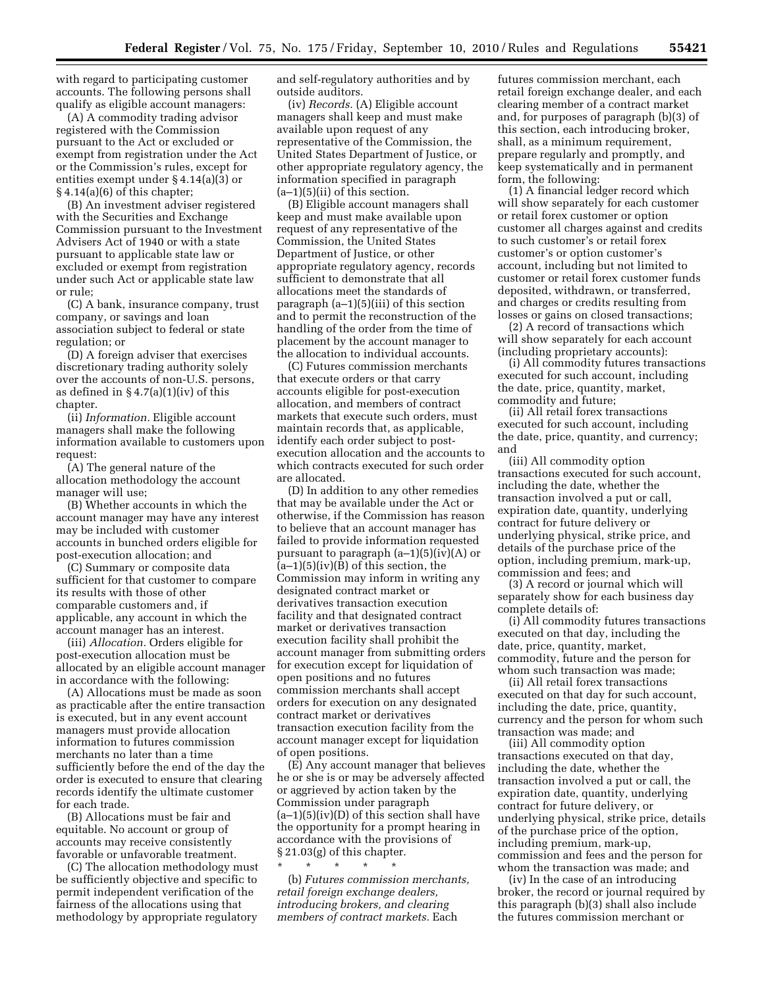with regard to participating customer accounts. The following persons shall qualify as eligible account managers:

(A) A commodity trading advisor registered with the Commission pursuant to the Act or excluded or exempt from registration under the Act or the Commission's rules, except for entities exempt under § 4.14(a)(3) or § 4.14(a)(6) of this chapter;

(B) An investment adviser registered with the Securities and Exchange Commission pursuant to the Investment Advisers Act of 1940 or with a state pursuant to applicable state law or excluded or exempt from registration under such Act or applicable state law or rule;

(C) A bank, insurance company, trust company, or savings and loan association subject to federal or state regulation; or

(D) A foreign adviser that exercises discretionary trading authority solely over the accounts of non-U.S. persons, as defined in  $\S 4.7(a)(1)(iv)$  of this chapter.

(ii) *Information.* Eligible account managers shall make the following information available to customers upon request:

(A) The general nature of the allocation methodology the account manager will use;

(B) Whether accounts in which the account manager may have any interest may be included with customer accounts in bunched orders eligible for post-execution allocation; and

(C) Summary or composite data sufficient for that customer to compare its results with those of other comparable customers and, if applicable, any account in which the account manager has an interest.

(iii) *Allocation.* Orders eligible for post-execution allocation must be allocated by an eligible account manager in accordance with the following:

(A) Allocations must be made as soon as practicable after the entire transaction is executed, but in any event account managers must provide allocation information to futures commission merchants no later than a time sufficiently before the end of the day the order is executed to ensure that clearing records identify the ultimate customer for each trade.

(B) Allocations must be fair and equitable. No account or group of accounts may receive consistently favorable or unfavorable treatment.

(C) The allocation methodology must be sufficiently objective and specific to permit independent verification of the fairness of the allocations using that methodology by appropriate regulatory and self-regulatory authorities and by outside auditors.

(iv) *Records.* (A) Eligible account managers shall keep and must make available upon request of any representative of the Commission, the United States Department of Justice, or other appropriate regulatory agency, the information specified in paragraph  $(a-1)(5)(ii)$  of this section.

(B) Eligible account managers shall keep and must make available upon request of any representative of the Commission, the United States Department of Justice, or other appropriate regulatory agency, records sufficient to demonstrate that all allocations meet the standards of paragraph (a–1)(5)(iii) of this section and to permit the reconstruction of the handling of the order from the time of placement by the account manager to the allocation to individual accounts.

(C) Futures commission merchants that execute orders or that carry accounts eligible for post-execution allocation, and members of contract markets that execute such orders, must maintain records that, as applicable, identify each order subject to postexecution allocation and the accounts to which contracts executed for such order are allocated.

(D) In addition to any other remedies that may be available under the Act or otherwise, if the Commission has reason to believe that an account manager has failed to provide information requested pursuant to paragraph  $(a-1)(5)(iv)(A)$  or  $(a-1)(5)(iv)(B)$  of this section, the Commission may inform in writing any designated contract market or derivatives transaction execution facility and that designated contract market or derivatives transaction execution facility shall prohibit the account manager from submitting orders for execution except for liquidation of open positions and no futures commission merchants shall accept orders for execution on any designated contract market or derivatives transaction execution facility from the account manager except for liquidation of open positions.

(E) Any account manager that believes he or she is or may be adversely affected or aggrieved by action taken by the Commission under paragraph  $(a-1)(5)(iv)(D)$  of this section shall have the opportunity for a prompt hearing in accordance with the provisions of § 21.03(g) of this chapter.

(b) *Futures commission merchants, retail foreign exchange dealers, introducing brokers, and clearing members of contract markets.* Each

\* \* \* \* \*

futures commission merchant, each retail foreign exchange dealer, and each clearing member of a contract market and, for purposes of paragraph (b)(3) of this section, each introducing broker, shall, as a minimum requirement, prepare regularly and promptly, and keep systematically and in permanent form, the following:

(1) A financial ledger record which will show separately for each customer or retail forex customer or option customer all charges against and credits to such customer's or retail forex customer's or option customer's account, including but not limited to customer or retail forex customer funds deposited, withdrawn, or transferred, and charges or credits resulting from losses or gains on closed transactions;

(2) A record of transactions which will show separately for each account (including proprietary accounts):

(i) All commodity futures transactions executed for such account, including the date, price, quantity, market, commodity and future;

(ii) All retail forex transactions executed for such account, including the date, price, quantity, and currency; and

(iii) All commodity option transactions executed for such account, including the date, whether the transaction involved a put or call, expiration date, quantity, underlying contract for future delivery or underlying physical, strike price, and details of the purchase price of the option, including premium, mark-up, commission and fees; and

(3) A record or journal which will separately show for each business day complete details of:

(i) All commodity futures transactions executed on that day, including the date, price, quantity, market, commodity, future and the person for whom such transaction was made;

(ii) All retail forex transactions executed on that day for such account, including the date, price, quantity, currency and the person for whom such transaction was made; and

(iii) All commodity option transactions executed on that day, including the date, whether the transaction involved a put or call, the expiration date, quantity, underlying contract for future delivery, or underlying physical, strike price, details of the purchase price of the option, including premium, mark-up, commission and fees and the person for whom the transaction was made; and

(iv) In the case of an introducing broker, the record or journal required by this paragraph (b)(3) shall also include the futures commission merchant or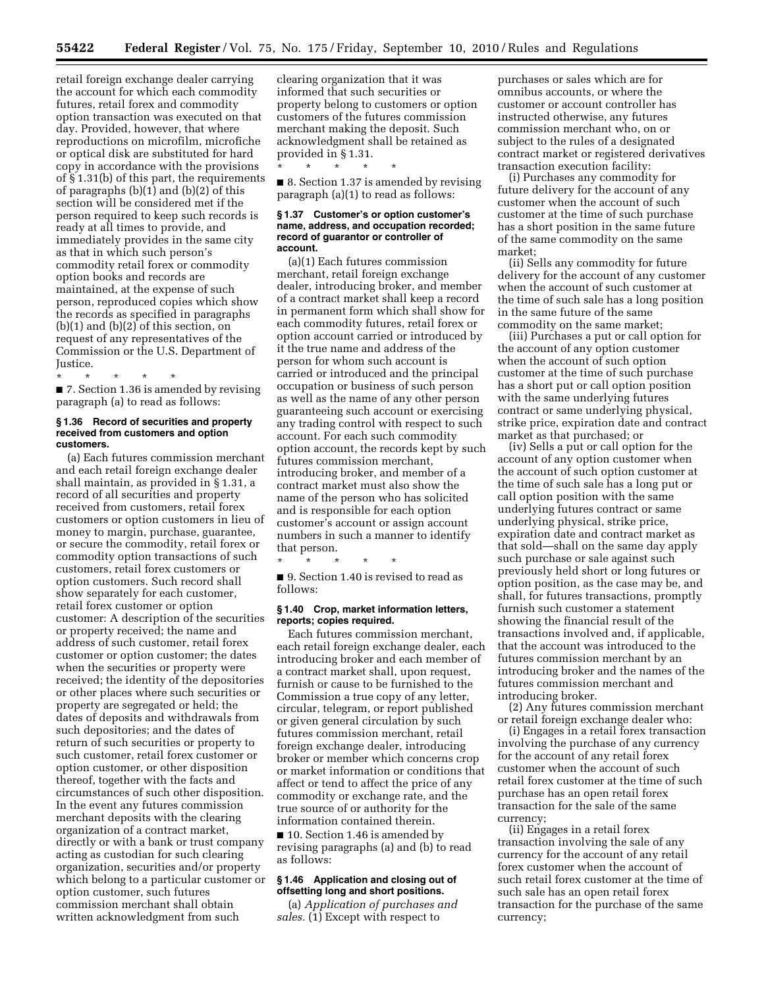\* \* \* \* \*

retail foreign exchange dealer carrying the account for which each commodity futures, retail forex and commodity option transaction was executed on that day. Provided, however, that where reproductions on microfilm, microfiche or optical disk are substituted for hard copy in accordance with the provisions of § 1.31(b) of this part, the requirements of paragraphs (b)(1) and (b)(2) of this section will be considered met if the person required to keep such records is ready at all times to provide, and immediately provides in the same city as that in which such person's commodity retail forex or commodity option books and records are maintained, at the expense of such person, reproduced copies which show the records as specified in paragraphs  $(b)(1)$  and  $(b)(2)$  of this section, on request of any representatives of the Commission or the U.S. Department of Justice.

\* \* \* \* \* ■ 7. Section 1.36 is amended by revising paragraph (a) to read as follows:

### **§ 1.36 Record of securities and property received from customers and option customers.**

(a) Each futures commission merchant and each retail foreign exchange dealer shall maintain, as provided in § 1.31, a record of all securities and property received from customers, retail forex customers or option customers in lieu of money to margin, purchase, guarantee, or secure the commodity, retail forex or commodity option transactions of such customers, retail forex customers or option customers. Such record shall show separately for each customer, retail forex customer or option customer: A description of the securities or property received; the name and address of such customer, retail forex customer or option customer; the dates when the securities or property were received; the identity of the depositories or other places where such securities or property are segregated or held; the dates of deposits and withdrawals from such depositories; and the dates of return of such securities or property to such customer, retail forex customer or option customer, or other disposition thereof, together with the facts and circumstances of such other disposition. In the event any futures commission merchant deposits with the clearing organization of a contract market, directly or with a bank or trust company acting as custodian for such clearing organization, securities and/or property which belong to a particular customer or option customer, such futures commission merchant shall obtain written acknowledgment from such

clearing organization that it was informed that such securities or property belong to customers or option customers of the futures commission merchant making the deposit. Such acknowledgment shall be retained as provided in § 1.31.

■ 8. Section 1.37 is amended by revising paragraph (a)(1) to read as follows:

#### **§ 1.37 Customer's or option customer's name, address, and occupation recorded; record of guarantor or controller of account.**

(a)(1) Each futures commission merchant, retail foreign exchange dealer, introducing broker, and member of a contract market shall keep a record in permanent form which shall show for each commodity futures, retail forex or option account carried or introduced by it the true name and address of the person for whom such account is carried or introduced and the principal occupation or business of such person as well as the name of any other person guaranteeing such account or exercising any trading control with respect to such account. For each such commodity option account, the records kept by such futures commission merchant, introducing broker, and member of a contract market must also show the name of the person who has solicited and is responsible for each option customer's account or assign account numbers in such a manner to identify that person.

\* \* \* \* \* ■ 9. Section 1.40 is revised to read as follows:

### **§ 1.40 Crop, market information letters, reports; copies required.**

Each futures commission merchant, each retail foreign exchange dealer, each introducing broker and each member of a contract market shall, upon request, furnish or cause to be furnished to the Commission a true copy of any letter, circular, telegram, or report published or given general circulation by such futures commission merchant, retail foreign exchange dealer, introducing broker or member which concerns crop or market information or conditions that affect or tend to affect the price of any commodity or exchange rate, and the true source of or authority for the information contained therein.

■ 10. Section 1.46 is amended by revising paragraphs (a) and (b) to read as follows:

### **§ 1.46 Application and closing out of offsetting long and short positions.**

(a) *Application of purchases and sales.* (1) Except with respect to

purchases or sales which are for omnibus accounts, or where the customer or account controller has instructed otherwise, any futures commission merchant who, on or subject to the rules of a designated contract market or registered derivatives transaction execution facility:

(i) Purchases any commodity for future delivery for the account of any customer when the account of such customer at the time of such purchase has a short position in the same future of the same commodity on the same market;

(ii) Sells any commodity for future delivery for the account of any customer when the account of such customer at the time of such sale has a long position in the same future of the same commodity on the same market;

(iii) Purchases a put or call option for the account of any option customer when the account of such option customer at the time of such purchase has a short put or call option position with the same underlying futures contract or same underlying physical, strike price, expiration date and contract market as that purchased; or

(iv) Sells a put or call option for the account of any option customer when the account of such option customer at the time of such sale has a long put or call option position with the same underlying futures contract or same underlying physical, strike price, expiration date and contract market as that sold—shall on the same day apply such purchase or sale against such previously held short or long futures or option position, as the case may be, and shall, for futures transactions, promptly furnish such customer a statement showing the financial result of the transactions involved and, if applicable, that the account was introduced to the futures commission merchant by an introducing broker and the names of the futures commission merchant and introducing broker.

(2) Any futures commission merchant or retail foreign exchange dealer who:

(i) Engages in a retail forex transaction involving the purchase of any currency for the account of any retail forex customer when the account of such retail forex customer at the time of such purchase has an open retail forex transaction for the sale of the same currency;

(ii) Engages in a retail forex transaction involving the sale of any currency for the account of any retail forex customer when the account of such retail forex customer at the time of such sale has an open retail forex transaction for the purchase of the same currency;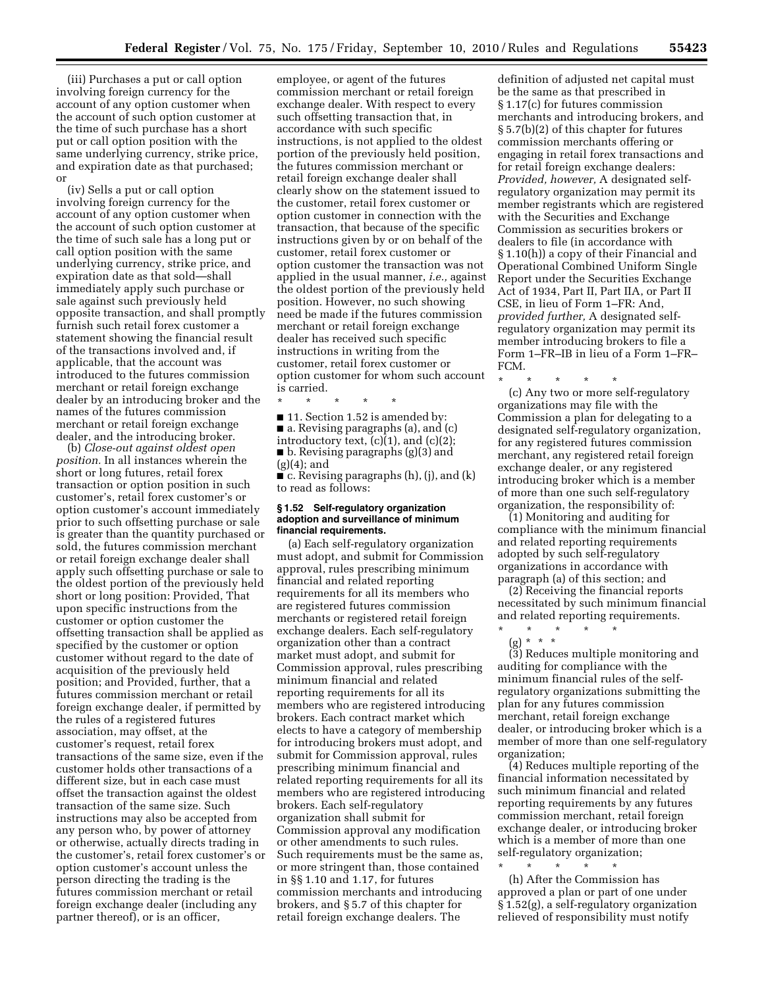(iii) Purchases a put or call option involving foreign currency for the account of any option customer when the account of such option customer at the time of such purchase has a short put or call option position with the same underlying currency, strike price, and expiration date as that purchased; or

(iv) Sells a put or call option involving foreign currency for the account of any option customer when the account of such option customer at the time of such sale has a long put or call option position with the same underlying currency, strike price, and expiration date as that sold—shall immediately apply such purchase or sale against such previously held opposite transaction, and shall promptly furnish such retail forex customer a statement showing the financial result of the transactions involved and, if applicable, that the account was introduced to the futures commission merchant or retail foreign exchange dealer by an introducing broker and the names of the futures commission merchant or retail foreign exchange dealer, and the introducing broker.

(b) *Close-out against oldest open position.* In all instances wherein the short or long futures, retail forex transaction or option position in such customer's, retail forex customer's or option customer's account immediately prior to such offsetting purchase or sale is greater than the quantity purchased or sold, the futures commission merchant or retail foreign exchange dealer shall apply such offsetting purchase or sale to the oldest portion of the previously held short or long position: Provided, That upon specific instructions from the customer or option customer the offsetting transaction shall be applied as specified by the customer or option customer without regard to the date of acquisition of the previously held position; and Provided, further, that a futures commission merchant or retail foreign exchange dealer, if permitted by the rules of a registered futures association, may offset, at the customer's request, retail forex transactions of the same size, even if the customer holds other transactions of a different size, but in each case must offset the transaction against the oldest transaction of the same size. Such instructions may also be accepted from any person who, by power of attorney or otherwise, actually directs trading in the customer's, retail forex customer's or option customer's account unless the person directing the trading is the futures commission merchant or retail foreign exchange dealer (including any partner thereof), or is an officer,

employee, or agent of the futures commission merchant or retail foreign exchange dealer. With respect to every such offsetting transaction that, in accordance with such specific instructions, is not applied to the oldest portion of the previously held position, the futures commission merchant or retail foreign exchange dealer shall clearly show on the statement issued to the customer, retail forex customer or option customer in connection with the transaction, that because of the specific instructions given by or on behalf of the customer, retail forex customer or option customer the transaction was not applied in the usual manner, *i.e.,* against the oldest portion of the previously held position. However, no such showing need be made if the futures commission merchant or retail foreign exchange dealer has received such specific instructions in writing from the customer, retail forex customer or option customer for whom such account is carried.

\* \* \* \* \*

■ 11. Section 1.52 is amended by: ■ a. Revising paragraphs (a), and (c) introductory text,  $(c)[1]$ , and  $(c)[2]$ ; ■ b. Revising paragraphs (g)(3) and  $(g)(4)$ ; and

■ c. Revising paragraphs (h), (j), and (k) to read as follows:

### **§ 1.52 Self-regulatory organization adoption and surveillance of minimum financial requirements.**

(a) Each self-regulatory organization must adopt, and submit for Commission approval, rules prescribing minimum financial and related reporting requirements for all its members who are registered futures commission merchants or registered retail foreign exchange dealers. Each self-regulatory organization other than a contract market must adopt, and submit for Commission approval, rules prescribing minimum financial and related reporting requirements for all its members who are registered introducing brokers. Each contract market which elects to have a category of membership for introducing brokers must adopt, and submit for Commission approval, rules prescribing minimum financial and related reporting requirements for all its members who are registered introducing brokers. Each self-regulatory organization shall submit for Commission approval any modification or other amendments to such rules. Such requirements must be the same as, or more stringent than, those contained in §§ 1.10 and 1.17, for futures commission merchants and introducing brokers, and § 5.7 of this chapter for retail foreign exchange dealers. The

definition of adjusted net capital must be the same as that prescribed in § 1.17(c) for futures commission merchants and introducing brokers, and § 5.7(b)(2) of this chapter for futures commission merchants offering or engaging in retail forex transactions and for retail foreign exchange dealers: *Provided, however,* A designated selfregulatory organization may permit its member registrants which are registered with the Securities and Exchange Commission as securities brokers or dealers to file (in accordance with § 1.10(h)) a copy of their Financial and Operational Combined Uniform Single Report under the Securities Exchange Act of 1934, Part II, Part IIA, or Part II CSE, in lieu of Form 1–FR: And, *provided further,* A designated selfregulatory organization may permit its member introducing brokers to file a Form 1–FR–IB in lieu of a Form 1–FR– FCM.

\* \* \* \* \* (c) Any two or more self-regulatory organizations may file with the Commission a plan for delegating to a designated self-regulatory organization, for any registered futures commission merchant, any registered retail foreign exchange dealer, or any registered introducing broker which is a member of more than one such self-regulatory organization, the responsibility of:

(1) Monitoring and auditing for compliance with the minimum financial and related reporting requirements adopted by such self-regulatory organizations in accordance with paragraph (a) of this section; and

(2) Receiving the financial reports necessitated by such minimum financial and related reporting requirements.

(g) \* \* \* (3) Reduces multiple monitoring and auditing for compliance with the minimum financial rules of the selfregulatory organizations submitting the plan for any futures commission merchant, retail foreign exchange dealer, or introducing broker which is a member of more than one self-regulatory organization;

(4) Reduces multiple reporting of the financial information necessitated by such minimum financial and related reporting requirements by any futures commission merchant, retail foreign exchange dealer, or introducing broker which is a member of more than one self-regulatory organization;

\* \* \* \* \* (h) After the Commission has approved a plan or part of one under § 1.52(g), a self-regulatory organization relieved of responsibility must notify

<sup>\* \* \* \* \*</sup>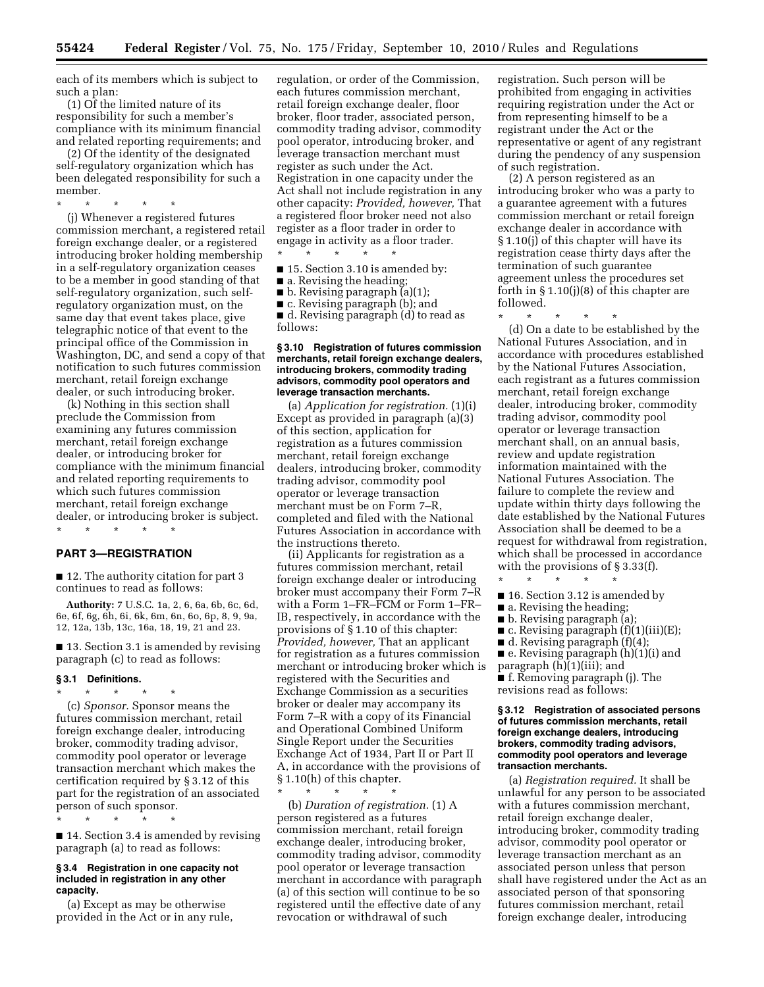each of its members which is subject to such a plan:

(1) Of the limited nature of its responsibility for such a member's compliance with its minimum financial and related reporting requirements; and

(2) Of the identity of the designated self-regulatory organization which has been delegated responsibility for such a member.

\* \* \* \* \*

(j) Whenever a registered futures commission merchant, a registered retail foreign exchange dealer, or a registered introducing broker holding membership in a self-regulatory organization ceases to be a member in good standing of that self-regulatory organization, such selfregulatory organization must, on the same day that event takes place, give telegraphic notice of that event to the principal office of the Commission in Washington, DC, and send a copy of that notification to such futures commission merchant, retail foreign exchange dealer, or such introducing broker.

(k) Nothing in this section shall preclude the Commission from examining any futures commission merchant, retail foreign exchange dealer, or introducing broker for compliance with the minimum financial and related reporting requirements to which such futures commission merchant, retail foreign exchange dealer, or introducing broker is subject. \* \* \* \* \*

# **PART 3—REGISTRATION**

■ 12. The authority citation for part 3 continues to read as follows:

**Authority:** 7 U.S.C. 1a, 2, 6, 6a, 6b, 6c, 6d, 6e, 6f, 6g, 6h, 6i, 6k, 6m, 6n, 6o, 6p, 8, 9, 9a, 12, 12a, 13b, 13c, 16a, 18, 19, 21 and 23.

■ 13. Section 3.1 is amended by revising paragraph (c) to read as follows:

### **§ 3.1 Definitions.**

\* \* \* \* \*

\* \* \* \* \*

(c) *Sponsor.* Sponsor means the futures commission merchant, retail foreign exchange dealer, introducing broker, commodity trading advisor, commodity pool operator or leverage transaction merchant which makes the certification required by § 3.12 of this part for the registration of an associated person of such sponsor.

■ 14. Section 3.4 is amended by revising paragraph (a) to read as follows:

#### **§ 3.4 Registration in one capacity not included in registration in any other capacity.**

(a) Except as may be otherwise provided in the Act or in any rule,

regulation, or order of the Commission, each futures commission merchant, retail foreign exchange dealer, floor broker, floor trader, associated person, commodity trading advisor, commodity pool operator, introducing broker, and leverage transaction merchant must register as such under the Act. Registration in one capacity under the Act shall not include registration in any other capacity: *Provided, however,* That a registered floor broker need not also register as a floor trader in order to engage in activity as a floor trader.

- \* \* \* \* \* ■ 15. Section 3.10 is amended by:
- a. Revising the heading;
- b. Revising paragraph (a)(1);
- c. Revising paragraph (b); and

■ d. Revising paragraph (d) to read as follows:

### **§ 3.10 Registration of futures commission merchants, retail foreign exchange dealers, introducing brokers, commodity trading advisors, commodity pool operators and leverage transaction merchants.**

(a) *Application for registration.* (1)(i) Except as provided in paragraph (a)(3) of this section, application for registration as a futures commission merchant, retail foreign exchange dealers, introducing broker, commodity trading advisor, commodity pool operator or leverage transaction merchant must be on Form 7–R, completed and filed with the National Futures Association in accordance with the instructions thereto.

(ii) Applicants for registration as a futures commission merchant, retail foreign exchange dealer or introducing broker must accompany their Form 7–R with a Form 1–FR–FCM or Form 1–FR– IB, respectively, in accordance with the provisions of § 1.10 of this chapter: *Provided, however,* That an applicant for registration as a futures commission merchant or introducing broker which is registered with the Securities and Exchange Commission as a securities broker or dealer may accompany its Form 7–R with a copy of its Financial and Operational Combined Uniform Single Report under the Securities Exchange Act of 1934, Part II or Part II A, in accordance with the provisions of § 1.10(h) of this chapter.

\* \* \* \* \* (b) *Duration of registration.* (1) A person registered as a futures commission merchant, retail foreign exchange dealer, introducing broker, commodity trading advisor, commodity pool operator or leverage transaction merchant in accordance with paragraph (a) of this section will continue to be so registered until the effective date of any revocation or withdrawal of such

registration. Such person will be prohibited from engaging in activities requiring registration under the Act or from representing himself to be a registrant under the Act or the representative or agent of any registrant during the pendency of any suspension of such registration.

(2) A person registered as an introducing broker who was a party to a guarantee agreement with a futures commission merchant or retail foreign exchange dealer in accordance with § 1.10(j) of this chapter will have its registration cease thirty days after the termination of such guarantee agreement unless the procedures set forth in § 1.10(j)(8) of this chapter are followed.

\* \* \* \* \*

(d) On a date to be established by the National Futures Association, and in accordance with procedures established by the National Futures Association, each registrant as a futures commission merchant, retail foreign exchange dealer, introducing broker, commodity trading advisor, commodity pool operator or leverage transaction merchant shall, on an annual basis, review and update registration information maintained with the National Futures Association. The failure to complete the review and update within thirty days following the date established by the National Futures Association shall be deemed to be a request for withdrawal from registration, which shall be processed in accordance with the provisions of § 3.33(f).

■ 16. Section 3.12 is amended by

- \* \* \* \* \* ■ a. Revising the heading;
- b. Revising paragraph (a);
- $\blacksquare$  c. Revising paragraph  $(f)(1)(iii)(E);$
- d. Revising paragraph (f)(4);
- e. Revising paragraph (h)(1)(i) and
- paragraph (h)(1)(iii); and

■ f. Removing paragraph (j). The revisions read as follows:

### **§ 3.12 Registration of associated persons of futures commission merchants, retail foreign exchange dealers, introducing brokers, commodity trading advisors, commodity pool operators and leverage transaction merchants.**

(a) *Registration required.* It shall be unlawful for any person to be associated with a futures commission merchant, retail foreign exchange dealer, introducing broker, commodity trading advisor, commodity pool operator or leverage transaction merchant as an associated person unless that person shall have registered under the Act as an associated person of that sponsoring futures commission merchant, retail foreign exchange dealer, introducing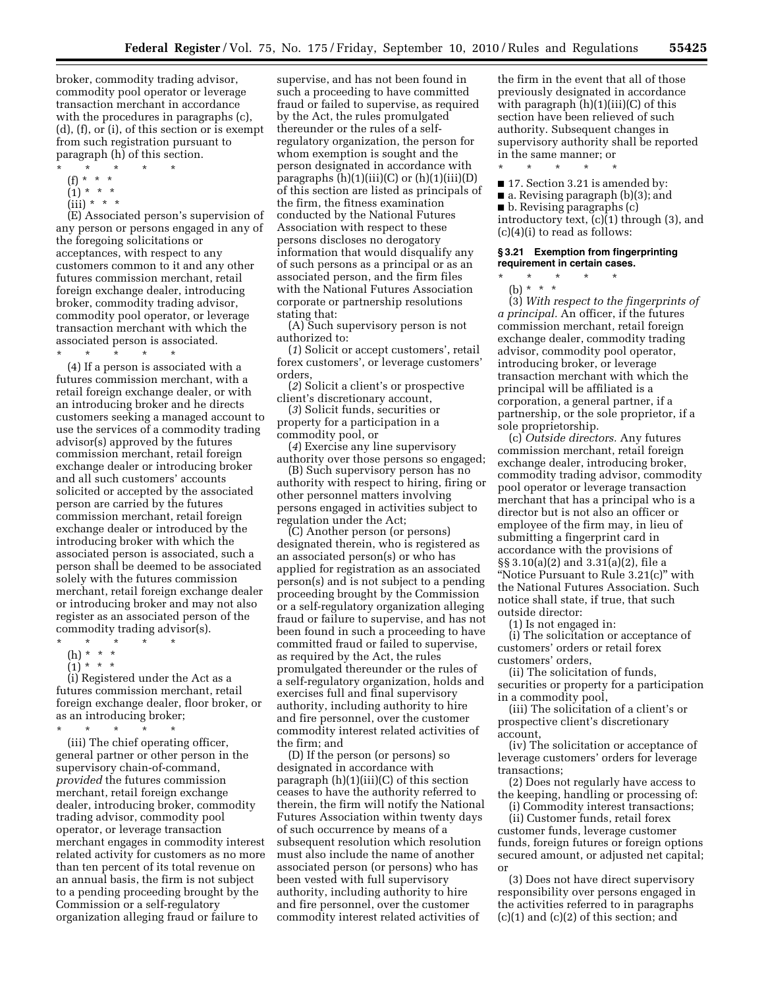broker, commodity trading advisor, commodity pool operator or leverage transaction merchant in accordance with the procedures in paragraphs (c), (d), (f), or (i), of this section or is exempt from such registration pursuant to paragraph (h) of this section.

- \* \* \* \* \*
- (f) \* \* \*
- $(1) * * * *$
- $(iii) * * * *$

(E) Associated person's supervision of any person or persons engaged in any of the foregoing solicitations or acceptances, with respect to any customers common to it and any other futures commission merchant, retail foreign exchange dealer, introducing broker, commodity trading advisor, commodity pool operator, or leverage transaction merchant with which the associated person is associated.

\* \* \* \* \*

(4) If a person is associated with a futures commission merchant, with a retail foreign exchange dealer, or with an introducing broker and he directs customers seeking a managed account to use the services of a commodity trading advisor(s) approved by the futures commission merchant, retail foreign exchange dealer or introducing broker and all such customers' accounts solicited or accepted by the associated person are carried by the futures commission merchant, retail foreign exchange dealer or introduced by the introducing broker with which the associated person is associated, such a person shall be deemed to be associated solely with the futures commission merchant, retail foreign exchange dealer or introducing broker and may not also register as an associated person of the commodity trading advisor(s).

- \* \* \* \* \*
- (h) \* \* \* \*
- $\binom{1}{1}$  \* \* \*

(i) Registered under the Act as a futures commission merchant, retail foreign exchange dealer, floor broker, or as an introducing broker;

\* \* \* \* \*

(iii) The chief operating officer, general partner or other person in the supervisory chain-of-command, *provided* the futures commission merchant, retail foreign exchange dealer, introducing broker, commodity trading advisor, commodity pool operator, or leverage transaction merchant engages in commodity interest related activity for customers as no more than ten percent of its total revenue on an annual basis, the firm is not subject to a pending proceeding brought by the Commission or a self-regulatory organization alleging fraud or failure to

supervise, and has not been found in such a proceeding to have committed fraud or failed to supervise, as required by the Act, the rules promulgated thereunder or the rules of a selfregulatory organization, the person for whom exemption is sought and the person designated in accordance with paragraphs (h)(1)(iii)(C) or (h)(1)(iii)(D) of this section are listed as principals of the firm, the fitness examination conducted by the National Futures Association with respect to these persons discloses no derogatory information that would disqualify any of such persons as a principal or as an associated person, and the firm files with the National Futures Association corporate or partnership resolutions stating that:

(A) Such supervisory person is not authorized to:

(*1*) Solicit or accept customers', retail forex customers', or leverage customers' orders,

(*2*) Solicit a client's or prospective client's discretionary account,

(*3*) Solicit funds, securities or property for a participation in a commodity pool, or

(*4*) Exercise any line supervisory authority over those persons so engaged;

(B) Such supervisory person has no authority with respect to hiring, firing or other personnel matters involving persons engaged in activities subject to regulation under the Act;

(C) Another person (or persons) designated therein, who is registered as an associated person(s) or who has applied for registration as an associated person(s) and is not subject to a pending proceeding brought by the Commission or a self-regulatory organization alleging fraud or failure to supervise, and has not been found in such a proceeding to have committed fraud or failed to supervise, as required by the Act, the rules promulgated thereunder or the rules of a self-regulatory organization, holds and exercises full and final supervisory authority, including authority to hire and fire personnel, over the customer commodity interest related activities of the firm; and

(D) If the person (or persons) so designated in accordance with paragraph  $(h)(1)(iii)(C)$  of this section ceases to have the authority referred to therein, the firm will notify the National Futures Association within twenty days of such occurrence by means of a subsequent resolution which resolution must also include the name of another associated person (or persons) who has been vested with full supervisory authority, including authority to hire and fire personnel, over the customer commodity interest related activities of

the firm in the event that all of those previously designated in accordance with paragraph  $(h)(1)(iii)(C)$  of this section have been relieved of such authority. Subsequent changes in supervisory authority shall be reported in the same manner; or  $\ast \quad \ast \quad \ast \quad \ast$ 

■ 17. Section 3.21 is amended by: ■ a. Revising paragraph (b)(3); and ■ b. Revising paragraphs (c) introductory text, (c)(1) through (3), and (c)(4)(i) to read as follows:

### **§ 3.21 Exemption from fingerprinting requirement in certain cases.**

\* \* \* \* \*

\* \* \* \* \*

(b) \* \* \*

(3) *With respect to the fingerprints of a principal.* An officer, if the futures commission merchant, retail foreign exchange dealer, commodity trading advisor, commodity pool operator, introducing broker, or leverage transaction merchant with which the principal will be affiliated is a corporation, a general partner, if a partnership, or the sole proprietor, if a sole proprietorship.

(c) *Outside directors.* Any futures commission merchant, retail foreign exchange dealer, introducing broker, commodity trading advisor, commodity pool operator or leverage transaction merchant that has a principal who is a director but is not also an officer or employee of the firm may, in lieu of submitting a fingerprint card in accordance with the provisions of §§ 3.10(a)(2) and 3.31(a)(2), file a ''Notice Pursuant to Rule 3.21(c)'' with the National Futures Association. Such notice shall state, if true, that such outside director:

(1) Is not engaged in:

(i) The solicitation or acceptance of customers' orders or retail forex customers' orders,

(ii) The solicitation of funds, securities or property for a participation in a commodity pool,

(iii) The solicitation of a client's or prospective client's discretionary account,

(iv) The solicitation or acceptance of leverage customers' orders for leverage transactions;

(2) Does not regularly have access to the keeping, handling or processing of:

(i) Commodity interest transactions;

(ii) Customer funds, retail forex customer funds, leverage customer funds, foreign futures or foreign options secured amount, or adjusted net capital; or

(3) Does not have direct supervisory responsibility over persons engaged in the activities referred to in paragraphs  $(c)(1)$  and  $(c)(2)$  of this section; and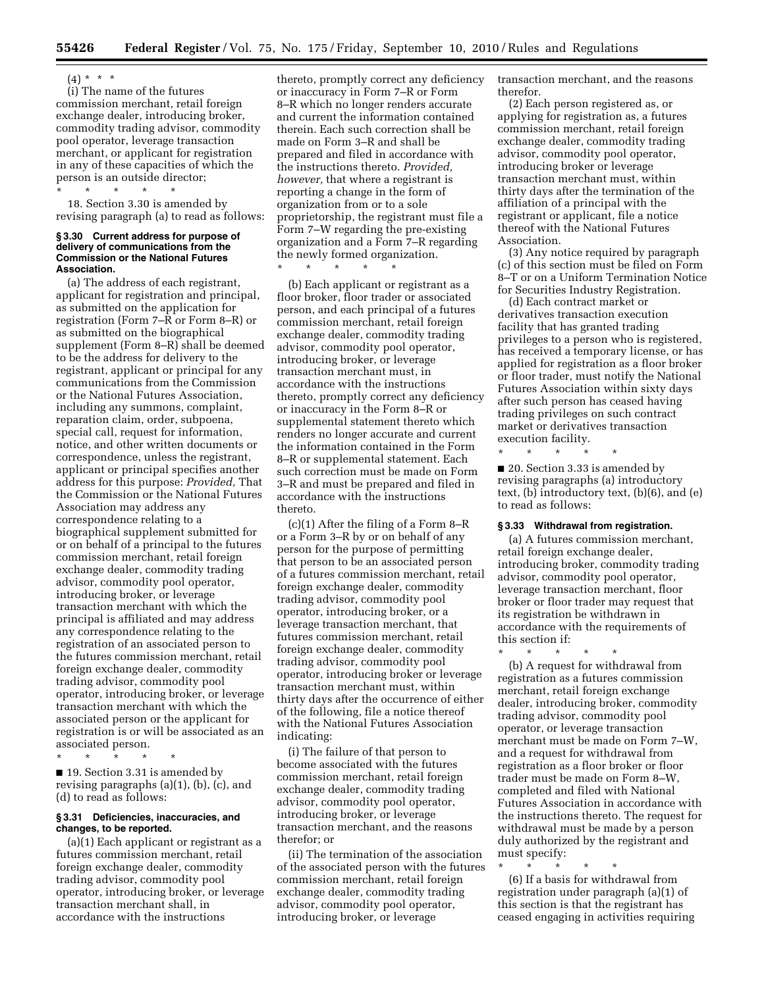$(4) * * * *$ 

(i) The name of the futures commission merchant, retail foreign exchange dealer, introducing broker, commodity trading advisor, commodity pool operator, leverage transaction merchant, or applicant for registration in any of these capacities of which the person is an outside director;

\* \* \* \* \* 18. Section 3.30 is amended by revising paragraph (a) to read as follows:

### **§ 3.30 Current address for purpose of delivery of communications from the Commission or the National Futures Association.**

(a) The address of each registrant, applicant for registration and principal, as submitted on the application for registration (Form 7–R or Form 8–R) or as submitted on the biographical supplement (Form 8–R) shall be deemed to be the address for delivery to the registrant, applicant or principal for any communications from the Commission or the National Futures Association, including any summons, complaint, reparation claim, order, subpoena, special call, request for information, notice, and other written documents or correspondence, unless the registrant, applicant or principal specifies another address for this purpose: *Provided,* That the Commission or the National Futures Association may address any correspondence relating to a biographical supplement submitted for or on behalf of a principal to the futures commission merchant, retail foreign exchange dealer, commodity trading advisor, commodity pool operator, introducing broker, or leverage transaction merchant with which the principal is affiliated and may address any correspondence relating to the registration of an associated person to the futures commission merchant, retail foreign exchange dealer, commodity trading advisor, commodity pool operator, introducing broker, or leverage transaction merchant with which the associated person or the applicant for registration is or will be associated as an associated person.

\* \* \* \* \*

■ 19. Section 3.31 is amended by revising paragraphs (a)(1), (b), (c), and (d) to read as follows:

## **§ 3.31 Deficiencies, inaccuracies, and changes, to be reported.**

(a)(1) Each applicant or registrant as a futures commission merchant, retail foreign exchange dealer, commodity trading advisor, commodity pool operator, introducing broker, or leverage transaction merchant shall, in accordance with the instructions

thereto, promptly correct any deficiency or inaccuracy in Form 7–R or Form 8–R which no longer renders accurate and current the information contained therein. Each such correction shall be made on Form 3–R and shall be prepared and filed in accordance with the instructions thereto. *Provided, however,* that where a registrant is reporting a change in the form of organization from or to a sole proprietorship, the registrant must file a Form 7–W regarding the pre-existing organization and a Form 7–R regarding the newly formed organization. \* \* \* \* \*

(b) Each applicant or registrant as a floor broker, floor trader or associated person, and each principal of a futures commission merchant, retail foreign exchange dealer, commodity trading advisor, commodity pool operator, introducing broker, or leverage transaction merchant must, in accordance with the instructions thereto, promptly correct any deficiency or inaccuracy in the Form 8–R or supplemental statement thereto which renders no longer accurate and current the information contained in the Form 8–R or supplemental statement. Each such correction must be made on Form 3–R and must be prepared and filed in accordance with the instructions thereto.

(c)(1) After the filing of a Form 8–R or a Form 3–R by or on behalf of any person for the purpose of permitting that person to be an associated person of a futures commission merchant, retail foreign exchange dealer, commodity trading advisor, commodity pool operator, introducing broker, or a leverage transaction merchant, that futures commission merchant, retail foreign exchange dealer, commodity trading advisor, commodity pool operator, introducing broker or leverage transaction merchant must, within thirty days after the occurrence of either of the following, file a notice thereof with the National Futures Association indicating:

(i) The failure of that person to become associated with the futures commission merchant, retail foreign exchange dealer, commodity trading advisor, commodity pool operator, introducing broker, or leverage transaction merchant, and the reasons therefor; or

(ii) The termination of the association of the associated person with the futures commission merchant, retail foreign exchange dealer, commodity trading advisor, commodity pool operator, introducing broker, or leverage

transaction merchant, and the reasons therefor.

(2) Each person registered as, or applying for registration as, a futures commission merchant, retail foreign exchange dealer, commodity trading advisor, commodity pool operator, introducing broker or leverage transaction merchant must, within thirty days after the termination of the affiliation of a principal with the registrant or applicant, file a notice thereof with the National Futures Association.

(3) Any notice required by paragraph (c) of this section must be filed on Form 8–T or on a Uniform Termination Notice for Securities Industry Registration.

(d) Each contract market or derivatives transaction execution facility that has granted trading privileges to a person who is registered, has received a temporary license, or has applied for registration as a floor broker or floor trader, must notify the National Futures Association within sixty days after such person has ceased having trading privileges on such contract market or derivatives transaction execution facility.

■ 20. Section 3.33 is amended by revising paragraphs (a) introductory text, (b) introductory text, (b)(6), and (e) to read as follows:

## **§ 3.33 Withdrawal from registration.**

\* \* \* \* \*

(a) A futures commission merchant, retail foreign exchange dealer, introducing broker, commodity trading advisor, commodity pool operator, leverage transaction merchant, floor broker or floor trader may request that its registration be withdrawn in accordance with the requirements of this section if:

\* \* \* \* \*

(b) A request for withdrawal from registration as a futures commission merchant, retail foreign exchange dealer, introducing broker, commodity trading advisor, commodity pool operator, or leverage transaction merchant must be made on Form 7–W, and a request for withdrawal from registration as a floor broker or floor trader must be made on Form 8–W, completed and filed with National Futures Association in accordance with the instructions thereto. The request for withdrawal must be made by a person duly authorized by the registrant and must specify:

\* \* \* \* \* (6) If a basis for withdrawal from registration under paragraph (a)(1) of this section is that the registrant has ceased engaging in activities requiring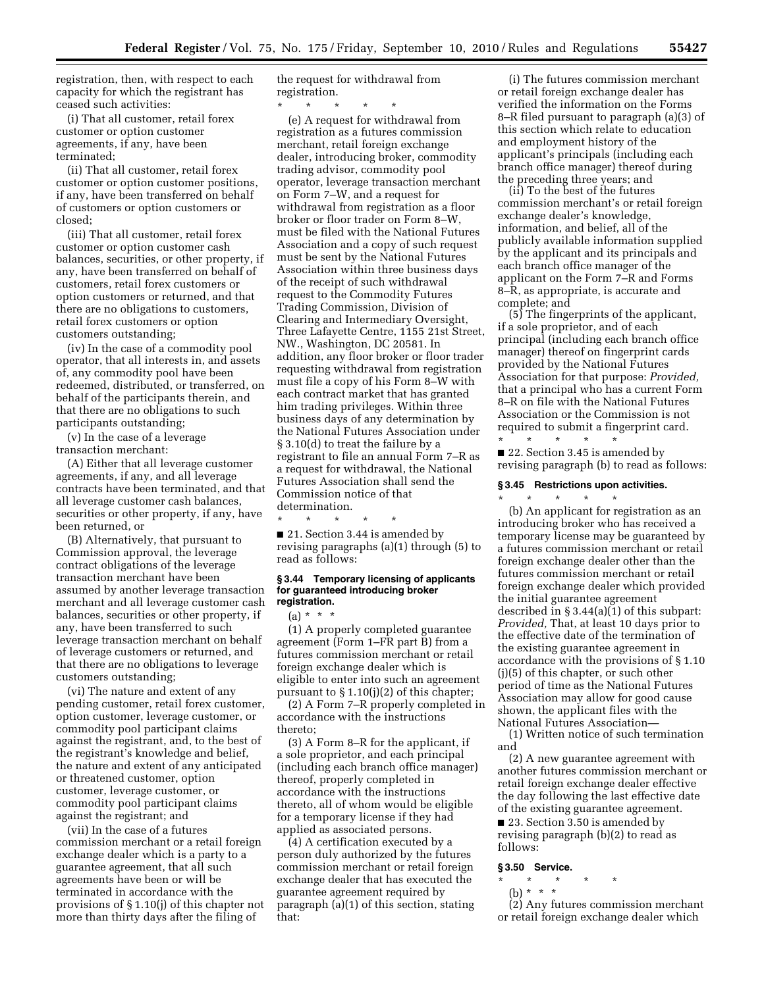registration, then, with respect to each capacity for which the registrant has ceased such activities:

(i) That all customer, retail forex customer or option customer agreements, if any, have been terminated;

(ii) That all customer, retail forex customer or option customer positions, if any, have been transferred on behalf of customers or option customers or closed;

(iii) That all customer, retail forex customer or option customer cash balances, securities, or other property, if any, have been transferred on behalf of customers, retail forex customers or option customers or returned, and that there are no obligations to customers, retail forex customers or option customers outstanding;

(iv) In the case of a commodity pool operator, that all interests in, and assets of, any commodity pool have been redeemed, distributed, or transferred, on behalf of the participants therein, and that there are no obligations to such participants outstanding;

(v) In the case of a leverage transaction merchant:

(A) Either that all leverage customer agreements, if any, and all leverage contracts have been terminated, and that all leverage customer cash balances, securities or other property, if any, have been returned, or

(B) Alternatively, that pursuant to Commission approval, the leverage contract obligations of the leverage transaction merchant have been assumed by another leverage transaction merchant and all leverage customer cash balances, securities or other property, if any, have been transferred to such leverage transaction merchant on behalf of leverage customers or returned, and that there are no obligations to leverage customers outstanding;

(vi) The nature and extent of any pending customer, retail forex customer, option customer, leverage customer, or commodity pool participant claims against the registrant, and, to the best of the registrant's knowledge and belief, the nature and extent of any anticipated or threatened customer, option customer, leverage customer, or commodity pool participant claims against the registrant; and

(vii) In the case of a futures commission merchant or a retail foreign exchange dealer which is a party to a guarantee agreement, that all such agreements have been or will be terminated in accordance with the provisions of § 1.10(j) of this chapter not more than thirty days after the filing of

the request for withdrawal from registration.

\* \* \* \* \*

(e) A request for withdrawal from registration as a futures commission merchant, retail foreign exchange dealer, introducing broker, commodity trading advisor, commodity pool operator, leverage transaction merchant on Form 7–W, and a request for withdrawal from registration as a floor broker or floor trader on Form 8–W, must be filed with the National Futures Association and a copy of such request must be sent by the National Futures Association within three business days of the receipt of such withdrawal request to the Commodity Futures Trading Commission, Division of Clearing and Intermediary Oversight, Three Lafayette Centre, 1155 21st Street, NW., Washington, DC 20581. In addition, any floor broker or floor trader requesting withdrawal from registration must file a copy of his Form 8–W with each contract market that has granted him trading privileges. Within three business days of any determination by the National Futures Association under § 3.10(d) to treat the failure by a registrant to file an annual Form 7–R as a request for withdrawal, the National Futures Association shall send the Commission notice of that determination.

\* \* \* \* \* ■ 21. Section 3.44 is amended by revising paragraphs (a)(1) through (5) to read as follows:

#### **§ 3.44 Temporary licensing of applicants for guaranteed introducing broker registration.**

 $(a) * * * *$ 

(1) A properly completed guarantee agreement (Form 1–FR part B) from a futures commission merchant or retail foreign exchange dealer which is eligible to enter into such an agreement pursuant to § 1.10(j)(2) of this chapter;

(2) A Form 7–R properly completed in accordance with the instructions thereto;

(3) A Form 8–R for the applicant, if a sole proprietor, and each principal (including each branch office manager) thereof, properly completed in accordance with the instructions thereto, all of whom would be eligible for a temporary license if they had applied as associated persons.

(4) A certification executed by a person duly authorized by the futures commission merchant or retail foreign exchange dealer that has executed the guarantee agreement required by paragraph (a)(1) of this section, stating that:

(i) The futures commission merchant or retail foreign exchange dealer has verified the information on the Forms 8–R filed pursuant to paragraph (a)(3) of this section which relate to education and employment history of the applicant's principals (including each branch office manager) thereof during the preceding three years; and

(ii) To the best of the futures commission merchant's or retail foreign exchange dealer's knowledge, information, and belief, all of the publicly available information supplied by the applicant and its principals and each branch office manager of the applicant on the Form 7–R and Forms 8–R, as appropriate, is accurate and complete; and

(5) The fingerprints of the applicant, if a sole proprietor, and of each principal (including each branch office manager) thereof on fingerprint cards provided by the National Futures Association for that purpose: *Provided,*  that a principal who has a current Form 8–R on file with the National Futures Association or the Commission is not required to submit a fingerprint card.

■ 22. Section 3.45 is amended by revising paragraph (b) to read as follows:

## **§ 3.45 Restrictions upon activities.**

\* \* \* \* \*

\* \* \* \* \* (b) An applicant for registration as an introducing broker who has received a temporary license may be guaranteed by a futures commission merchant or retail foreign exchange dealer other than the futures commission merchant or retail foreign exchange dealer which provided the initial guarantee agreement described in § 3.44(a)(1) of this subpart: *Provided,* That, at least 10 days prior to the effective date of the termination of the existing guarantee agreement in accordance with the provisions of § 1.10 (j)(5) of this chapter, or such other period of time as the National Futures Association may allow for good cause shown, the applicant files with the National Futures Association—

(1) Written notice of such termination and

(2) A new guarantee agreement with another futures commission merchant or retail foreign exchange dealer effective the day following the last effective date of the existing guarantee agreement.

■ 23. Section 3.50 is amended by revising paragraph (b)(2) to read as follows:

#### **§ 3.50 Service.**

## $*$  \*

(b) \* \* \*

(2) Any futures commission merchant or retail foreign exchange dealer which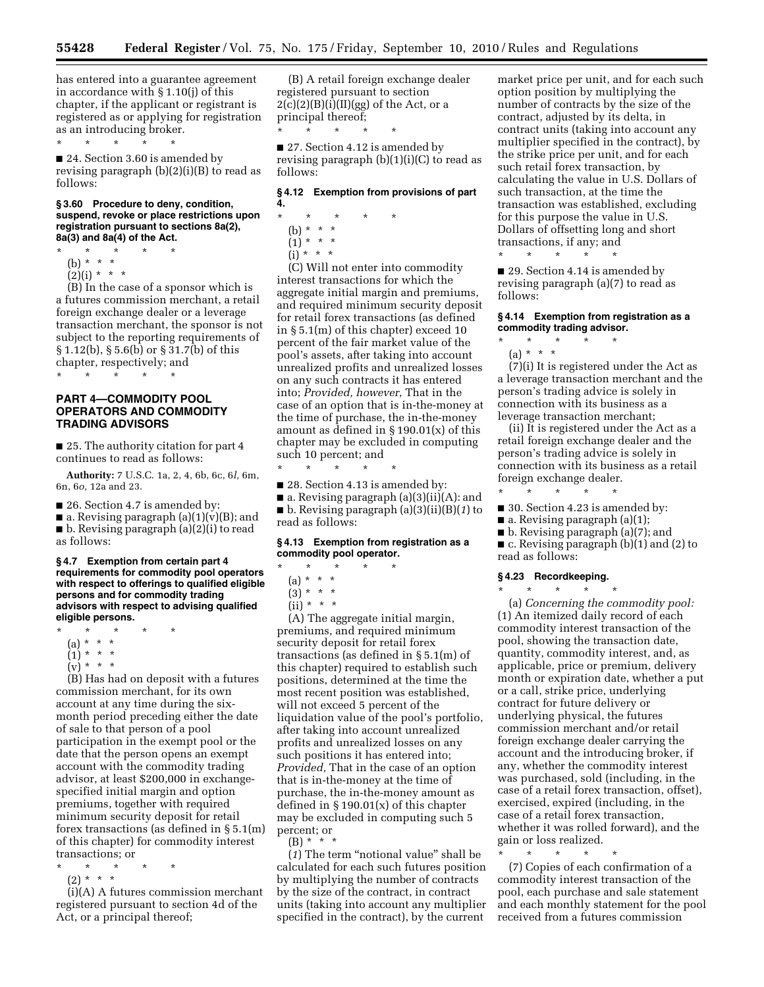\* \* \* \* \*

has entered into a guarantee agreement in accordance with § 1.10(j) of this chapter, if the applicant or registrant is registered as or applying for registration as an introducing broker.

\* \* \* \* \*

■ 24. Section 3.60 is amended by revising paragraph (b)(2)(i)(B) to read as follows:

**§ 3.60 Procedure to deny, condition, suspend, revoke or place restrictions upon registration pursuant to sections 8a(2), 8a(3) and 8a(4) of the Act.** 

- \* \* \* \* \*
	- (b) \* \* \*
	- $(2)(i) * * * *$

(B) In the case of a sponsor which is a futures commission merchant, a retail foreign exchange dealer or a leverage transaction merchant, the sponsor is not subject to the reporting requirements of § 1.12(b), § 5.6(b) or § 31.7(b) of this chapter, respectively; and

\* \* \* \* \*

## **PART 4—COMMODITY POOL OPERATORS AND COMMODITY TRADING ADVISORS**

■ 25. The authority citation for part 4 continues to read as follows:

**Authority:** 7 U.S.C. 1a, 2, 4, 6b, 6c, 6*l,* 6m, 6n, 6*o,* 12a and 23.

■ 26. Section 4.7 is amended by:

■ a. Revising paragraph (a)(1)(v)(B); and ■ b. Revising paragraph (a)(2)(i) to read as follows:

**§ 4.7 Exemption from certain part 4 requirements for commodity pool operators with respect to offerings to qualified eligible persons and for commodity trading advisors with respect to advising qualified eligible persons.** 

- \* \* \* \* \*
- (a) \* \* \*
- $\binom{1}{1}$  \* \* \*
- $(v) * * * *$

(B) Has had on deposit with a futures commission merchant, for its own account at any time during the sixmonth period preceding either the date of sale to that person of a pool participation in the exempt pool or the date that the person opens an exempt account with the commodity trading advisor, at least \$200,000 in exchangespecified initial margin and option premiums, together with required minimum security deposit for retail forex transactions (as defined in § 5.1(m) of this chapter) for commodity interest transactions; or

- \* \* \* \* \*
- (2) \* \* \*

(i)(A) A futures commission merchant registered pursuant to section 4d of the Act, or a principal thereof;

(B) A retail foreign exchange dealer registered pursuant to section  $2(c)(2)(B)(i)(II)(gg)$  of the Act, or a principal thereof;

■ 27. Section 4.12 is amended by revising paragraph (b)(1)(i)(C) to read as follows:

### **§ 4.12 Exemption from provisions of part 4.**

- \* \* \* \* \*
	- (b) \* \* \*  $(i) * * * *$
	- $(i) * * * *$

(C) Will not enter into commodity interest transactions for which the aggregate initial margin and premiums, and required minimum security deposit for retail forex transactions (as defined in § 5.1(m) of this chapter) exceed 10 percent of the fair market value of the pool's assets, after taking into account unrealized profits and unrealized losses on any such contracts it has entered into; *Provided, however,* That in the case of an option that is in-the-money at the time of purchase, the in-the-money amount as defined in  $\S 190.01(x)$  of this chapter may be excluded in computing such 10 percent; and

- \* \* \* \* \*
- 28. Section 4.13 is amended by:

■ a. Revising paragraph (a)(3)(ii)(A): and

■ b. Revising paragraph (a)(3)(ii)(B)(*1*) to read as follows:

## **§ 4.13 Exemption from registration as a commodity pool operator.**

\* \* \* \* \*

(a) \* \* \*

 $(3) * * * *$ 

 $(ii) * * * *$ 

(A) The aggregate initial margin, premiums, and required minimum security deposit for retail forex transactions (as defined in § 5.1(m) of this chapter) required to establish such positions, determined at the time the most recent position was established, will not exceed 5 percent of the liquidation value of the pool's portfolio, after taking into account unrealized profits and unrealized losses on any such positions it has entered into; *Provided,* That in the case of an option that is in-the-money at the time of purchase, the in-the-money amount as defined in § 190.01(x) of this chapter may be excluded in computing such 5 percent; or

 $(B) * * * *$ 

(*1*) The term ''notional value'' shall be calculated for each such futures position by multiplying the number of contracts by the size of the contract, in contract units (taking into account any multiplier specified in the contract), by the current

market price per unit, and for each such option position by multiplying the number of contracts by the size of the contract, adjusted by its delta, in contract units (taking into account any multiplier specified in the contract), by the strike price per unit, and for each such retail forex transaction, by calculating the value in U.S. Dollars of such transaction, at the time the transaction was established, excluding for this purpose the value in U.S. Dollars of offsetting long and short transactions, if any; and

\* \* \* \* \* ■ 29. Section 4.14 is amended by

revising paragraph (a)(7) to read as follows:

### **§ 4.14 Exemption from registration as a commodity trading advisor.**

\* \* \* \* \* (a) \* \* \*

(7)(i) It is registered under the Act as a leverage transaction merchant and the person's trading advice is solely in connection with its business as a leverage transaction merchant;

(ii) It is registered under the Act as a retail foreign exchange dealer and the person's trading advice is solely in connection with its business as a retail foreign exchange dealer. \* \* \* \* \*

■ 30. Section 4.23 is amended by:

- $\blacksquare$  a. Revising paragraph (a)(1);
- b. Revising paragraph (a)(7); and

■ c. Revising paragraph (b)(1) and (2) to read as follows:

### **§ 4.23 Recordkeeping.**  \* \* \* \* \*

(a) *Concerning the commodity pool:*  (1) An itemized daily record of each commodity interest transaction of the pool, showing the transaction date, quantity, commodity interest, and, as applicable, price or premium, delivery month or expiration date, whether a put or a call, strike price, underlying contract for future delivery or underlying physical, the futures commission merchant and/or retail foreign exchange dealer carrying the account and the introducing broker, if any, whether the commodity interest was purchased, sold (including, in the case of a retail forex transaction, offset), exercised, expired (including, in the case of a retail forex transaction, whether it was rolled forward), and the gain or loss realized.

\* \* \* \* \* (7) Copies of each confirmation of a commodity interest transaction of the pool, each purchase and sale statement and each monthly statement for the pool received from a futures commission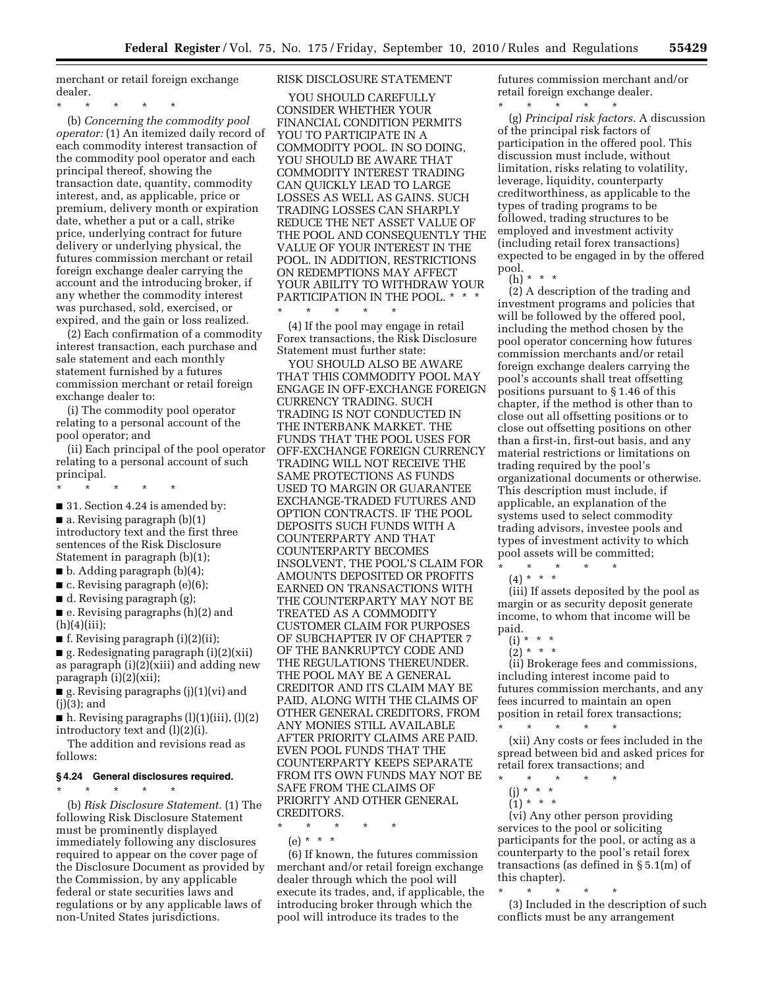merchant or retail foreign exchange dealer.

\* \* \* \* \*

(b) *Concerning the commodity pool operator:* (1) An itemized daily record of each commodity interest transaction of the commodity pool operator and each principal thereof, showing the transaction date, quantity, commodity interest, and, as applicable, price or premium, delivery month or expiration date, whether a put or a call, strike price, underlying contract for future delivery or underlying physical, the futures commission merchant or retail foreign exchange dealer carrying the account and the introducing broker, if any whether the commodity interest was purchased, sold, exercised, or expired, and the gain or loss realized.

(2) Each confirmation of a commodity interest transaction, each purchase and sale statement and each monthly statement furnished by a futures commission merchant or retail foreign exchange dealer to:

(i) The commodity pool operator relating to a personal account of the pool operator; and

(ii) Each principal of the pool operator relating to a personal account of such principal.

\* \* \* \* \*

■ 31. Section 4.24 is amended by:

 $\blacksquare$  a. Revising paragraph (b)(1) introductory text and the first three sentences of the Risk Disclosure Statement in paragraph (b)(1);

- $\blacksquare$  b. Adding paragraph (b)(4);
- $\blacksquare$  c. Revising paragraph (e)(6);
- $\blacksquare$  d. Revising paragraph (g);

 $\blacksquare$  e. Revising paragraphs (h)(2) and  $(h)(4)(iii)$ ;

■ f. Revising paragraph (i)(2)(ii);

 $\blacksquare$  g. Redesignating paragraph (i)(2)(xii) as paragraph (i)(2)(xiii) and adding new paragraph (i)(2)(xii);

■ g. Revising paragraphs (j)(1)(vi) and (j)(3); and

■ h. Revising paragraphs (l)(1)(iii), (l)(2) introductory text and (l)(2)(i).

The addition and revisions read as follows:

### **§ 4.24 General disclosures required.**

\* \* \* \* \* (b) *Risk Disclosure Statement.* (1) The following Risk Disclosure Statement must be prominently displayed immediately following any disclosures required to appear on the cover page of the Disclosure Document as provided by the Commission, by any applicable federal or state securities laws and regulations or by any applicable laws of non-United States jurisdictions.

## RISK DISCLOSURE STATEMENT

YOU SHOULD CAREFULLY CONSIDER WHETHER YOUR FINANCIAL CONDITION PERMITS YOU TO PARTICIPATE IN A COMMODITY POOL. IN SO DOING, YOU SHOULD BE AWARE THAT COMMODITY INTEREST TRADING CAN QUICKLY LEAD TO LARGE LOSSES AS WELL AS GAINS. SUCH TRADING LOSSES CAN SHARPLY REDUCE THE NET ASSET VALUE OF THE POOL AND CONSEQUENTLY THE VALUE OF YOUR INTEREST IN THE POOL. IN ADDITION, RESTRICTIONS ON REDEMPTIONS MAY AFFECT YOUR ABILITY TO WITHDRAW YOUR PARTICIPATION IN THE POOL. \* \* \*

(4) If the pool may engage in retail Forex transactions, the Risk Disclosure Statement must further state:

\* \* \* \* \*

YOU SHOULD ALSO BE AWARE THAT THIS COMMODITY POOL MAY ENGAGE IN OFF-EXCHANGE FOREIGN CURRENCY TRADING. SUCH TRADING IS NOT CONDUCTED IN THE INTERBANK MARKET. THE FUNDS THAT THE POOL USES FOR OFF-EXCHANGE FOREIGN CURRENCY TRADING WILL NOT RECEIVE THE SAME PROTECTIONS AS FUNDS USED TO MARGIN OR GUARANTEE EXCHANGE-TRADED FUTURES AND OPTION CONTRACTS. IF THE POOL DEPOSITS SUCH FUNDS WITH A COUNTERPARTY AND THAT COUNTERPARTY BECOMES INSOLVENT, THE POOL'S CLAIM FOR AMOUNTS DEPOSITED OR PROFITS EARNED ON TRANSACTIONS WITH THE COUNTERPARTY MAY NOT BE TREATED AS A COMMODITY CUSTOMER CLAIM FOR PURPOSES OF SUBCHAPTER IV OF CHAPTER 7 OF THE BANKRUPTCY CODE AND THE REGULATIONS THEREUNDER. THE POOL MAY BE A GENERAL CREDITOR AND ITS CLAIM MAY BE PAID, ALONG WITH THE CLAIMS OF OTHER GENERAL CREDITORS, FROM ANY MONIES STILL AVAILABLE AFTER PRIORITY CLAIMS ARE PAID. EVEN POOL FUNDS THAT THE COUNTERPARTY KEEPS SEPARATE FROM ITS OWN FUNDS MAY NOT BE SAFE FROM THE CLAIMS OF PRIORITY AND OTHER GENERAL CREDITORS.

\* \* \* \* \*

(e) \* \* \*

(6) If known, the futures commission merchant and/or retail foreign exchange dealer through which the pool will execute its trades, and, if applicable, the introducing broker through which the pool will introduce its trades to the

futures commission merchant and/or retail foreign exchange dealer.

\* \* \* \* \* (g) *Principal risk factors.* A discussion of the principal risk factors of participation in the offered pool. This discussion must include, without limitation, risks relating to volatility, leverage, liquidity, counterparty creditworthiness, as applicable to the types of trading programs to be followed, trading structures to be employed and investment activity (including retail forex transactions) expected to be engaged in by the offered pool.

(h) \* \* \*

(2) A description of the trading and investment programs and policies that will be followed by the offered pool, including the method chosen by the pool operator concerning how futures commission merchants and/or retail foreign exchange dealers carrying the pool's accounts shall treat offsetting positions pursuant to § 1.46 of this chapter, if the method is other than to close out all offsetting positions or to close out offsetting positions on other than a first-in, first-out basis, and any material restrictions or limitations on trading required by the pool's organizational documents or otherwise. This description must include, if applicable, an explanation of the systems used to select commodity trading advisors, investee pools and types of investment activity to which pool assets will be committed;

\* \* \* \* \*  $(4) * * * *$ 

(iii) If assets deposited by the pool as margin or as security deposit generate income, to whom that income will be paid.

- (i) \* \* \*
- $(2) * * * *$

(ii) Brokerage fees and commissions, including interest income paid to futures commission merchants, and any fees incurred to maintain an open position in retail forex transactions;

\* \* \* \* \* (xii) Any costs or fees included in the spread between bid and asked prices for retail forex transactions; and

- \* \* \* \* \*
	- (j) \* \* \*
	- $(1) * * * *$

(vi) Any other person providing services to the pool or soliciting participants for the pool, or acting as a counterparty to the pool's retail forex transactions (as defined in § 5.1(m) of this chapter).

\* \* \* \* \* (3) Included in the description of such conflicts must be any arrangement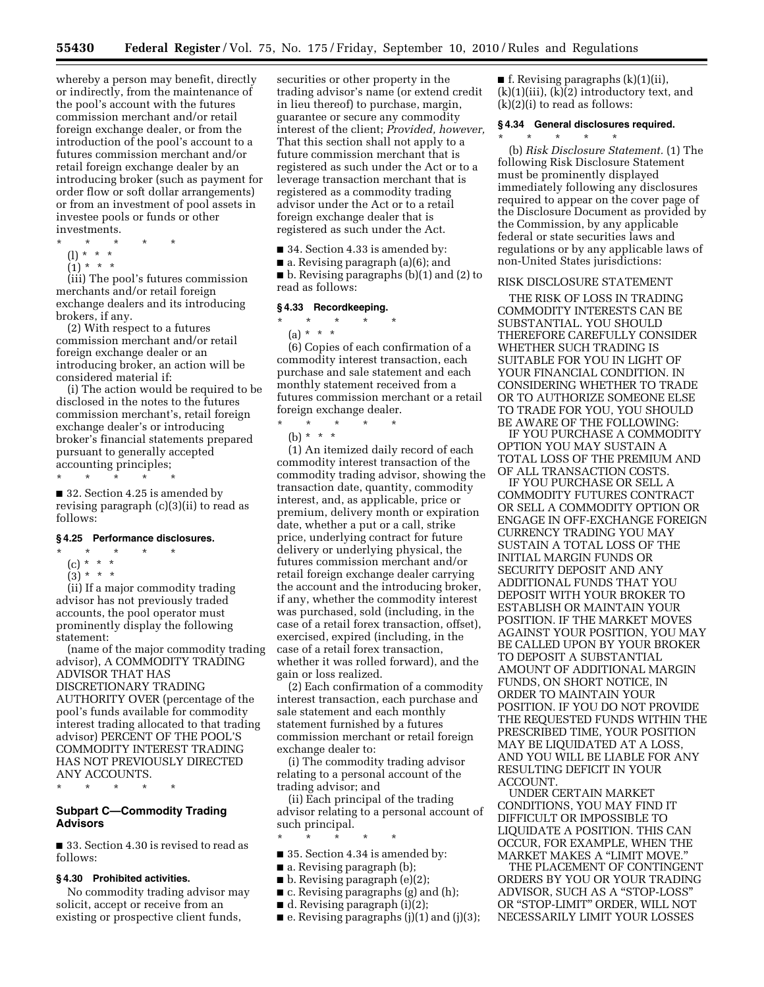whereby a person may benefit, directly or indirectly, from the maintenance of the pool's account with the futures commission merchant and/or retail foreign exchange dealer, or from the introduction of the pool's account to a futures commission merchant and/or retail foreign exchange dealer by an introducing broker (such as payment for order flow or soft dollar arrangements) or from an investment of pool assets in investee pools or funds or other investments.

- \* \* \* \* \*
- (l) \* \* \*
- (1) \* \* \*

(iii) The pool's futures commission merchants and/or retail foreign exchange dealers and its introducing brokers, if any.

(2) With respect to a futures commission merchant and/or retail foreign exchange dealer or an introducing broker, an action will be considered material if:

(i) The action would be required to be disclosed in the notes to the futures commission merchant's, retail foreign exchange dealer's or introducing broker's financial statements prepared pursuant to generally accepted accounting principles;  $\star$   $\qquad$   $\star$   $\qquad$   $\star$ 

■ 32. Section 4.25 is amended by revising paragraph (c)(3)(ii) to read as follows:

#### **§ 4.25 Performance disclosures.**

- \* \* \* \* \*
- (c) \* \* \*
- $(3) * * * *$

(ii) If a major commodity trading advisor has not previously traded accounts, the pool operator must prominently display the following statement:

(name of the major commodity trading advisor), A COMMODITY TRADING ADVISOR THAT HAS DISCRETIONARY TRADING AUTHORITY OVER (percentage of the pool's funds available for commodity interest trading allocated to that trading advisor) PERCENT OF THE POOL'S COMMODITY INTEREST TRADING HAS NOT PREVIOUSLY DIRECTED ANY ACCOUNTS.

\* \* \* \* \*

## **Subpart C—Commodity Trading Advisors**

■ 33. Section 4.30 is revised to read as follows:

## **§ 4.30 Prohibited activities.**

No commodity trading advisor may solicit, accept or receive from an existing or prospective client funds,

securities or other property in the trading advisor's name (or extend credit in lieu thereof) to purchase, margin, guarantee or secure any commodity interest of the client; *Provided, however,*  That this section shall not apply to a future commission merchant that is registered as such under the Act or to a leverage transaction merchant that is registered as a commodity trading advisor under the Act or to a retail foreign exchange dealer that is registered as such under the Act.

■ 34. Section 4.33 is amended by:

■ a. Revising paragraph (a)(6); and ■ b. Revising paragraphs (b)(1) and (2) to read as follows:

## **§ 4.33 Recordkeeping.**

\* \* \* \* \*  $(a) * * * *$ 

(6) Copies of each confirmation of a commodity interest transaction, each purchase and sale statement and each monthly statement received from a futures commission merchant or a retail foreign exchange dealer.

 $\star$   $\star$   $\star$ (b) \* \* \*

(1) An itemized daily record of each commodity interest transaction of the commodity trading advisor, showing the transaction date, quantity, commodity interest, and, as applicable, price or premium, delivery month or expiration date, whether a put or a call, strike price, underlying contract for future delivery or underlying physical, the futures commission merchant and/or retail foreign exchange dealer carrying the account and the introducing broker, if any, whether the commodity interest was purchased, sold (including, in the case of a retail forex transaction, offset), exercised, expired (including, in the case of a retail forex transaction, whether it was rolled forward), and the gain or loss realized.

(2) Each confirmation of a commodity interest transaction, each purchase and sale statement and each monthly statement furnished by a futures commission merchant or retail foreign exchange dealer to:

(i) The commodity trading advisor relating to a personal account of the trading advisor; and

(ii) Each principal of the trading advisor relating to a personal account of such principal.

- \* \* \* \* \*
- 35. Section 4.34 is amended by:
- a. Revising paragraph (b);
- b. Revising paragraph (e)(2);
- $\blacksquare$  c. Revising paragraphs (g) and (h);
- d. Revising paragraph (i)(2);
- $\blacksquare$  e. Revising paragraphs (j)(1) and (j)(3);

■ f. Revising paragraphs (k)(1)(ii),  $(k)(1)(iii)$ ,  $(k)(2)$  introductory text, and (k)(2)(i) to read as follows:

### **§ 4.34 General disclosures required.**  \* \* \* \* \*

(b) *Risk Disclosure Statement.* (1) The following Risk Disclosure Statement must be prominently displayed immediately following any disclosures required to appear on the cover page of the Disclosure Document as provided by the Commission, by any applicable federal or state securities laws and regulations or by any applicable laws of non-United States jurisdictions:

### RISK DISCLOSURE STATEMENT

THE RISK OF LOSS IN TRADING COMMODITY INTERESTS CAN BE SUBSTANTIAL. YOU SHOULD THEREFORE CAREFULLY CONSIDER WHETHER SUCH TRADING IS SUITABLE FOR YOU IN LIGHT OF YOUR FINANCIAL CONDITION. IN CONSIDERING WHETHER TO TRADE OR TO AUTHORIZE SOMEONE ELSE TO TRADE FOR YOU, YOU SHOULD BE AWARE OF THE FOLLOWING:

IF YOU PURCHASE A COMMODITY OPTION YOU MAY SUSTAIN A TOTAL LOSS OF THE PREMIUM AND OF ALL TRANSACTION COSTS.

IF YOU PURCHASE OR SELL A COMMODITY FUTURES CONTRACT OR SELL A COMMODITY OPTION OR ENGAGE IN OFF-EXCHANGE FOREIGN CURRENCY TRADING YOU MAY SUSTAIN A TOTAL LOSS OF THE INITIAL MARGIN FUNDS OR SECURITY DEPOSIT AND ANY ADDITIONAL FUNDS THAT YOU DEPOSIT WITH YOUR BROKER TO ESTABLISH OR MAINTAIN YOUR POSITION. IF THE MARKET MOVES AGAINST YOUR POSITION, YOU MAY BE CALLED UPON BY YOUR BROKER TO DEPOSIT A SUBSTANTIAL AMOUNT OF ADDITIONAL MARGIN FUNDS, ON SHORT NOTICE, IN ORDER TO MAINTAIN YOUR POSITION. IF YOU DO NOT PROVIDE THE REQUESTED FUNDS WITHIN THE PRESCRIBED TIME, YOUR POSITION MAY BE LIQUIDATED AT A LOSS, AND YOU WILL BE LIABLE FOR ANY RESULTING DEFICIT IN YOUR ACCOUNT.

UNDER CERTAIN MARKET CONDITIONS, YOU MAY FIND IT DIFFICULT OR IMPOSSIBLE TO LIQUIDATE A POSITION. THIS CAN OCCUR, FOR EXAMPLE, WHEN THE MARKET MAKES A ''LIMIT MOVE.''

THE PLACEMENT OF CONTINGENT ORDERS BY YOU OR YOUR TRADING ADVISOR, SUCH AS A ''STOP-LOSS'' OR ''STOP-LIMIT'' ORDER, WILL NOT NECESSARILY LIMIT YOUR LOSSES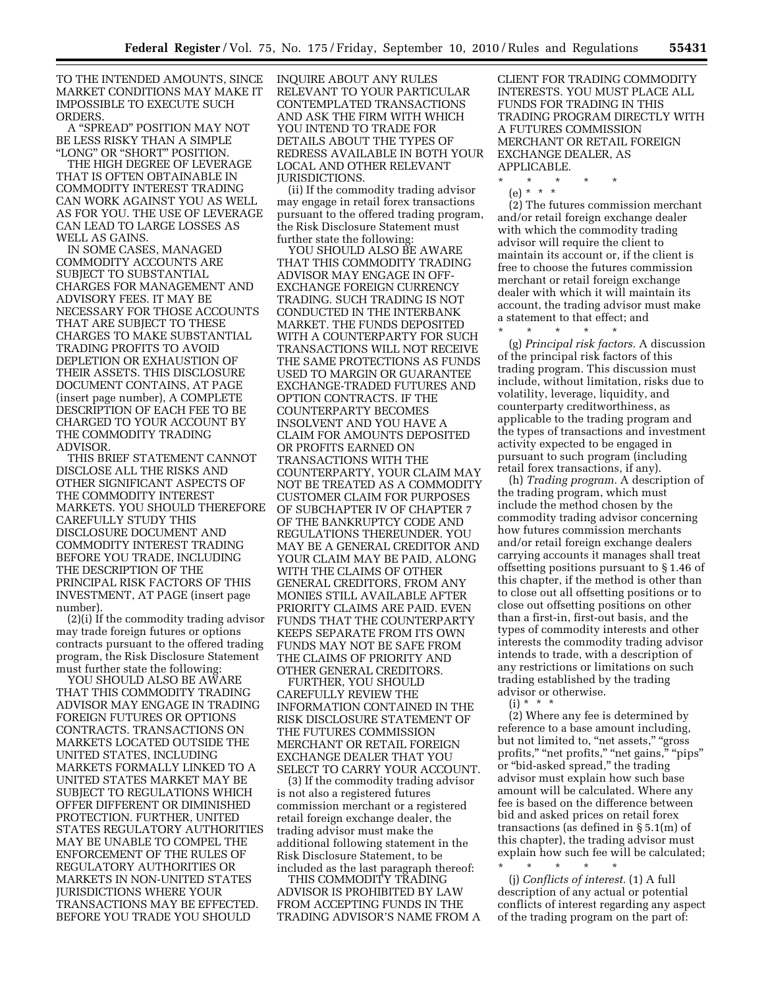TO THE INTENDED AMOUNTS, SINCE MARKET CONDITIONS MAY MAKE IT IMPOSSIBLE TO EXECUTE SUCH ORDERS.

A ''SPREAD'' POSITION MAY NOT BE LESS RISKY THAN A SIMPLE "LONG" OR "SHORT" POSITION.

THE HIGH DEGREE OF LEVERAGE THAT IS OFTEN OBTAINABLE IN COMMODITY INTEREST TRADING CAN WORK AGAINST YOU AS WELL AS FOR YOU. THE USE OF LEVERAGE CAN LEAD TO LARGE LOSSES AS WELL AS GAINS.

IN SOME CASES, MANAGED COMMODITY ACCOUNTS ARE SUBJECT TO SUBSTANTIAL CHARGES FOR MANAGEMENT AND ADVISORY FEES. IT MAY BE NECESSARY FOR THOSE ACCOUNTS THAT ARE SUBJECT TO THESE CHARGES TO MAKE SUBSTANTIAL TRADING PROFITS TO AVOID DEPLETION OR EXHAUSTION OF THEIR ASSETS. THIS DISCLOSURE DOCUMENT CONTAINS, AT PAGE (insert page number), A COMPLETE DESCRIPTION OF EACH FEE TO BE CHARGED TO YOUR ACCOUNT BY THE COMMODITY TRADING ADVISOR.

THIS BRIEF STATEMENT CANNOT DISCLOSE ALL THE RISKS AND OTHER SIGNIFICANT ASPECTS OF THE COMMODITY INTEREST MARKETS. YOU SHOULD THEREFORE CAREFULLY STUDY THIS DISCLOSURE DOCUMENT AND COMMODITY INTEREST TRADING BEFORE YOU TRADE, INCLUDING THE DESCRIPTION OF THE PRINCIPAL RISK FACTORS OF THIS INVESTMENT, AT PAGE (insert page number).

(2)(i) If the commodity trading advisor may trade foreign futures or options contracts pursuant to the offered trading program, the Risk Disclosure Statement must further state the following:

YOU SHOULD ALSO BE AWARE THAT THIS COMMODITY TRADING ADVISOR MAY ENGAGE IN TRADING FOREIGN FUTURES OR OPTIONS CONTRACTS. TRANSACTIONS ON MARKETS LOCATED OUTSIDE THE UNITED STATES, INCLUDING MARKETS FORMALLY LINKED TO A UNITED STATES MARKET MAY BE SUBJECT TO REGULATIONS WHICH OFFER DIFFERENT OR DIMINISHED PROTECTION. FURTHER, UNITED STATES REGULATORY AUTHORITIES MAY BE UNABLE TO COMPEL THE ENFORCEMENT OF THE RULES OF REGULATORY AUTHORITIES OR MARKETS IN NON-UNITED STATES JURISDICTIONS WHERE YOUR TRANSACTIONS MAY BE EFFECTED. BEFORE YOU TRADE YOU SHOULD

INQUIRE ABOUT ANY RULES RELEVANT TO YOUR PARTICULAR CONTEMPLATED TRANSACTIONS AND ASK THE FIRM WITH WHICH YOU INTEND TO TRADE FOR DETAILS ABOUT THE TYPES OF REDRESS AVAILABLE IN BOTH YOUR LOCAL AND OTHER RELEVANT JURISDICTIONS.

(ii) If the commodity trading advisor may engage in retail forex transactions pursuant to the offered trading program, the Risk Disclosure Statement must further state the following:

YOU SHOULD ALSO BE AWARE THAT THIS COMMODITY TRADING ADVISOR MAY ENGAGE IN OFF-EXCHANGE FOREIGN CURRENCY TRADING. SUCH TRADING IS NOT CONDUCTED IN THE INTERBANK MARKET. THE FUNDS DEPOSITED WITH A COUNTERPARTY FOR SUCH TRANSACTIONS WILL NOT RECEIVE THE SAME PROTECTIONS AS FUNDS USED TO MARGIN OR GUARANTEE EXCHANGE-TRADED FUTURES AND OPTION CONTRACTS. IF THE COUNTERPARTY BECOMES INSOLVENT AND YOU HAVE A CLAIM FOR AMOUNTS DEPOSITED OR PROFITS EARNED ON TRANSACTIONS WITH THE COUNTERPARTY, YOUR CLAIM MAY NOT BE TREATED AS A COMMODITY CUSTOMER CLAIM FOR PURPOSES OF SUBCHAPTER IV OF CHAPTER 7 OF THE BANKRUPTCY CODE AND REGULATIONS THEREUNDER. YOU MAY BE A GENERAL CREDITOR AND YOUR CLAIM MAY BE PAID, ALONG WITH THE CLAIMS OF OTHER GENERAL CREDITORS, FROM ANY MONIES STILL AVAILABLE AFTER PRIORITY CLAIMS ARE PAID. EVEN FUNDS THAT THE COUNTERPARTY KEEPS SEPARATE FROM ITS OWN FUNDS MAY NOT BE SAFE FROM THE CLAIMS OF PRIORITY AND OTHER GENERAL CREDITORS.

FURTHER, YOU SHOULD CAREFULLY REVIEW THE INFORMATION CONTAINED IN THE RISK DISCLOSURE STATEMENT OF THE FUTURES COMMISSION MERCHANT OR RETAIL FOREIGN EXCHANGE DEALER THAT YOU SELECT TO CARRY YOUR ACCOUNT.

(3) If the commodity trading advisor is not also a registered futures commission merchant or a registered retail foreign exchange dealer, the trading advisor must make the additional following statement in the Risk Disclosure Statement, to be included as the last paragraph thereof:

THIS COMMODITY TRADING ADVISOR IS PROHIBITED BY LAW FROM ACCEPTING FUNDS IN THE TRADING ADVISOR'S NAME FROM A

CLIENT FOR TRADING COMMODITY INTERESTS. YOU MUST PLACE ALL FUNDS FOR TRADING IN THIS TRADING PROGRAM DIRECTLY WITH A FUTURES COMMISSION MERCHANT OR RETAIL FOREIGN EXCHANGE DEALER, AS APPLICABLE.

\* \* \* \* \*

(e) \* \* \*

(2) The futures commission merchant and/or retail foreign exchange dealer with which the commodity trading advisor will require the client to maintain its account or, if the client is free to choose the futures commission merchant or retail foreign exchange dealer with which it will maintain its account, the trading advisor must make a statement to that effect; and

\* \* \* \* \* (g) *Principal risk factors.* A discussion of the principal risk factors of this trading program. This discussion must include, without limitation, risks due to volatility, leverage, liquidity, and counterparty creditworthiness, as applicable to the trading program and the types of transactions and investment activity expected to be engaged in pursuant to such program (including retail forex transactions, if any).

(h) *Trading program.* A description of the trading program, which must include the method chosen by the commodity trading advisor concerning how futures commission merchants and/or retail foreign exchange dealers carrying accounts it manages shall treat offsetting positions pursuant to § 1.46 of this chapter, if the method is other than to close out all offsetting positions or to close out offsetting positions on other than a first-in, first-out basis, and the types of commodity interests and other interests the commodity trading advisor intends to trade, with a description of any restrictions or limitations on such trading established by the trading advisor or otherwise.

 $(i) * * * *$ 

(2) Where any fee is determined by reference to a base amount including, but not limited to, "net assets," "gross profits," "net profits," "net gains," "pips" or "bid-asked spread," the trading advisor must explain how such base amount will be calculated. Where any fee is based on the difference between bid and asked prices on retail forex transactions (as defined in § 5.1(m) of this chapter), the trading advisor must explain how such fee will be calculated; \* \* \* \* \*

(j) *Conflicts of interest.* (1) A full description of any actual or potential conflicts of interest regarding any aspect of the trading program on the part of: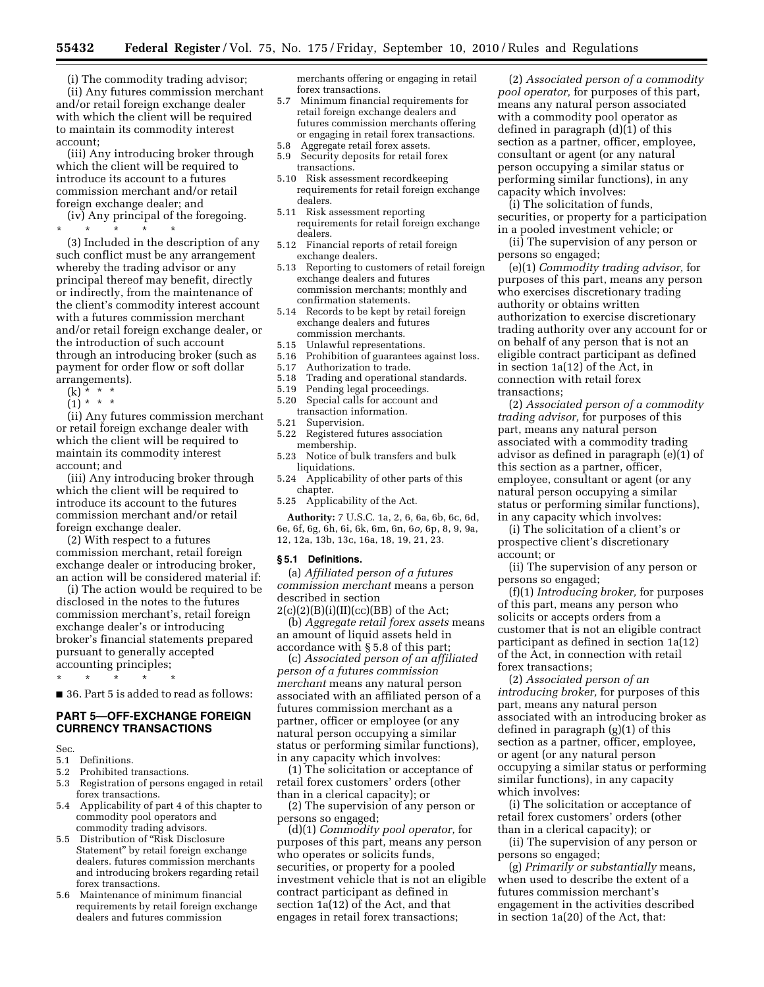(i) The commodity trading advisor; (ii) Any futures commission merchant and/or retail foreign exchange dealer with which the client will be required to maintain its commodity interest account;

(iii) Any introducing broker through which the client will be required to introduce its account to a futures commission merchant and/or retail foreign exchange dealer; and

(iv) Any principal of the foregoing. \* \* \* \* \*

(3) Included in the description of any such conflict must be any arrangement whereby the trading advisor or any principal thereof may benefit, directly or indirectly, from the maintenance of the client's commodity interest account with a futures commission merchant and/or retail foreign exchange dealer, or the introduction of such account through an introducing broker (such as payment for order flow or soft dollar arrangements).

- $(k) * * * *$
- $(1) * * * *$

(ii) Any futures commission merchant or retail foreign exchange dealer with which the client will be required to maintain its commodity interest account; and

(iii) Any introducing broker through which the client will be required to introduce its account to the futures commission merchant and/or retail foreign exchange dealer.

(2) With respect to a futures commission merchant, retail foreign exchange dealer or introducing broker, an action will be considered material if:

(i) The action would be required to be disclosed in the notes to the futures commission merchant's, retail foreign exchange dealer's or introducing broker's financial statements prepared pursuant to generally accepted accounting principles;

\* \* \* \* \*

■ 36. Part 5 is added to read as follows:

## **PART 5—OFF-EXCHANGE FOREIGN CURRENCY TRANSACTIONS**

Sec.<br>5.1

- 5.1 Definitions.<br>5.2 Prohibited t
- 5.2 Prohibited transactions.<br>5.3 Registration of persons of
- 5.3 Registration of persons engaged in retail forex transactions.
- 5.4 Applicability of part 4 of this chapter to commodity pool operators and commodity trading advisors.
- 5.5 Distribution of ''Risk Disclosure Statement'' by retail foreign exchange dealers. futures commission merchants and introducing brokers regarding retail forex transactions.
- 5.6 Maintenance of minimum financial requirements by retail foreign exchange dealers and futures commission

merchants offering or engaging in retail forex transactions.

- 5.7 Minimum financial requirements for retail foreign exchange dealers and futures commission merchants offering or engaging in retail forex transactions.
- 5.8 Aggregate retail forex assets.
- 5.9 Security deposits for retail forex transactions.
- 5.10 Risk assessment recordkeeping requirements for retail foreign exchange dealers.
- 5.11 Risk assessment reporting requirements for retail foreign exchange dealers.
- 5.12 Financial reports of retail foreign exchange dealers.
- 5.13 Reporting to customers of retail foreign exchange dealers and futures commission merchants; monthly and confirmation statements.
- 5.14 Records to be kept by retail foreign exchange dealers and futures commission merchants.
- 5.15 Unlawful representations.
- 5.16 Prohibition of guarantees against loss.<br>5.17 Authorization to trade.
- 5.17 Authorization to trade.<br>5.18 Trading and operations
- Trading and operational standards.
- 5.19 Pending legal proceedings.
- 5.20 Special calls for account and
- transaction information.
- 5.21 Supervision.
- 5.22 Registered futures association membership.
- 5.23 Notice of bulk transfers and bulk liquidations.
- 5.24 Applicability of other parts of this chapter.
- 5.25 Applicability of the Act.

**Authority:** 7 U.S.C. 1a, 2, 6, 6a, 6b, 6c, 6d, 6e, 6f, 6g, 6h, 6i, 6k, 6m, 6n, 6*o,* 6p, 8, 9, 9a, 12, 12a, 13b, 13c, 16a, 18, 19, 21, 23.

#### **§ 5.1 Definitions.**

(a) *Affiliated person of a futures commission merchant* means a person described in section  $2(c)(2)(B)(i)(II)(cc)(BB)$  of the Act;

(b) *Aggregate retail forex assets* means an amount of liquid assets held in accordance with § 5.8 of this part;

(c) *Associated person of an affiliated person of a futures commission merchant* means any natural person associated with an affiliated person of a futures commission merchant as a partner, officer or employee (or any natural person occupying a similar status or performing similar functions), in any capacity which involves:

(1) The solicitation or acceptance of retail forex customers' orders (other than in a clerical capacity); or

(2) The supervision of any person or persons so engaged;

(d)(1) *Commodity pool operator,* for purposes of this part, means any person who operates or solicits funds, securities, or property for a pooled investment vehicle that is not an eligible contract participant as defined in section 1a(12) of the Act, and that engages in retail forex transactions;

(2) *Associated person of a commodity pool operator,* for purposes of this part, means any natural person associated with a commodity pool operator as defined in paragraph (d)(1) of this section as a partner, officer, employee, consultant or agent (or any natural person occupying a similar status or performing similar functions), in any capacity which involves:

(i) The solicitation of funds, securities, or property for a participation in a pooled investment vehicle; or

(ii) The supervision of any person or persons so engaged;

(e)(1) *Commodity trading advisor,* for purposes of this part, means any person who exercises discretionary trading authority or obtains written authorization to exercise discretionary trading authority over any account for or on behalf of any person that is not an eligible contract participant as defined in section 1a(12) of the Act, in connection with retail forex transactions;

(2) *Associated person of a commodity trading advisor,* for purposes of this part, means any natural person associated with a commodity trading advisor as defined in paragraph (e)(1) of this section as a partner, officer, employee, consultant or agent (or any natural person occupying a similar status or performing similar functions), in any capacity which involves:

(i) The solicitation of a client's or prospective client's discretionary account; or

(ii) The supervision of any person or persons so engaged;

(f)(1) *Introducing broker,* for purposes of this part, means any person who solicits or accepts orders from a customer that is not an eligible contract participant as defined in section 1a(12) of the Act, in connection with retail forex transactions;

(2) *Associated person of an introducing broker,* for purposes of this part, means any natural person associated with an introducing broker as defined in paragraph (g)(1) of this section as a partner, officer, employee, or agent (or any natural person occupying a similar status or performing similar functions), in any capacity which involves:

(i) The solicitation or acceptance of retail forex customers' orders (other than in a clerical capacity); or

(ii) The supervision of any person or persons so engaged;

(g) *Primarily or substantially* means, when used to describe the extent of a futures commission merchant's engagement in the activities described in section 1a(20) of the Act, that: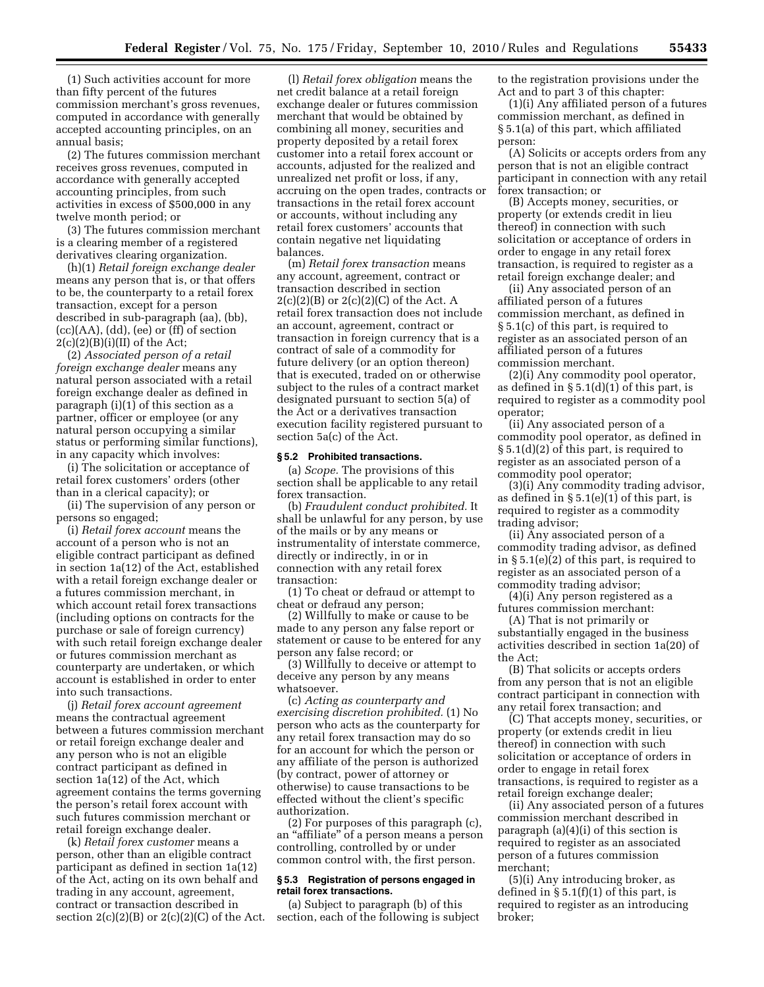(1) Such activities account for more than fifty percent of the futures commission merchant's gross revenues, computed in accordance with generally accepted accounting principles, on an annual basis;

(2) The futures commission merchant receives gross revenues, computed in accordance with generally accepted accounting principles, from such activities in excess of \$500,000 in any twelve month period; or

(3) The futures commission merchant is a clearing member of a registered derivatives clearing organization.

(h)(1) *Retail foreign exchange dealer*  means any person that is, or that offers to be, the counterparty to a retail forex transaction, except for a person described in sub-paragraph (aa), (bb), (cc)(AA), (dd), (ee) or (ff) of section  $2(c)(2)(B)(i)(II)$  of the Act;

(2) *Associated person of a retail foreign exchange dealer* means any natural person associated with a retail foreign exchange dealer as defined in paragraph (i)(1) of this section as a partner, officer or employee (or any natural person occupying a similar status or performing similar functions), in any capacity which involves:

(i) The solicitation or acceptance of retail forex customers' orders (other than in a clerical capacity); or

(ii) The supervision of any person or persons so engaged;

(i) *Retail forex account* means the account of a person who is not an eligible contract participant as defined in section 1a(12) of the Act, established with a retail foreign exchange dealer or a futures commission merchant, in which account retail forex transactions (including options on contracts for the purchase or sale of foreign currency) with such retail foreign exchange dealer or futures commission merchant as counterparty are undertaken, or which account is established in order to enter into such transactions.

(j) *Retail forex account agreement*  means the contractual agreement between a futures commission merchant or retail foreign exchange dealer and any person who is not an eligible contract participant as defined in section 1a(12) of the Act, which agreement contains the terms governing the person's retail forex account with such futures commission merchant or retail foreign exchange dealer.

(k) *Retail forex customer* means a person, other than an eligible contract participant as defined in section 1a(12) of the Act, acting on its own behalf and trading in any account, agreement, contract or transaction described in section  $2(c)(2)(B)$  or  $2(c)(2)(C)$  of the Act.

(l) *Retail forex obligation* means the net credit balance at a retail foreign exchange dealer or futures commission merchant that would be obtained by combining all money, securities and property deposited by a retail forex customer into a retail forex account or accounts, adjusted for the realized and unrealized net profit or loss, if any, accruing on the open trades, contracts or transactions in the retail forex account or accounts, without including any retail forex customers' accounts that contain negative net liquidating balances.

(m) *Retail forex transaction* means any account, agreement, contract or transaction described in section  $2(c)(2)(B)$  or  $2(c)(2)(C)$  of the Act. A retail forex transaction does not include an account, agreement, contract or transaction in foreign currency that is a contract of sale of a commodity for future delivery (or an option thereon) that is executed, traded on or otherwise subject to the rules of a contract market designated pursuant to section 5(a) of the Act or a derivatives transaction execution facility registered pursuant to section 5a(c) of the Act.

### **§ 5.2 Prohibited transactions.**

(a) *Scope.* The provisions of this section shall be applicable to any retail forex transaction.

(b) *Fraudulent conduct prohibited.* It shall be unlawful for any person, by use of the mails or by any means or instrumentality of interstate commerce, directly or indirectly, in or in connection with any retail forex transaction:

(1) To cheat or defraud or attempt to cheat or defraud any person;

(2) Willfully to make or cause to be made to any person any false report or statement or cause to be entered for any person any false record; or

(3) Willfully to deceive or attempt to deceive any person by any means whatsoever.

(c) *Acting as counterparty and exercising discretion prohibited.* (1) No person who acts as the counterparty for any retail forex transaction may do so for an account for which the person or any affiliate of the person is authorized (by contract, power of attorney or otherwise) to cause transactions to be effected without the client's specific authorization.

(2) For purposes of this paragraph (c), an ''affiliate'' of a person means a person controlling, controlled by or under common control with, the first person.

### **§ 5.3 Registration of persons engaged in retail forex transactions.**

(a) Subject to paragraph (b) of this section, each of the following is subject to the registration provisions under the Act and to part 3 of this chapter:

(1)(i) Any affiliated person of a futures commission merchant, as defined in § 5.1(a) of this part, which affiliated person:

(A) Solicits or accepts orders from any person that is not an eligible contract participant in connection with any retail forex transaction; or

(B) Accepts money, securities, or property (or extends credit in lieu thereof) in connection with such solicitation or acceptance of orders in order to engage in any retail forex transaction, is required to register as a retail foreign exchange dealer; and

(ii) Any associated person of an affiliated person of a futures commission merchant, as defined in § 5.1(c) of this part, is required to register as an associated person of an affiliated person of a futures commission merchant.

(2)(i) Any commodity pool operator, as defined in § 5.1(d)(1) of this part, is required to register as a commodity pool operator;

(ii) Any associated person of a commodity pool operator, as defined in § 5.1(d)(2) of this part, is required to register as an associated person of a commodity pool operator;

(3)(i) Any commodity trading advisor, as defined in § 5.1(e)(1) of this part, is required to register as a commodity trading advisor;

(ii) Any associated person of a commodity trading advisor, as defined in § 5.1(e)(2) of this part, is required to register as an associated person of a commodity trading advisor;

(4)(i) Any person registered as a futures commission merchant:

(A) That is not primarily or substantially engaged in the business activities described in section 1a(20) of the Act;

(B) That solicits or accepts orders from any person that is not an eligible contract participant in connection with any retail forex transaction; and

(C) That accepts money, securities, or property (or extends credit in lieu thereof) in connection with such solicitation or acceptance of orders in order to engage in retail forex transactions, is required to register as a retail foreign exchange dealer;

(ii) Any associated person of a futures commission merchant described in paragraph (a)(4)(i) of this section is required to register as an associated person of a futures commission merchant;

(5)(i) Any introducing broker, as defined in  $\S 5.1(f)(1)$  of this part, is required to register as an introducing broker;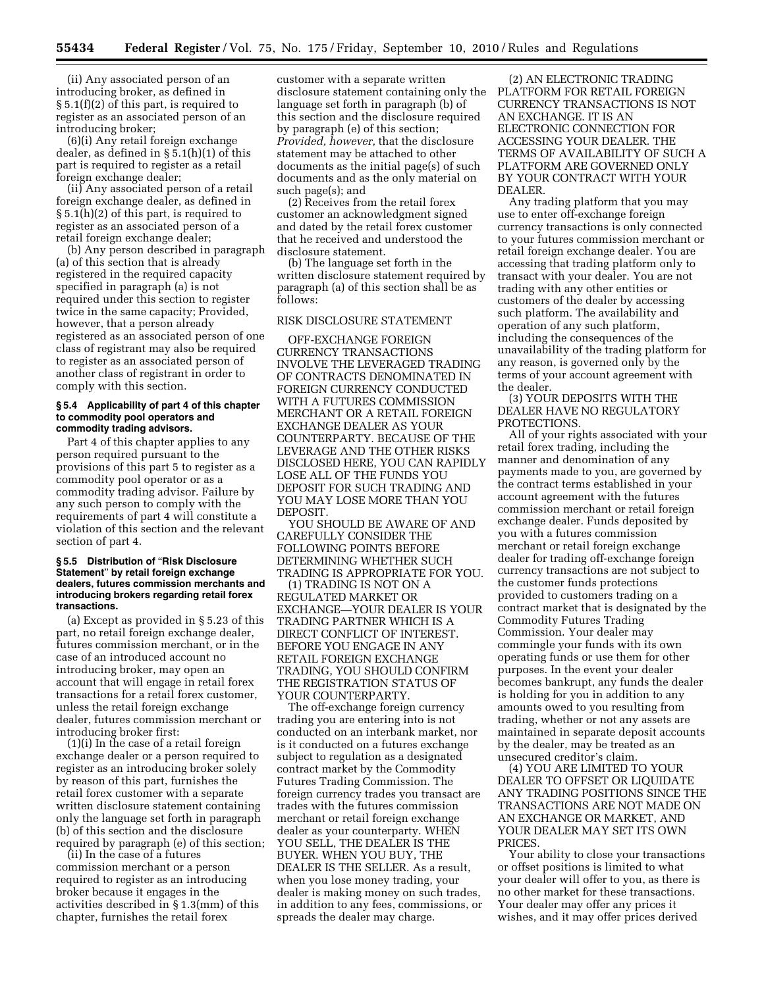(ii) Any associated person of an introducing broker, as defined in § 5.1(f)(2) of this part, is required to register as an associated person of an introducing broker;

(6)(i) Any retail foreign exchange dealer, as defined in § 5.1(h)(1) of this part is required to register as a retail foreign exchange dealer;

(ii) Any associated person of a retail foreign exchange dealer, as defined in § 5.1(h)(2) of this part, is required to register as an associated person of a retail foreign exchange dealer;

(b) Any person described in paragraph (a) of this section that is already registered in the required capacity specified in paragraph (a) is not required under this section to register twice in the same capacity; Provided, however, that a person already registered as an associated person of one class of registrant may also be required to register as an associated person of another class of registrant in order to comply with this section.

### **§ 5.4 Applicability of part 4 of this chapter to commodity pool operators and commodity trading advisors.**

Part 4 of this chapter applies to any person required pursuant to the provisions of this part 5 to register as a commodity pool operator or as a commodity trading advisor. Failure by any such person to comply with the requirements of part 4 will constitute a violation of this section and the relevant section of part 4.

### **§ 5.5 Distribution of** ''**Risk Disclosure Statement**'' **by retail foreign exchange dealers, futures commission merchants and introducing brokers regarding retail forex transactions.**

(a) Except as provided in § 5.23 of this part, no retail foreign exchange dealer, futures commission merchant, or in the case of an introduced account no introducing broker, may open an account that will engage in retail forex transactions for a retail forex customer, unless the retail foreign exchange dealer, futures commission merchant or introducing broker first:

(1)(i) In the case of a retail foreign exchange dealer or a person required to register as an introducing broker solely by reason of this part, furnishes the retail forex customer with a separate written disclosure statement containing only the language set forth in paragraph (b) of this section and the disclosure required by paragraph (e) of this section;

(ii) In the case of a futures commission merchant or a person required to register as an introducing broker because it engages in the activities described in § 1.3(mm) of this chapter, furnishes the retail forex

customer with a separate written disclosure statement containing only the language set forth in paragraph (b) of this section and the disclosure required by paragraph (e) of this section; *Provided, however,* that the disclosure statement may be attached to other documents as the initial page(s) of such documents and as the only material on such page(s); and

(2) Receives from the retail forex customer an acknowledgment signed and dated by the retail forex customer that he received and understood the disclosure statement.

(b) The language set forth in the written disclosure statement required by paragraph (a) of this section shall be as follows:

## RISK DISCLOSURE STATEMENT

OFF-EXCHANGE FOREIGN CURRENCY TRANSACTIONS INVOLVE THE LEVERAGED TRADING OF CONTRACTS DENOMINATED IN FOREIGN CURRENCY CONDUCTED WITH A FUTURES COMMISSION MERCHANT OR A RETAIL FOREIGN EXCHANGE DEALER AS YOUR COUNTERPARTY. BECAUSE OF THE LEVERAGE AND THE OTHER RISKS DISCLOSED HERE, YOU CAN RAPIDLY LOSE ALL OF THE FUNDS YOU DEPOSIT FOR SUCH TRADING AND YOU MAY LOSE MORE THAN YOU DEPOSIT.

YOU SHOULD BE AWARE OF AND CAREFULLY CONSIDER THE FOLLOWING POINTS BEFORE DETERMINING WHETHER SUCH TRADING IS APPROPRIATE FOR YOU.

(1) TRADING IS NOT ON A REGULATED MARKET OR EXCHANGE—YOUR DEALER IS YOUR TRADING PARTNER WHICH IS A DIRECT CONFLICT OF INTEREST. BEFORE YOU ENGAGE IN ANY RETAIL FOREIGN EXCHANGE TRADING, YOU SHOULD CONFIRM THE REGISTRATION STATUS OF YOUR COUNTERPARTY.

The off-exchange foreign currency trading you are entering into is not conducted on an interbank market, nor is it conducted on a futures exchange subject to regulation as a designated contract market by the Commodity Futures Trading Commission. The foreign currency trades you transact are trades with the futures commission merchant or retail foreign exchange dealer as your counterparty. WHEN YOU SELL, THE DEALER IS THE BUYER. WHEN YOU BUY, THE DEALER IS THE SELLER. As a result, when you lose money trading, your dealer is making money on such trades, in addition to any fees, commissions, or spreads the dealer may charge.

(2) AN ELECTRONIC TRADING PLATFORM FOR RETAIL FOREIGN CURRENCY TRANSACTIONS IS NOT AN EXCHANGE. IT IS AN ELECTRONIC CONNECTION FOR ACCESSING YOUR DEALER. THE TERMS OF AVAILABILITY OF SUCH A PLATFORM ARE GOVERNED ONLY BY YOUR CONTRACT WITH YOUR DEALER.

Any trading platform that you may use to enter off-exchange foreign currency transactions is only connected to your futures commission merchant or retail foreign exchange dealer. You are accessing that trading platform only to transact with your dealer. You are not trading with any other entities or customers of the dealer by accessing such platform. The availability and operation of any such platform, including the consequences of the unavailability of the trading platform for any reason, is governed only by the terms of your account agreement with the dealer.

(3) YOUR DEPOSITS WITH THE DEALER HAVE NO REGULATORY PROTECTIONS.

All of your rights associated with your retail forex trading, including the manner and denomination of any payments made to you, are governed by the contract terms established in your account agreement with the futures commission merchant or retail foreign exchange dealer. Funds deposited by you with a futures commission merchant or retail foreign exchange dealer for trading off-exchange foreign currency transactions are not subject to the customer funds protections provided to customers trading on a contract market that is designated by the Commodity Futures Trading Commission. Your dealer may commingle your funds with its own operating funds or use them for other purposes. In the event your dealer becomes bankrupt, any funds the dealer is holding for you in addition to any amounts owed to you resulting from trading, whether or not any assets are maintained in separate deposit accounts by the dealer, may be treated as an unsecured creditor's claim.

(4) YOU ARE LIMITED TO YOUR DEALER TO OFFSET OR LIQUIDATE ANY TRADING POSITIONS SINCE THE TRANSACTIONS ARE NOT MADE ON AN EXCHANGE OR MARKET, AND YOUR DEALER MAY SET ITS OWN PRICES.

Your ability to close your transactions or offset positions is limited to what your dealer will offer to you, as there is no other market for these transactions. Your dealer may offer any prices it wishes, and it may offer prices derived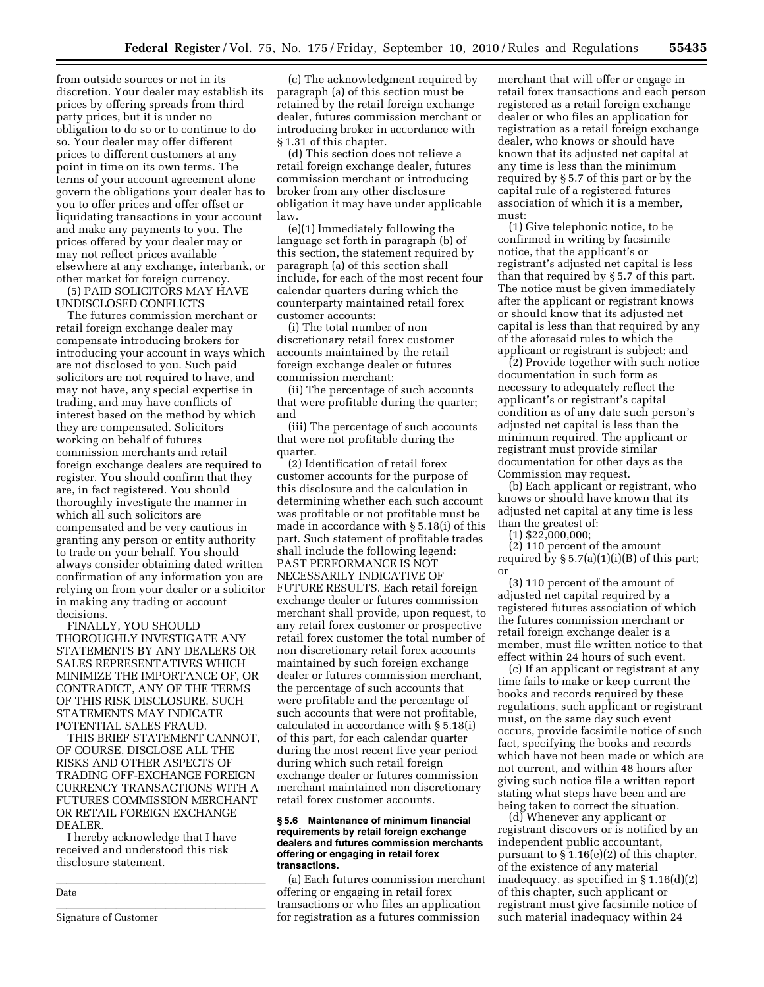from outside sources or not in its discretion. Your dealer may establish its prices by offering spreads from third party prices, but it is under no obligation to do so or to continue to do so. Your dealer may offer different prices to different customers at any point in time on its own terms. The terms of your account agreement alone govern the obligations your dealer has to you to offer prices and offer offset or liquidating transactions in your account and make any payments to you. The prices offered by your dealer may or may not reflect prices available elsewhere at any exchange, interbank, or other market for foreign currency.

(5) PAID SOLICITORS MAY HAVE UNDISCLOSED CONFLICTS

The futures commission merchant or retail foreign exchange dealer may compensate introducing brokers for introducing your account in ways which are not disclosed to you. Such paid solicitors are not required to have, and may not have, any special expertise in trading, and may have conflicts of interest based on the method by which they are compensated. Solicitors working on behalf of futures commission merchants and retail foreign exchange dealers are required to register. You should confirm that they are, in fact registered. You should thoroughly investigate the manner in which all such solicitors are compensated and be very cautious in granting any person or entity authority to trade on your behalf. You should always consider obtaining dated written confirmation of any information you are relying on from your dealer or a solicitor in making any trading or account decisions.

FINALLY, YOU SHOULD THOROUGHLY INVESTIGATE ANY STATEMENTS BY ANY DEALERS OR SALES REPRESENTATIVES WHICH MINIMIZE THE IMPORTANCE OF, OR CONTRADICT, ANY OF THE TERMS OF THIS RISK DISCLOSURE. SUCH STATEMENTS MAY INDICATE POTENTIAL SALES FRAUD.

THIS BRIEF STATEMENT CANNOT, OF COURSE, DISCLOSE ALL THE RISKS AND OTHER ASPECTS OF TRADING OFF-EXCHANGE FOREIGN CURRENCY TRANSACTIONS WITH A FUTURES COMMISSION MERCHANT OR RETAIL FOREIGN EXCHANGE DEALER.

I hereby acknowledge that I have received and understood this risk disclosure statement.

lladio<br>Dete Date

lllllllllllllllllllll Signature of Customer

(c) The acknowledgment required by paragraph (a) of this section must be retained by the retail foreign exchange dealer, futures commission merchant or introducing broker in accordance with § 1.31 of this chapter.

(d) This section does not relieve a retail foreign exchange dealer, futures commission merchant or introducing broker from any other disclosure obligation it may have under applicable law.

(e)(1) Immediately following the language set forth in paragraph (b) of this section, the statement required by paragraph (a) of this section shall include, for each of the most recent four calendar quarters during which the counterparty maintained retail forex customer accounts:

(i) The total number of non discretionary retail forex customer accounts maintained by the retail foreign exchange dealer or futures commission merchant;

(ii) The percentage of such accounts that were profitable during the quarter; and

(iii) The percentage of such accounts that were not profitable during the quarter.

(2) Identification of retail forex customer accounts for the purpose of this disclosure and the calculation in determining whether each such account was profitable or not profitable must be made in accordance with § 5.18(i) of this part. Such statement of profitable trades shall include the following legend: PAST PERFORMANCE IS NOT NECESSARILY INDICATIVE OF FUTURE RESULTS. Each retail foreign exchange dealer or futures commission merchant shall provide, upon request, to any retail forex customer or prospective retail forex customer the total number of non discretionary retail forex accounts maintained by such foreign exchange dealer or futures commission merchant, the percentage of such accounts that were profitable and the percentage of such accounts that were not profitable, calculated in accordance with § 5.18(i) of this part, for each calendar quarter during the most recent five year period during which such retail foreign exchange dealer or futures commission merchant maintained non discretionary retail forex customer accounts.

### **§ 5.6 Maintenance of minimum financial requirements by retail foreign exchange dealers and futures commission merchants offering or engaging in retail forex transactions.**

(a) Each futures commission merchant offering or engaging in retail forex transactions or who files an application for registration as a futures commission

merchant that will offer or engage in retail forex transactions and each person registered as a retail foreign exchange dealer or who files an application for registration as a retail foreign exchange dealer, who knows or should have known that its adjusted net capital at any time is less than the minimum required by § 5.7 of this part or by the capital rule of a registered futures association of which it is a member, must:

(1) Give telephonic notice, to be confirmed in writing by facsimile notice, that the applicant's or registrant's adjusted net capital is less than that required by § 5.7 of this part. The notice must be given immediately after the applicant or registrant knows or should know that its adjusted net capital is less than that required by any of the aforesaid rules to which the applicant or registrant is subject; and

(2) Provide together with such notice documentation in such form as necessary to adequately reflect the applicant's or registrant's capital condition as of any date such person's adjusted net capital is less than the minimum required. The applicant or registrant must provide similar documentation for other days as the Commission may request.

(b) Each applicant or registrant, who knows or should have known that its adjusted net capital at any time is less than the greatest of:

(1) \$22,000,000;

(2) 110 percent of the amount required by  $\S 5.7(a)(1)(i)(B)$  of this part; or

(3) 110 percent of the amount of adjusted net capital required by a registered futures association of which the futures commission merchant or retail foreign exchange dealer is a member, must file written notice to that effect within 24 hours of such event.

(c) If an applicant or registrant at any time fails to make or keep current the books and records required by these regulations, such applicant or registrant must, on the same day such event occurs, provide facsimile notice of such fact, specifying the books and records which have not been made or which are not current, and within 48 hours after giving such notice file a written report stating what steps have been and are being taken to correct the situation.

(d) Whenever any applicant or registrant discovers or is notified by an independent public accountant, pursuant to § 1.16(e)(2) of this chapter, of the existence of any material inadequacy, as specified in § 1.16(d)(2) of this chapter, such applicant or registrant must give facsimile notice of such material inadequacy within 24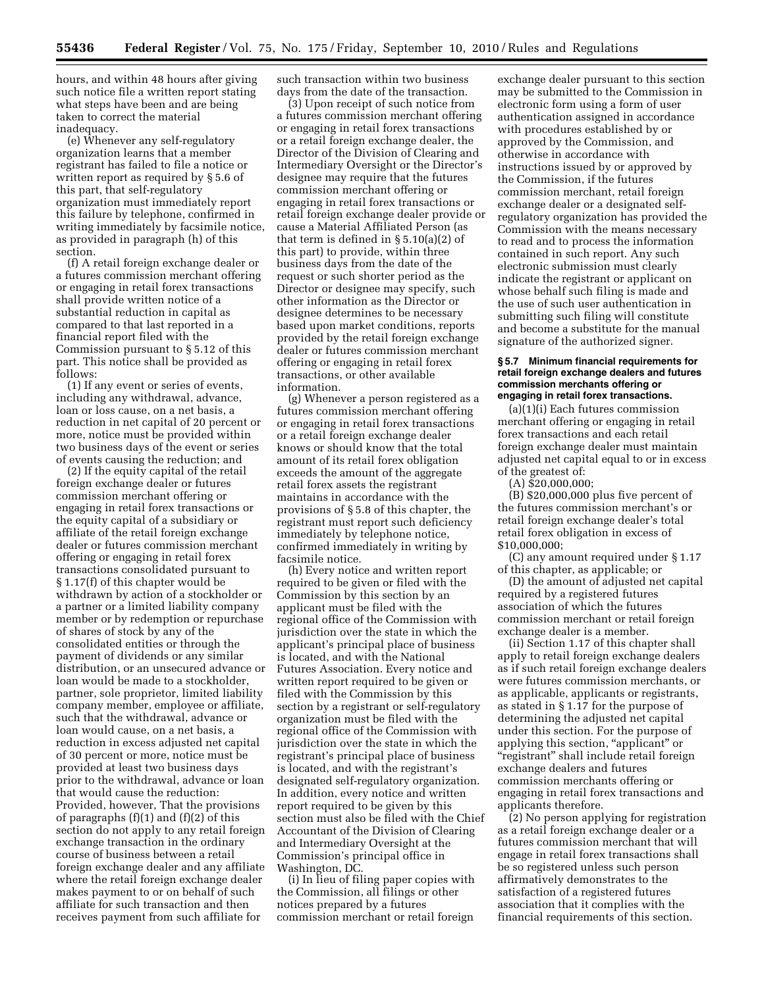hours, and within 48 hours after giving such notice file a written report stating what steps have been and are being taken to correct the material inadequacy.

(e) Whenever any self-regulatory organization learns that a member registrant has failed to file a notice or written report as required by § 5.6 of this part, that self-regulatory organization must immediately report this failure by telephone, confirmed in writing immediately by facsimile notice, as provided in paragraph (h) of this section.

(f) A retail foreign exchange dealer or a futures commission merchant offering or engaging in retail forex transactions shall provide written notice of a substantial reduction in capital as compared to that last reported in a financial report filed with the Commission pursuant to § 5.12 of this part. This notice shall be provided as follows:

(1) If any event or series of events, including any withdrawal, advance, loan or loss cause, on a net basis, a reduction in net capital of 20 percent or more, notice must be provided within two business days of the event or series of events causing the reduction; and

(2) If the equity capital of the retail foreign exchange dealer or futures commission merchant offering or engaging in retail forex transactions or the equity capital of a subsidiary or affiliate of the retail foreign exchange dealer or futures commission merchant offering or engaging in retail forex transactions consolidated pursuant to § 1.17(f) of this chapter would be withdrawn by action of a stockholder or a partner or a limited liability company member or by redemption or repurchase of shares of stock by any of the consolidated entities or through the payment of dividends or any similar distribution, or an unsecured advance or loan would be made to a stockholder, partner, sole proprietor, limited liability company member, employee or affiliate, such that the withdrawal, advance or loan would cause, on a net basis, a reduction in excess adjusted net capital of 30 percent or more, notice must be provided at least two business days prior to the withdrawal, advance or loan that would cause the reduction: Provided, however, That the provisions of paragraphs (f)(1) and (f)(2) of this section do not apply to any retail foreign exchange transaction in the ordinary course of business between a retail foreign exchange dealer and any affiliate where the retail foreign exchange dealer makes payment to or on behalf of such affiliate for such transaction and then receives payment from such affiliate for

such transaction within two business days from the date of the transaction.

(3) Upon receipt of such notice from a futures commission merchant offering or engaging in retail forex transactions or a retail foreign exchange dealer, the Director of the Division of Clearing and Intermediary Oversight or the Director's designee may require that the futures commission merchant offering or engaging in retail forex transactions or retail foreign exchange dealer provide or cause a Material Affiliated Person (as that term is defined in  $\S 5.10(a)(2)$  of this part) to provide, within three business days from the date of the request or such shorter period as the Director or designee may specify, such other information as the Director or designee determines to be necessary based upon market conditions, reports provided by the retail foreign exchange dealer or futures commission merchant offering or engaging in retail forex transactions, or other available information.

(g) Whenever a person registered as a futures commission merchant offering or engaging in retail forex transactions or a retail foreign exchange dealer knows or should know that the total amount of its retail forex obligation exceeds the amount of the aggregate retail forex assets the registrant maintains in accordance with the provisions of § 5.8 of this chapter, the registrant must report such deficiency immediately by telephone notice, confirmed immediately in writing by facsimile notice.

(h) Every notice and written report required to be given or filed with the Commission by this section by an applicant must be filed with the regional office of the Commission with jurisdiction over the state in which the applicant's principal place of business is located, and with the National Futures Association. Every notice and written report required to be given or filed with the Commission by this section by a registrant or self-regulatory organization must be filed with the regional office of the Commission with jurisdiction over the state in which the registrant's principal place of business is located, and with the registrant's designated self-regulatory organization. In addition, every notice and written report required to be given by this section must also be filed with the Chief Accountant of the Division of Clearing and Intermediary Oversight at the Commission's principal office in Washington, DC.

(i) In lieu of filing paper copies with the Commission, all filings or other notices prepared by a futures commission merchant or retail foreign

exchange dealer pursuant to this section may be submitted to the Commission in electronic form using a form of user authentication assigned in accordance with procedures established by or approved by the Commission, and otherwise in accordance with instructions issued by or approved by the Commission, if the futures commission merchant, retail foreign exchange dealer or a designated selfregulatory organization has provided the Commission with the means necessary to read and to process the information contained in such report. Any such electronic submission must clearly indicate the registrant or applicant on whose behalf such filing is made and the use of such user authentication in submitting such filing will constitute and become a substitute for the manual signature of the authorized signer.

### **§ 5.7 Minimum financial requirements for retail foreign exchange dealers and futures commission merchants offering or engaging in retail forex transactions.**

(a)(1)(i) Each futures commission merchant offering or engaging in retail forex transactions and each retail foreign exchange dealer must maintain adjusted net capital equal to or in excess of the greatest of:

(A) \$20,000,000;

(B) \$20,000,000 plus five percent of the futures commission merchant's or retail foreign exchange dealer's total retail forex obligation in excess of \$10,000,000;

(C) any amount required under § 1.17 of this chapter, as applicable; or

(D) the amount of adjusted net capital required by a registered futures association of which the futures commission merchant or retail foreign exchange dealer is a member.

(ii) Section 1.17 of this chapter shall apply to retail foreign exchange dealers as if such retail foreign exchange dealers were futures commission merchants, or as applicable, applicants or registrants, as stated in § 1.17 for the purpose of determining the adjusted net capital under this section. For the purpose of applying this section, "applicant" or ''registrant'' shall include retail foreign exchange dealers and futures commission merchants offering or engaging in retail forex transactions and applicants therefore.

(2) No person applying for registration as a retail foreign exchange dealer or a futures commission merchant that will engage in retail forex transactions shall be so registered unless such person affirmatively demonstrates to the satisfaction of a registered futures association that it complies with the financial requirements of this section.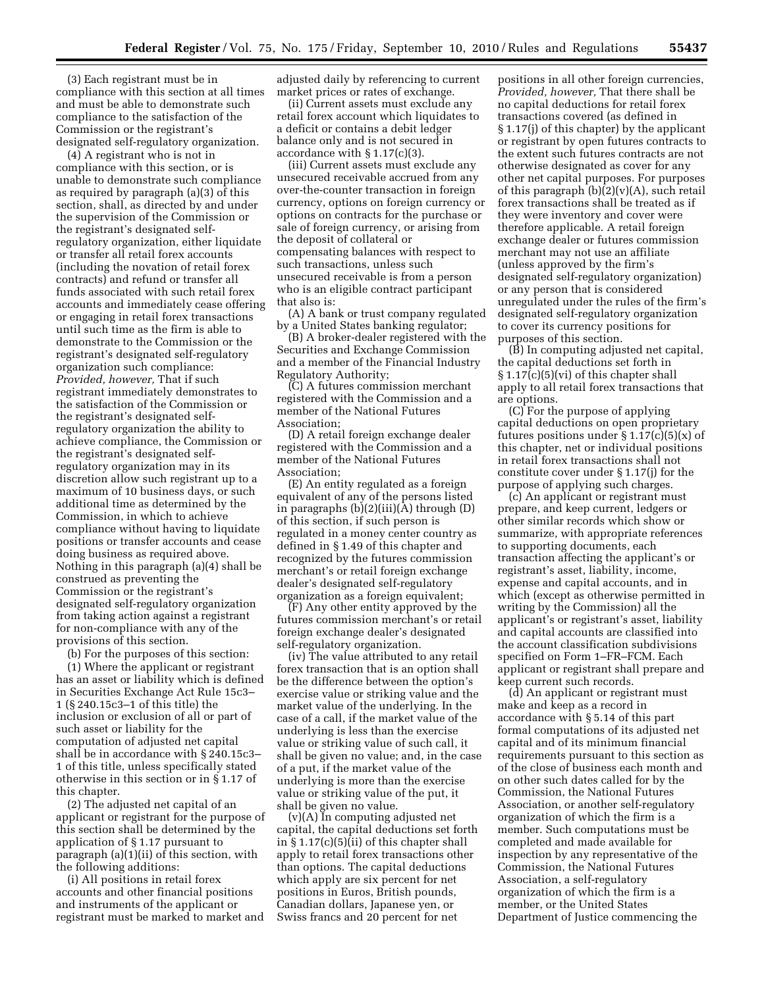(3) Each registrant must be in compliance with this section at all times and must be able to demonstrate such compliance to the satisfaction of the Commission or the registrant's designated self-regulatory organization.

(4) A registrant who is not in compliance with this section, or is unable to demonstrate such compliance as required by paragraph (a)(3) of this section, shall, as directed by and under the supervision of the Commission or the registrant's designated selfregulatory organization, either liquidate or transfer all retail forex accounts (including the novation of retail forex contracts) and refund or transfer all funds associated with such retail forex accounts and immediately cease offering or engaging in retail forex transactions until such time as the firm is able to demonstrate to the Commission or the registrant's designated self-regulatory organization such compliance: *Provided, however,* That if such registrant immediately demonstrates to the satisfaction of the Commission or the registrant's designated selfregulatory organization the ability to achieve compliance, the Commission or the registrant's designated selfregulatory organization may in its discretion allow such registrant up to a maximum of 10 business days, or such additional time as determined by the Commission, in which to achieve compliance without having to liquidate positions or transfer accounts and cease doing business as required above. Nothing in this paragraph (a)(4) shall be construed as preventing the Commission or the registrant's designated self-regulatory organization from taking action against a registrant for non-compliance with any of the provisions of this section.

(b) For the purposes of this section:

(1) Where the applicant or registrant has an asset or liability which is defined in Securities Exchange Act Rule 15c3– 1 (§ 240.15c3–1 of this title) the inclusion or exclusion of all or part of such asset or liability for the computation of adjusted net capital shall be in accordance with § 240.15c3– 1 of this title, unless specifically stated otherwise in this section or in § 1.17 of this chapter.

(2) The adjusted net capital of an applicant or registrant for the purpose of this section shall be determined by the application of § 1.17 pursuant to paragraph (a)(1)(ii) of this section, with the following additions:

(i) All positions in retail forex accounts and other financial positions and instruments of the applicant or registrant must be marked to market and adjusted daily by referencing to current market prices or rates of exchange.

(ii) Current assets must exclude any retail forex account which liquidates to a deficit or contains a debit ledger balance only and is not secured in accordance with § 1.17(c)(3).

(iii) Current assets must exclude any unsecured receivable accrued from any over-the-counter transaction in foreign currency, options on foreign currency or options on contracts for the purchase or sale of foreign currency, or arising from the deposit of collateral or compensating balances with respect to such transactions, unless such unsecured receivable is from a person who is an eligible contract participant that also is:

(A) A bank or trust company regulated by a United States banking regulator;

(B) A broker-dealer registered with the Securities and Exchange Commission and a member of the Financial Industry Regulatory Authority;

(C) A futures commission merchant registered with the Commission and a member of the National Futures Association;

(D) A retail foreign exchange dealer registered with the Commission and a member of the National Futures Association;

(E) An entity regulated as a foreign equivalent of any of the persons listed in paragraphs (b)(2)(iii)(A) through (D) of this section, if such person is regulated in a money center country as defined in § 1.49 of this chapter and recognized by the futures commission merchant's or retail foreign exchange dealer's designated self-regulatory organization as a foreign equivalent;

(F) Any other entity approved by the futures commission merchant's or retail foreign exchange dealer's designated self-regulatory organization.

(iv) The value attributed to any retail forex transaction that is an option shall be the difference between the option's exercise value or striking value and the market value of the underlying. In the case of a call, if the market value of the underlying is less than the exercise value or striking value of such call, it shall be given no value; and, in the case of a put, if the market value of the underlying is more than the exercise value or striking value of the put, it shall be given no value.

(v)(A) In computing adjusted net capital, the capital deductions set forth in § 1.17(c)(5)(ii) of this chapter shall apply to retail forex transactions other than options. The capital deductions which apply are six percent for net positions in Euros, British pounds, Canadian dollars, Japanese yen, or Swiss francs and 20 percent for net

positions in all other foreign currencies, *Provided, however,* That there shall be no capital deductions for retail forex transactions covered (as defined in § 1.17(j) of this chapter) by the applicant or registrant by open futures contracts to the extent such futures contracts are not otherwise designated as cover for any other net capital purposes. For purposes of this paragraph  $(b)(2)(v)(A)$ , such retail forex transactions shall be treated as if they were inventory and cover were therefore applicable. A retail foreign exchange dealer or futures commission merchant may not use an affiliate (unless approved by the firm's designated self-regulatory organization) or any person that is considered unregulated under the rules of the firm's designated self-regulatory organization to cover its currency positions for purposes of this section.

(B) In computing adjusted net capital, the capital deductions set forth in § 1.17(c)(5)(vi) of this chapter shall apply to all retail forex transactions that are options.

(C) For the purpose of applying capital deductions on open proprietary futures positions under  $\S 1.17(c)(5)(x)$  of this chapter, net or individual positions in retail forex transactions shall not constitute cover under § 1.17(j) for the purpose of applying such charges.

(c) An applicant or registrant must prepare, and keep current, ledgers or other similar records which show or summarize, with appropriate references to supporting documents, each transaction affecting the applicant's or registrant's asset, liability, income, expense and capital accounts, and in which (except as otherwise permitted in writing by the Commission) all the applicant's or registrant's asset, liability and capital accounts are classified into the account classification subdivisions specified on Form 1–FR–FCM. Each applicant or registrant shall prepare and keep current such records.

(d) An applicant or registrant must make and keep as a record in accordance with § 5.14 of this part formal computations of its adjusted net capital and of its minimum financial requirements pursuant to this section as of the close of business each month and on other such dates called for by the Commission, the National Futures Association, or another self-regulatory organization of which the firm is a member. Such computations must be completed and made available for inspection by any representative of the Commission, the National Futures Association, a self-regulatory organization of which the firm is a member, or the United States Department of Justice commencing the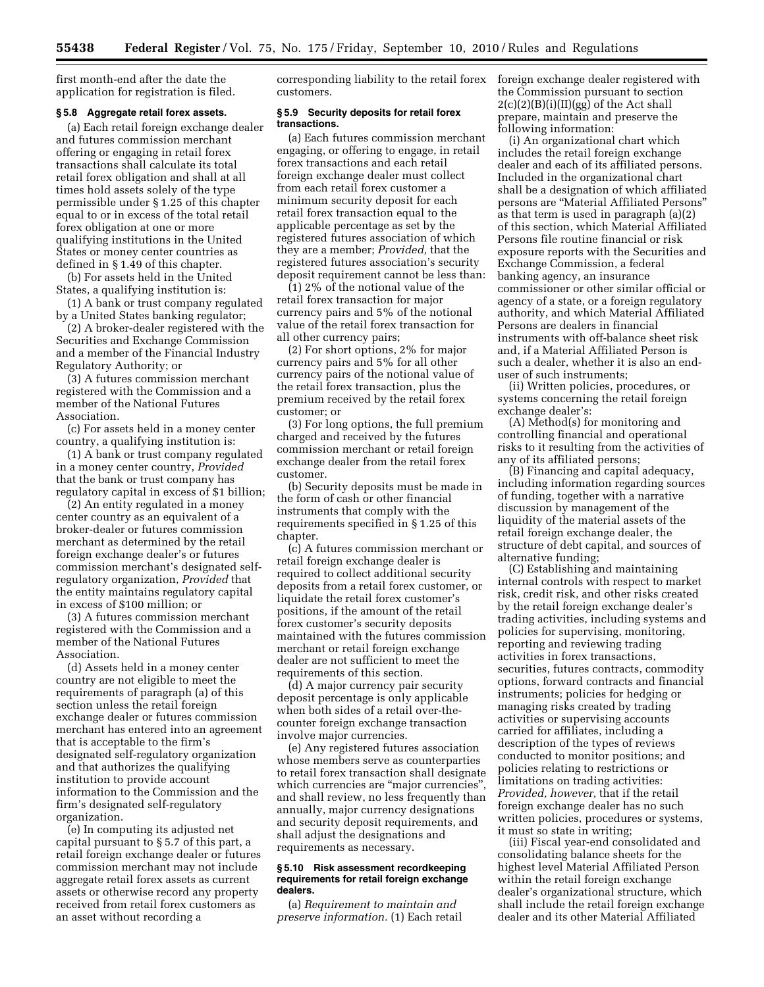first month-end after the date the application for registration is filed.

## **§ 5.8 Aggregate retail forex assets.**

(a) Each retail foreign exchange dealer and futures commission merchant offering or engaging in retail forex transactions shall calculate its total retail forex obligation and shall at all times hold assets solely of the type permissible under § 1.25 of this chapter equal to or in excess of the total retail forex obligation at one or more qualifying institutions in the United States or money center countries as defined in § 1.49 of this chapter.

(b) For assets held in the United States, a qualifying institution is:

(1) A bank or trust company regulated by a United States banking regulator;

(2) A broker-dealer registered with the Securities and Exchange Commission and a member of the Financial Industry Regulatory Authority; or

(3) A futures commission merchant registered with the Commission and a member of the National Futures Association.

(c) For assets held in a money center country, a qualifying institution is:

(1) A bank or trust company regulated in a money center country, *Provided*  that the bank or trust company has regulatory capital in excess of \$1 billion;

(2) An entity regulated in a money center country as an equivalent of a broker-dealer or futures commission merchant as determined by the retail foreign exchange dealer's or futures commission merchant's designated selfregulatory organization, *Provided* that the entity maintains regulatory capital in excess of \$100 million; or

(3) A futures commission merchant registered with the Commission and a member of the National Futures Association.

(d) Assets held in a money center country are not eligible to meet the requirements of paragraph (a) of this section unless the retail foreign exchange dealer or futures commission merchant has entered into an agreement that is acceptable to the firm's designated self-regulatory organization and that authorizes the qualifying institution to provide account information to the Commission and the firm's designated self-regulatory organization.

(e) In computing its adjusted net capital pursuant to § 5.7 of this part, a retail foreign exchange dealer or futures commission merchant may not include aggregate retail forex assets as current assets or otherwise record any property received from retail forex customers as an asset without recording a

corresponding liability to the retail forex customers.

## **§ 5.9 Security deposits for retail forex transactions.**

(a) Each futures commission merchant engaging, or offering to engage, in retail forex transactions and each retail foreign exchange dealer must collect from each retail forex customer a minimum security deposit for each retail forex transaction equal to the applicable percentage as set by the registered futures association of which they are a member; *Provided,* that the registered futures association's security deposit requirement cannot be less than:

(1) 2% of the notional value of the retail forex transaction for major currency pairs and 5% of the notional value of the retail forex transaction for all other currency pairs;

(2) For short options, 2% for major currency pairs and 5% for all other currency pairs of the notional value of the retail forex transaction, plus the premium received by the retail forex customer; or

(3) For long options, the full premium charged and received by the futures commission merchant or retail foreign exchange dealer from the retail forex customer.

(b) Security deposits must be made in the form of cash or other financial instruments that comply with the requirements specified in § 1.25 of this chapter.

(c) A futures commission merchant or retail foreign exchange dealer is required to collect additional security deposits from a retail forex customer, or liquidate the retail forex customer's positions, if the amount of the retail forex customer's security deposits maintained with the futures commission merchant or retail foreign exchange dealer are not sufficient to meet the requirements of this section.

(d) A major currency pair security deposit percentage is only applicable when both sides of a retail over-thecounter foreign exchange transaction involve major currencies.

(e) Any registered futures association whose members serve as counterparties to retail forex transaction shall designate which currencies are "major currencies", and shall review, no less frequently than annually, major currency designations and security deposit requirements, and shall adjust the designations and requirements as necessary.

#### **§ 5.10 Risk assessment recordkeeping requirements for retail foreign exchange dealers.**

(a) *Requirement to maintain and preserve information.* (1) Each retail foreign exchange dealer registered with the Commission pursuant to section  $2(c)(2)(B)(i)(II)(gg)$  of the Act shall prepare, maintain and preserve the following information:

(i) An organizational chart which includes the retail foreign exchange dealer and each of its affiliated persons. Included in the organizational chart shall be a designation of which affiliated persons are ''Material Affiliated Persons'' as that term is used in paragraph (a)(2) of this section, which Material Affiliated Persons file routine financial or risk exposure reports with the Securities and Exchange Commission, a federal banking agency, an insurance commissioner or other similar official or agency of a state, or a foreign regulatory authority, and which Material Affiliated Persons are dealers in financial instruments with off-balance sheet risk and, if a Material Affiliated Person is such a dealer, whether it is also an enduser of such instruments;

(ii) Written policies, procedures, or systems concerning the retail foreign exchange dealer's:

(A) Method(s) for monitoring and controlling financial and operational risks to it resulting from the activities of any of its affiliated persons;

(B) Financing and capital adequacy, including information regarding sources of funding, together with a narrative discussion by management of the liquidity of the material assets of the retail foreign exchange dealer, the structure of debt capital, and sources of alternative funding;

(C) Establishing and maintaining internal controls with respect to market risk, credit risk, and other risks created by the retail foreign exchange dealer's trading activities, including systems and policies for supervising, monitoring, reporting and reviewing trading activities in forex transactions, securities, futures contracts, commodity options, forward contracts and financial instruments; policies for hedging or managing risks created by trading activities or supervising accounts carried for affiliates, including a description of the types of reviews conducted to monitor positions; and policies relating to restrictions or limitations on trading activities: *Provided, however,* that if the retail foreign exchange dealer has no such written policies, procedures or systems, it must so state in writing;

(iii) Fiscal year-end consolidated and consolidating balance sheets for the highest level Material Affiliated Person within the retail foreign exchange dealer's organizational structure, which shall include the retail foreign exchange dealer and its other Material Affiliated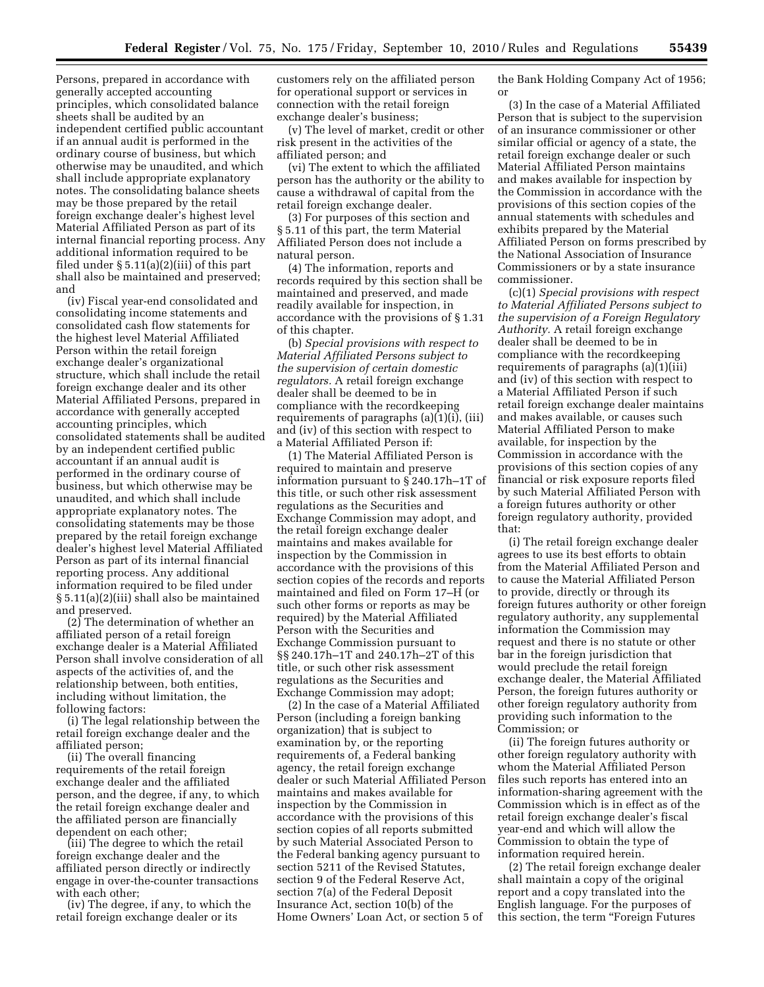Persons, prepared in accordance with generally accepted accounting principles, which consolidated balance sheets shall be audited by an independent certified public accountant if an annual audit is performed in the ordinary course of business, but which otherwise may be unaudited, and which shall include appropriate explanatory notes. The consolidating balance sheets may be those prepared by the retail foreign exchange dealer's highest level Material Affiliated Person as part of its internal financial reporting process. Any additional information required to be filed under § 5.11(a)(2)(iii) of this part shall also be maintained and preserved; and

(iv) Fiscal year-end consolidated and consolidating income statements and consolidated cash flow statements for the highest level Material Affiliated Person within the retail foreign exchange dealer's organizational structure, which shall include the retail foreign exchange dealer and its other Material Affiliated Persons, prepared in accordance with generally accepted accounting principles, which consolidated statements shall be audited by an independent certified public accountant if an annual audit is performed in the ordinary course of business, but which otherwise may be unaudited, and which shall include appropriate explanatory notes. The consolidating statements may be those prepared by the retail foreign exchange dealer's highest level Material Affiliated Person as part of its internal financial reporting process. Any additional information required to be filed under § 5.11(a)(2)(iii) shall also be maintained and preserved.

(2) The determination of whether an affiliated person of a retail foreign exchange dealer is a Material Affiliated Person shall involve consideration of all aspects of the activities of, and the relationship between, both entities, including without limitation, the following factors:

(i) The legal relationship between the retail foreign exchange dealer and the affiliated person;

(ii) The overall financing requirements of the retail foreign exchange dealer and the affiliated person, and the degree, if any, to which the retail foreign exchange dealer and the affiliated person are financially dependent on each other;

(iii) The degree to which the retail foreign exchange dealer and the affiliated person directly or indirectly engage in over-the-counter transactions with each other;

(iv) The degree, if any, to which the retail foreign exchange dealer or its

customers rely on the affiliated person for operational support or services in connection with the retail foreign exchange dealer's business;

(v) The level of market, credit or other risk present in the activities of the affiliated person; and

(vi) The extent to which the affiliated person has the authority or the ability to cause a withdrawal of capital from the retail foreign exchange dealer.

(3) For purposes of this section and § 5.11 of this part, the term Material Affiliated Person does not include a natural person.

(4) The information, reports and records required by this section shall be maintained and preserved, and made readily available for inspection, in accordance with the provisions of § 1.31 of this chapter.

(b) *Special provisions with respect to Material Affiliated Persons subject to the supervision of certain domestic regulators.* A retail foreign exchange dealer shall be deemed to be in compliance with the recordkeeping requirements of paragraphs (a)(1)(i), (iii) and (iv) of this section with respect to a Material Affiliated Person if:

(1) The Material Affiliated Person is required to maintain and preserve information pursuant to § 240.17h–1T of this title, or such other risk assessment regulations as the Securities and Exchange Commission may adopt, and the retail foreign exchange dealer maintains and makes available for inspection by the Commission in accordance with the provisions of this section copies of the records and reports maintained and filed on Form 17–H (or such other forms or reports as may be required) by the Material Affiliated Person with the Securities and Exchange Commission pursuant to §§ 240.17h–1T and 240.17h–2T of this title, or such other risk assessment regulations as the Securities and Exchange Commission may adopt;

(2) In the case of a Material Affiliated Person (including a foreign banking organization) that is subject to examination by, or the reporting requirements of, a Federal banking agency, the retail foreign exchange dealer or such Material Affiliated Person maintains and makes available for inspection by the Commission in accordance with the provisions of this section copies of all reports submitted by such Material Associated Person to the Federal banking agency pursuant to section 5211 of the Revised Statutes, section 9 of the Federal Reserve Act, section 7(a) of the Federal Deposit Insurance Act, section 10(b) of the Home Owners' Loan Act, or section 5 of

the Bank Holding Company Act of 1956; or

(3) In the case of a Material Affiliated Person that is subject to the supervision of an insurance commissioner or other similar official or agency of a state, the retail foreign exchange dealer or such Material Affiliated Person maintains and makes available for inspection by the Commission in accordance with the provisions of this section copies of the annual statements with schedules and exhibits prepared by the Material Affiliated Person on forms prescribed by the National Association of Insurance Commissioners or by a state insurance commissioner.

(c)(1) *Special provisions with respect to Material Affiliated Persons subject to the supervision of a Foreign Regulatory Authority.* A retail foreign exchange dealer shall be deemed to be in compliance with the recordkeeping requirements of paragraphs (a)(1)(iii) and (iv) of this section with respect to a Material Affiliated Person if such retail foreign exchange dealer maintains and makes available, or causes such Material Affiliated Person to make available, for inspection by the Commission in accordance with the provisions of this section copies of any financial or risk exposure reports filed by such Material Affiliated Person with a foreign futures authority or other foreign regulatory authority, provided that:

(i) The retail foreign exchange dealer agrees to use its best efforts to obtain from the Material Affiliated Person and to cause the Material Affiliated Person to provide, directly or through its foreign futures authority or other foreign regulatory authority, any supplemental information the Commission may request and there is no statute or other bar in the foreign jurisdiction that would preclude the retail foreign exchange dealer, the Material Affiliated Person, the foreign futures authority or other foreign regulatory authority from providing such information to the Commission; or

(ii) The foreign futures authority or other foreign regulatory authority with whom the Material Affiliated Person files such reports has entered into an information-sharing agreement with the Commission which is in effect as of the retail foreign exchange dealer's fiscal year-end and which will allow the Commission to obtain the type of information required herein.

(2) The retail foreign exchange dealer shall maintain a copy of the original report and a copy translated into the English language. For the purposes of this section, the term "Foreign Futures"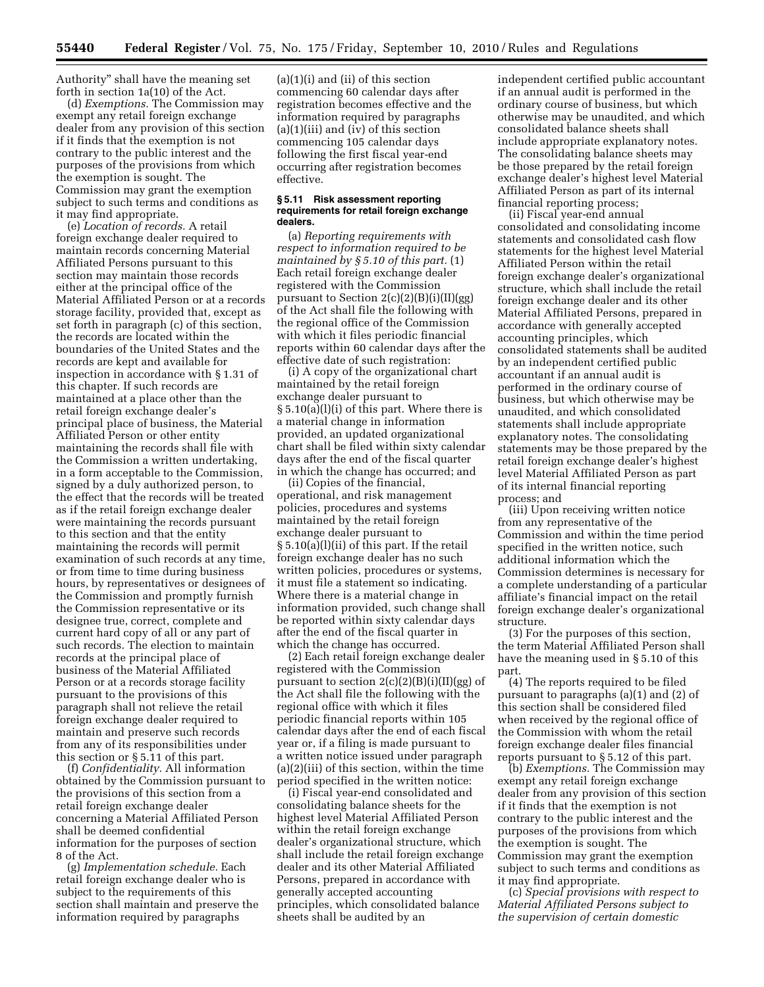Authority'' shall have the meaning set forth in section 1a(10) of the Act.

(d) *Exemptions.* The Commission may exempt any retail foreign exchange dealer from any provision of this section if it finds that the exemption is not contrary to the public interest and the purposes of the provisions from which the exemption is sought. The Commission may grant the exemption subject to such terms and conditions as it may find appropriate.

(e) *Location of records.* A retail foreign exchange dealer required to maintain records concerning Material Affiliated Persons pursuant to this section may maintain those records either at the principal office of the Material Affiliated Person or at a records storage facility, provided that, except as set forth in paragraph (c) of this section, the records are located within the boundaries of the United States and the records are kept and available for inspection in accordance with § 1.31 of this chapter. If such records are maintained at a place other than the retail foreign exchange dealer's principal place of business, the Material Affiliated Person or other entity maintaining the records shall file with the Commission a written undertaking, in a form acceptable to the Commission, signed by a duly authorized person, to the effect that the records will be treated as if the retail foreign exchange dealer were maintaining the records pursuant to this section and that the entity maintaining the records will permit examination of such records at any time, or from time to time during business hours, by representatives or designees of the Commission and promptly furnish the Commission representative or its designee true, correct, complete and current hard copy of all or any part of such records. The election to maintain records at the principal place of business of the Material Affiliated Person or at a records storage facility pursuant to the provisions of this paragraph shall not relieve the retail foreign exchange dealer required to maintain and preserve such records from any of its responsibilities under this section or § 5.11 of this part.

(f) *Confidentiality.* All information obtained by the Commission pursuant to the provisions of this section from a retail foreign exchange dealer concerning a Material Affiliated Person shall be deemed confidential information for the purposes of section 8 of the Act.

(g) *Implementation schedule.* Each retail foreign exchange dealer who is subject to the requirements of this section shall maintain and preserve the information required by paragraphs

(a)(1)(i) and (ii) of this section commencing 60 calendar days after registration becomes effective and the information required by paragraphs  $(a)(1)(iii)$  and  $(iv)$  of this section commencing 105 calendar days following the first fiscal year-end occurring after registration becomes effective.

#### **§ 5.11 Risk assessment reporting requirements for retail foreign exchange dealers.**

(a) *Reporting requirements with respect to information required to be maintained by § 5.10 of this part.* (1) Each retail foreign exchange dealer registered with the Commission pursuant to Section  $2(c)(2)(B)(i)(II)(gg)$ of the Act shall file the following with the regional office of the Commission with which it files periodic financial reports within 60 calendar days after the effective date of such registration:

(i) A copy of the organizational chart maintained by the retail foreign exchange dealer pursuant to § 5.10(a)(l)(i) of this part. Where there is a material change in information provided, an updated organizational chart shall be filed within sixty calendar days after the end of the fiscal quarter in which the change has occurred; and

(ii) Copies of the financial, operational, and risk management policies, procedures and systems maintained by the retail foreign exchange dealer pursuant to § 5.10(a)(l)(ii) of this part. If the retail foreign exchange dealer has no such written policies, procedures or systems, it must file a statement so indicating. Where there is a material change in information provided, such change shall be reported within sixty calendar days after the end of the fiscal quarter in which the change has occurred.

(2) Each retail foreign exchange dealer registered with the Commission pursuant to section 2(c)(2)(B)(i)(II)(gg) of the Act shall file the following with the regional office with which it files periodic financial reports within 105 calendar days after the end of each fiscal year or, if a filing is made pursuant to a written notice issued under paragraph (a)(2)(iii) of this section, within the time period specified in the written notice:

(i) Fiscal year-end consolidated and consolidating balance sheets for the highest level Material Affiliated Person within the retail foreign exchange dealer's organizational structure, which shall include the retail foreign exchange dealer and its other Material Affiliated Persons, prepared in accordance with generally accepted accounting principles, which consolidated balance sheets shall be audited by an

independent certified public accountant if an annual audit is performed in the ordinary course of business, but which otherwise may be unaudited, and which consolidated balance sheets shall include appropriate explanatory notes. The consolidating balance sheets may be those prepared by the retail foreign exchange dealer's highest level Material Affiliated Person as part of its internal financial reporting process;

(ii) Fiscal year-end annual consolidated and consolidating income statements and consolidated cash flow statements for the highest level Material Affiliated Person within the retail foreign exchange dealer's organizational structure, which shall include the retail foreign exchange dealer and its other Material Affiliated Persons, prepared in accordance with generally accepted accounting principles, which consolidated statements shall be audited by an independent certified public accountant if an annual audit is performed in the ordinary course of business, but which otherwise may be unaudited, and which consolidated statements shall include appropriate explanatory notes. The consolidating statements may be those prepared by the retail foreign exchange dealer's highest level Material Affiliated Person as part of its internal financial reporting process; and

(iii) Upon receiving written notice from any representative of the Commission and within the time period specified in the written notice, such additional information which the Commission determines is necessary for a complete understanding of a particular affiliate's financial impact on the retail foreign exchange dealer's organizational structure.

(3) For the purposes of this section, the term Material Affiliated Person shall have the meaning used in § 5.10 of this part.

(4) The reports required to be filed pursuant to paragraphs (a)(1) and (2) of this section shall be considered filed when received by the regional office of the Commission with whom the retail foreign exchange dealer files financial reports pursuant to § 5.12 of this part.

(b) *Exemptions.* The Commission may exempt any retail foreign exchange dealer from any provision of this section if it finds that the exemption is not contrary to the public interest and the purposes of the provisions from which the exemption is sought. The Commission may grant the exemption subject to such terms and conditions as it may find appropriate.

(c) *Special provisions with respect to Material Affiliated Persons subject to the supervision of certain domestic*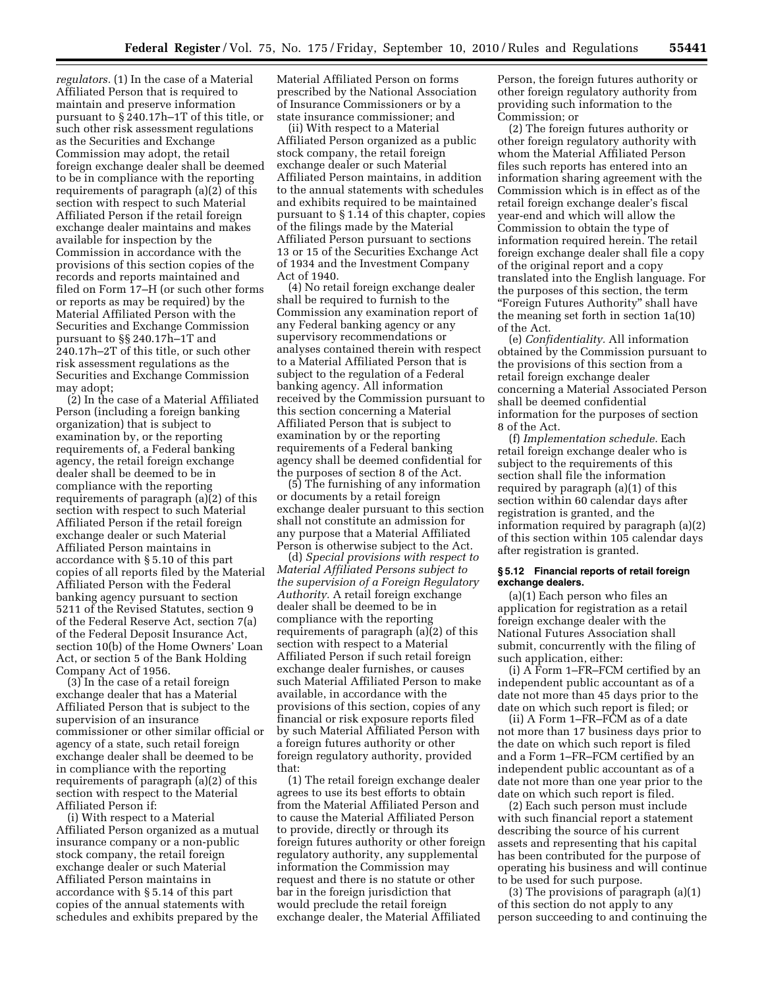*regulators.* (1) In the case of a Material Affiliated Person that is required to maintain and preserve information pursuant to § 240.17h–1T of this title, or such other risk assessment regulations as the Securities and Exchange Commission may adopt, the retail foreign exchange dealer shall be deemed to be in compliance with the reporting requirements of paragraph (a)(2) of this section with respect to such Material Affiliated Person if the retail foreign exchange dealer maintains and makes available for inspection by the Commission in accordance with the provisions of this section copies of the records and reports maintained and filed on Form 17–H (or such other forms or reports as may be required) by the Material Affiliated Person with the Securities and Exchange Commission pursuant to §§ 240.17h–1T and 240.17h–2T of this title, or such other risk assessment regulations as the Securities and Exchange Commission may adopt;

(2) In the case of a Material Affiliated Person (including a foreign banking organization) that is subject to examination by, or the reporting requirements of, a Federal banking agency, the retail foreign exchange dealer shall be deemed to be in compliance with the reporting requirements of paragraph (a)(2) of this section with respect to such Material Affiliated Person if the retail foreign exchange dealer or such Material Affiliated Person maintains in accordance with § 5.10 of this part copies of all reports filed by the Material Affiliated Person with the Federal banking agency pursuant to section 5211 of the Revised Statutes, section 9 of the Federal Reserve Act, section 7(a) of the Federal Deposit Insurance Act, section 10(b) of the Home Owners' Loan Act, or section 5 of the Bank Holding Company Act of 1956.

(3) In the case of a retail foreign exchange dealer that has a Material Affiliated Person that is subject to the supervision of an insurance commissioner or other similar official or agency of a state, such retail foreign exchange dealer shall be deemed to be in compliance with the reporting requirements of paragraph (a)(2) of this section with respect to the Material Affiliated Person if:

(i) With respect to a Material Affiliated Person organized as a mutual insurance company or a non-public stock company, the retail foreign exchange dealer or such Material Affiliated Person maintains in accordance with § 5.14 of this part copies of the annual statements with schedules and exhibits prepared by the

Material Affiliated Person on forms prescribed by the National Association of Insurance Commissioners or by a state insurance commissioner; and

(ii) With respect to a Material Affiliated Person organized as a public stock company, the retail foreign exchange dealer or such Material Affiliated Person maintains, in addition to the annual statements with schedules and exhibits required to be maintained pursuant to § 1.14 of this chapter, copies of the filings made by the Material Affiliated Person pursuant to sections 13 or 15 of the Securities Exchange Act of 1934 and the Investment Company Act of 1940.

(4) No retail foreign exchange dealer shall be required to furnish to the Commission any examination report of any Federal banking agency or any supervisory recommendations or analyses contained therein with respect to a Material Affiliated Person that is subject to the regulation of a Federal banking agency. All information received by the Commission pursuant to this section concerning a Material Affiliated Person that is subject to examination by or the reporting requirements of a Federal banking agency shall be deemed confidential for the purposes of section 8 of the Act.

(5) The furnishing of any information or documents by a retail foreign exchange dealer pursuant to this section shall not constitute an admission for any purpose that a Material Affiliated Person is otherwise subject to the Act.

(d) *Special provisions with respect to Material Affiliated Persons subject to the supervision of a Foreign Regulatory Authority.* A retail foreign exchange dealer shall be deemed to be in compliance with the reporting requirements of paragraph (a)(2) of this section with respect to a Material Affiliated Person if such retail foreign exchange dealer furnishes, or causes such Material Affiliated Person to make available, in accordance with the provisions of this section, copies of any financial or risk exposure reports filed by such Material Affiliated Person with a foreign futures authority or other foreign regulatory authority, provided that:

(1) The retail foreign exchange dealer agrees to use its best efforts to obtain from the Material Affiliated Person and to cause the Material Affiliated Person to provide, directly or through its foreign futures authority or other foreign regulatory authority, any supplemental information the Commission may request and there is no statute or other bar in the foreign jurisdiction that would preclude the retail foreign exchange dealer, the Material Affiliated

Person, the foreign futures authority or other foreign regulatory authority from providing such information to the Commission; or

(2) The foreign futures authority or other foreign regulatory authority with whom the Material Affiliated Person files such reports has entered into an information sharing agreement with the Commission which is in effect as of the retail foreign exchange dealer's fiscal year-end and which will allow the Commission to obtain the type of information required herein. The retail foreign exchange dealer shall file a copy of the original report and a copy translated into the English language. For the purposes of this section, the term ''Foreign Futures Authority'' shall have the meaning set forth in section 1a(10) of the Act.

(e) *Confidentiality.* All information obtained by the Commission pursuant to the provisions of this section from a retail foreign exchange dealer concerning a Material Associated Person shall be deemed confidential information for the purposes of section 8 of the Act.

(f) *Implementation schedule.* Each retail foreign exchange dealer who is subject to the requirements of this section shall file the information required by paragraph (a)(1) of this section within 60 calendar days after registration is granted, and the information required by paragraph (a)(2) of this section within 105 calendar days after registration is granted.

### **§ 5.12 Financial reports of retail foreign exchange dealers.**

(a)(1) Each person who files an application for registration as a retail foreign exchange dealer with the National Futures Association shall submit, concurrently with the filing of such application, either:

(i) A Form 1–FR–FCM certified by an independent public accountant as of a date not more than 45 days prior to the date on which such report is filed; or

(ii) A Form 1–FR–FCM as of a date not more than 17 business days prior to the date on which such report is filed and a Form 1–FR–FCM certified by an independent public accountant as of a date not more than one year prior to the date on which such report is filed.

(2) Each such person must include with such financial report a statement describing the source of his current assets and representing that his capital has been contributed for the purpose of operating his business and will continue to be used for such purpose.

(3) The provisions of paragraph (a)(1) of this section do not apply to any person succeeding to and continuing the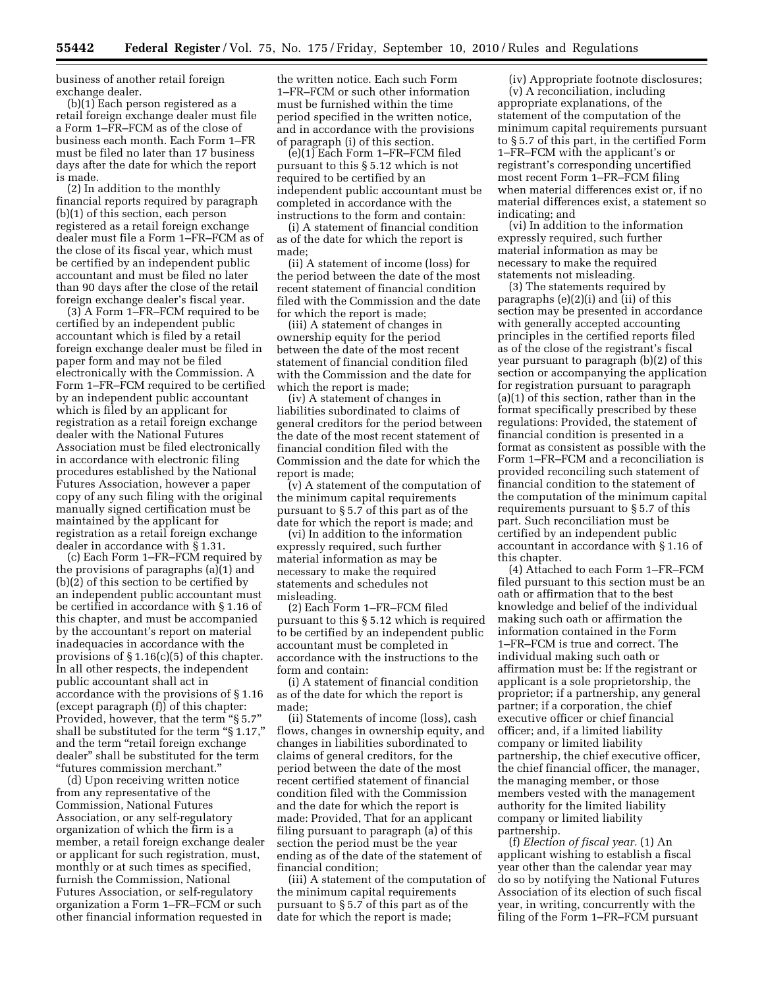business of another retail foreign exchange dealer.

(b)(1) Each person registered as a retail foreign exchange dealer must file a Form 1–FR–FCM as of the close of business each month. Each Form 1–FR must be filed no later than 17 business days after the date for which the report is made.

(2) In addition to the monthly financial reports required by paragraph (b)(1) of this section, each person registered as a retail foreign exchange dealer must file a Form 1–FR–FCM as of the close of its fiscal year, which must be certified by an independent public accountant and must be filed no later than 90 days after the close of the retail foreign exchange dealer's fiscal year.

(3) A Form 1–FR–FCM required to be certified by an independent public accountant which is filed by a retail foreign exchange dealer must be filed in paper form and may not be filed electronically with the Commission. A Form 1–FR–FCM required to be certified by an independent public accountant which is filed by an applicant for registration as a retail foreign exchange dealer with the National Futures Association must be filed electronically in accordance with electronic filing procedures established by the National Futures Association, however a paper copy of any such filing with the original manually signed certification must be maintained by the applicant for registration as a retail foreign exchange dealer in accordance with § 1.31.

(c) Each Form 1–FR–FCM required by the provisions of paragraphs (a)(1) and (b)(2) of this section to be certified by an independent public accountant must be certified in accordance with § 1.16 of this chapter, and must be accompanied by the accountant's report on material inadequacies in accordance with the provisions of § 1.16(c)(5) of this chapter. In all other respects, the independent public accountant shall act in accordance with the provisions of § 1.16 (except paragraph (f)) of this chapter: Provided, however, that the term "§ 5.7" shall be substituted for the term "§ 1.17," and the term "retail foreign exchange dealer'' shall be substituted for the term ''futures commission merchant.''

(d) Upon receiving written notice from any representative of the Commission, National Futures Association, or any self-regulatory organization of which the firm is a member, a retail foreign exchange dealer or applicant for such registration, must, monthly or at such times as specified, furnish the Commission, National Futures Association, or self-regulatory organization a Form 1–FR–FCM or such other financial information requested in

the written notice. Each such Form 1–FR–FCM or such other information must be furnished within the time period specified in the written notice, and in accordance with the provisions of paragraph (i) of this section.

(e)(1) Each Form 1–FR–FCM filed pursuant to this § 5.12 which is not required to be certified by an independent public accountant must be completed in accordance with the instructions to the form and contain:

(i) A statement of financial condition as of the date for which the report is made;

(ii) A statement of income (loss) for the period between the date of the most recent statement of financial condition filed with the Commission and the date for which the report is made;

(iii) A statement of changes in ownership equity for the period between the date of the most recent statement of financial condition filed with the Commission and the date for which the report is made;

(iv) A statement of changes in liabilities subordinated to claims of general creditors for the period between the date of the most recent statement of financial condition filed with the Commission and the date for which the report is made;

(v) A statement of the computation of the minimum capital requirements pursuant to § 5.7 of this part as of the date for which the report is made; and

(vi) In addition to the information expressly required, such further material information as may be necessary to make the required statements and schedules not misleading.

(2) Each Form 1–FR–FCM filed pursuant to this § 5.12 which is required to be certified by an independent public accountant must be completed in accordance with the instructions to the form and contain:

(i) A statement of financial condition as of the date for which the report is made;

(ii) Statements of income (loss), cash flows, changes in ownership equity, and changes in liabilities subordinated to claims of general creditors, for the period between the date of the most recent certified statement of financial condition filed with the Commission and the date for which the report is made: Provided, That for an applicant filing pursuant to paragraph (a) of this section the period must be the year ending as of the date of the statement of financial condition;

(iii) A statement of the computation of the minimum capital requirements pursuant to § 5.7 of this part as of the date for which the report is made;

(iv) Appropriate footnote disclosures; (v) A reconciliation, including appropriate explanations, of the statement of the computation of the minimum capital requirements pursuant to § 5.7 of this part, in the certified Form 1–FR–FCM with the applicant's or registrant's corresponding uncertified most recent Form 1–FR–FCM filing when material differences exist or, if no material differences exist, a statement so indicating; and

(vi) In addition to the information expressly required, such further material information as may be necessary to make the required statements not misleading.

(3) The statements required by paragraphs (e)(2)(i) and (ii) of this section may be presented in accordance with generally accepted accounting principles in the certified reports filed as of the close of the registrant's fiscal year pursuant to paragraph (b)(2) of this section or accompanying the application for registration pursuant to paragraph (a)(1) of this section, rather than in the format specifically prescribed by these regulations: Provided, the statement of financial condition is presented in a format as consistent as possible with the Form 1–FR–FCM and a reconciliation is provided reconciling such statement of financial condition to the statement of the computation of the minimum capital requirements pursuant to § 5.7 of this part. Such reconciliation must be certified by an independent public accountant in accordance with § 1.16 of this chapter.

(4) Attached to each Form 1–FR–FCM filed pursuant to this section must be an oath or affirmation that to the best knowledge and belief of the individual making such oath or affirmation the information contained in the Form 1–FR–FCM is true and correct. The individual making such oath or affirmation must be: If the registrant or applicant is a sole proprietorship, the proprietor; if a partnership, any general partner; if a corporation, the chief executive officer or chief financial officer; and, if a limited liability company or limited liability partnership, the chief executive officer, the chief financial officer, the manager, the managing member, or those members vested with the management authority for the limited liability company or limited liability partnership.

(f) *Election of fiscal year.* (1) An applicant wishing to establish a fiscal year other than the calendar year may do so by notifying the National Futures Association of its election of such fiscal year, in writing, concurrently with the filing of the Form 1–FR–FCM pursuant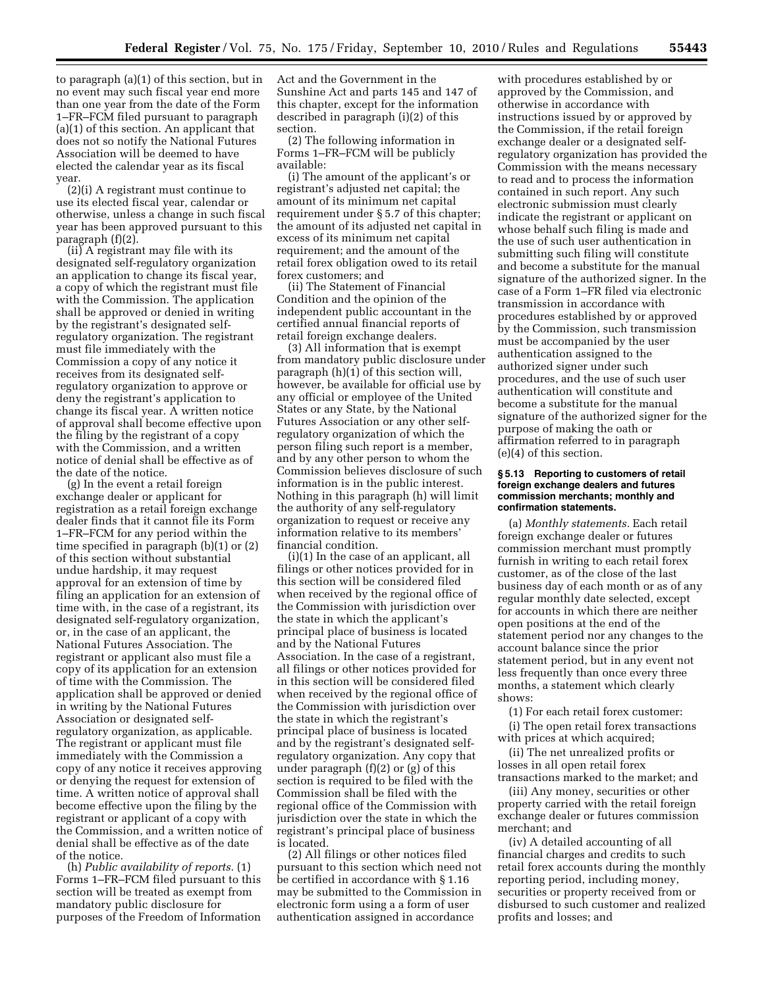to paragraph (a)(1) of this section, but in no event may such fiscal year end more than one year from the date of the Form 1–FR–FCM filed pursuant to paragraph (a)(1) of this section. An applicant that does not so notify the National Futures Association will be deemed to have elected the calendar year as its fiscal year.

(2)(i) A registrant must continue to use its elected fiscal year, calendar or otherwise, unless a change in such fiscal year has been approved pursuant to this paragraph (f)(2).

(ii) A registrant may file with its designated self-regulatory organization an application to change its fiscal year, a copy of which the registrant must file with the Commission. The application shall be approved or denied in writing by the registrant's designated selfregulatory organization. The registrant must file immediately with the Commission a copy of any notice it receives from its designated selfregulatory organization to approve or deny the registrant's application to change its fiscal year. A written notice of approval shall become effective upon the filing by the registrant of a copy with the Commission, and a written notice of denial shall be effective as of the date of the notice.

(g) In the event a retail foreign exchange dealer or applicant for registration as a retail foreign exchange dealer finds that it cannot file its Form 1–FR–FCM for any period within the time specified in paragraph (b)(1) or (2) of this section without substantial undue hardship, it may request approval for an extension of time by filing an application for an extension of time with, in the case of a registrant, its designated self-regulatory organization, or, in the case of an applicant, the National Futures Association. The registrant or applicant also must file a copy of its application for an extension of time with the Commission. The application shall be approved or denied in writing by the National Futures Association or designated selfregulatory organization, as applicable. The registrant or applicant must file immediately with the Commission a copy of any notice it receives approving or denying the request for extension of time. A written notice of approval shall become effective upon the filing by the registrant or applicant of a copy with the Commission, and a written notice of denial shall be effective as of the date of the notice.

(h) *Public availability of reports.* (1) Forms 1–FR–FCM filed pursuant to this section will be treated as exempt from mandatory public disclosure for purposes of the Freedom of Information

Act and the Government in the Sunshine Act and parts 145 and 147 of this chapter, except for the information described in paragraph (i)(2) of this section.

(2) The following information in Forms 1–FR–FCM will be publicly available:

(i) The amount of the applicant's or registrant's adjusted net capital; the amount of its minimum net capital requirement under § 5.7 of this chapter; the amount of its adjusted net capital in excess of its minimum net capital requirement; and the amount of the retail forex obligation owed to its retail forex customers; and

(ii) The Statement of Financial Condition and the opinion of the independent public accountant in the certified annual financial reports of retail foreign exchange dealers.

(3) All information that is exempt from mandatory public disclosure under paragraph (h)(1) of this section will, however, be available for official use by any official or employee of the United States or any State, by the National Futures Association or any other selfregulatory organization of which the person filing such report is a member, and by any other person to whom the Commission believes disclosure of such information is in the public interest. Nothing in this paragraph (h) will limit the authority of any self-regulatory organization to request or receive any information relative to its members' financial condition.

(i)(1) In the case of an applicant, all filings or other notices provided for in this section will be considered filed when received by the regional office of the Commission with jurisdiction over the state in which the applicant's principal place of business is located and by the National Futures Association. In the case of a registrant, all filings or other notices provided for in this section will be considered filed when received by the regional office of the Commission with jurisdiction over the state in which the registrant's principal place of business is located and by the registrant's designated selfregulatory organization. Any copy that under paragraph  $(f)(2)$  or  $(g)$  of this section is required to be filed with the Commission shall be filed with the regional office of the Commission with jurisdiction over the state in which the registrant's principal place of business is located.

(2) All filings or other notices filed pursuant to this section which need not be certified in accordance with § 1.16 may be submitted to the Commission in electronic form using a a form of user authentication assigned in accordance

with procedures established by or approved by the Commission, and otherwise in accordance with instructions issued by or approved by the Commission, if the retail foreign exchange dealer or a designated selfregulatory organization has provided the Commission with the means necessary to read and to process the information contained in such report. Any such electronic submission must clearly indicate the registrant or applicant on whose behalf such filing is made and the use of such user authentication in submitting such filing will constitute and become a substitute for the manual signature of the authorized signer. In the case of a Form 1–FR filed via electronic transmission in accordance with procedures established by or approved by the Commission, such transmission must be accompanied by the user authentication assigned to the authorized signer under such procedures, and the use of such user authentication will constitute and become a substitute for the manual signature of the authorized signer for the purpose of making the oath or affirmation referred to in paragraph (e)(4) of this section.

### **§ 5.13 Reporting to customers of retail foreign exchange dealers and futures commission merchants; monthly and confirmation statements.**

(a) *Monthly statements.* Each retail foreign exchange dealer or futures commission merchant must promptly furnish in writing to each retail forex customer, as of the close of the last business day of each month or as of any regular monthly date selected, except for accounts in which there are neither open positions at the end of the statement period nor any changes to the account balance since the prior statement period, but in any event not less frequently than once every three months, a statement which clearly shows:

(1) For each retail forex customer:

(i) The open retail forex transactions with prices at which acquired;

(ii) The net unrealized profits or losses in all open retail forex transactions marked to the market; and

(iii) Any money, securities or other property carried with the retail foreign exchange dealer or futures commission merchant; and

(iv) A detailed accounting of all financial charges and credits to such retail forex accounts during the monthly reporting period, including money, securities or property received from or disbursed to such customer and realized profits and losses; and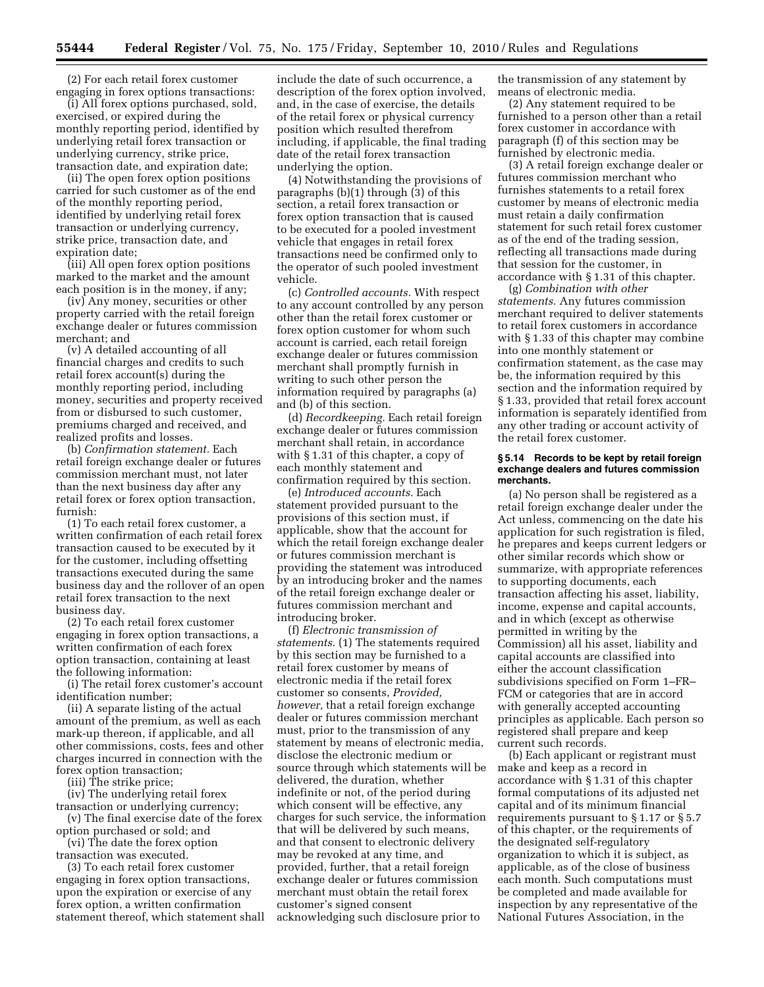(2) For each retail forex customer engaging in forex options transactions:

(i) All forex options purchased, sold, exercised, or expired during the monthly reporting period, identified by underlying retail forex transaction or underlying currency, strike price, transaction date, and expiration date;

(ii) The open forex option positions carried for such customer as of the end of the monthly reporting period, identified by underlying retail forex transaction or underlying currency, strike price, transaction date, and expiration date;

(iii) All open forex option positions marked to the market and the amount each position is in the money, if any;

(iv) Any money, securities or other property carried with the retail foreign exchange dealer or futures commission merchant; and

(v) A detailed accounting of all financial charges and credits to such retail forex account(s) during the monthly reporting period, including money, securities and property received from or disbursed to such customer, premiums charged and received, and realized profits and losses.

(b) *Confirmation statement.* Each retail foreign exchange dealer or futures commission merchant must, not later than the next business day after any retail forex or forex option transaction, furnish:

(1) To each retail forex customer, a written confirmation of each retail forex transaction caused to be executed by it for the customer, including offsetting transactions executed during the same business day and the rollover of an open retail forex transaction to the next business day.

(2) To each retail forex customer engaging in forex option transactions, a written confirmation of each forex option transaction, containing at least the following information:

(i) The retail forex customer's account identification number;

(ii) A separate listing of the actual amount of the premium, as well as each mark-up thereon, if applicable, and all other commissions, costs, fees and other charges incurred in connection with the forex option transaction;

(iii) The strike price;

(iv) The underlying retail forex transaction or underlying currency;

(v) The final exercise date of the forex option purchased or sold; and

(vi) The date the forex option transaction was executed.

(3) To each retail forex customer engaging in forex option transactions, upon the expiration or exercise of any forex option, a written confirmation statement thereof, which statement shall

include the date of such occurrence, a description of the forex option involved, and, in the case of exercise, the details of the retail forex or physical currency position which resulted therefrom including, if applicable, the final trading date of the retail forex transaction underlying the option.

(4) Notwithstanding the provisions of paragraphs (b)(1) through (3) of this section, a retail forex transaction or forex option transaction that is caused to be executed for a pooled investment vehicle that engages in retail forex transactions need be confirmed only to the operator of such pooled investment vehicle.

(c) *Controlled accounts.* With respect to any account controlled by any person other than the retail forex customer or forex option customer for whom such account is carried, each retail foreign exchange dealer or futures commission merchant shall promptly furnish in writing to such other person the information required by paragraphs (a) and (b) of this section.

(d) *Recordkeeping.* Each retail foreign exchange dealer or futures commission merchant shall retain, in accordance with § 1.31 of this chapter, a copy of each monthly statement and confirmation required by this section.

(e) *Introduced accounts.* Each statement provided pursuant to the provisions of this section must, if applicable, show that the account for which the retail foreign exchange dealer or futures commission merchant is providing the statement was introduced by an introducing broker and the names of the retail foreign exchange dealer or futures commission merchant and introducing broker.

(f) *Electronic transmission of statements.* (1) The statements required by this section may be furnished to a retail forex customer by means of electronic media if the retail forex customer so consents, *Provided, however,* that a retail foreign exchange dealer or futures commission merchant must, prior to the transmission of any statement by means of electronic media, disclose the electronic medium or source through which statements will be delivered, the duration, whether indefinite or not, of the period during which consent will be effective, any charges for such service, the information that will be delivered by such means, and that consent to electronic delivery may be revoked at any time, and provided, further, that a retail foreign exchange dealer or futures commission merchant must obtain the retail forex customer's signed consent acknowledging such disclosure prior to

the transmission of any statement by means of electronic media.

(2) Any statement required to be furnished to a person other than a retail forex customer in accordance with paragraph (f) of this section may be furnished by electronic media.

(3) A retail foreign exchange dealer or futures commission merchant who furnishes statements to a retail forex customer by means of electronic media must retain a daily confirmation statement for such retail forex customer as of the end of the trading session, reflecting all transactions made during that session for the customer, in accordance with § 1.31 of this chapter.

(g) *Combination with other statements.* Any futures commission merchant required to deliver statements to retail forex customers in accordance with § 1.33 of this chapter may combine into one monthly statement or confirmation statement, as the case may be, the information required by this section and the information required by § 1.33, provided that retail forex account information is separately identified from any other trading or account activity of the retail forex customer.

## **§ 5.14 Records to be kept by retail foreign exchange dealers and futures commission merchants.**

(a) No person shall be registered as a retail foreign exchange dealer under the Act unless, commencing on the date his application for such registration is filed, he prepares and keeps current ledgers or other similar records which show or summarize, with appropriate references to supporting documents, each transaction affecting his asset, liability, income, expense and capital accounts, and in which (except as otherwise permitted in writing by the Commission) all his asset, liability and capital accounts are classified into either the account classification subdivisions specified on Form 1–FR– FCM or categories that are in accord with generally accepted accounting principles as applicable. Each person so registered shall prepare and keep current such records.

(b) Each applicant or registrant must make and keep as a record in accordance with § 1.31 of this chapter formal computations of its adjusted net capital and of its minimum financial requirements pursuant to § 1.17 or § 5.7 of this chapter, or the requirements of the designated self-regulatory organization to which it is subject, as applicable, as of the close of business each month. Such computations must be completed and made available for inspection by any representative of the National Futures Association, in the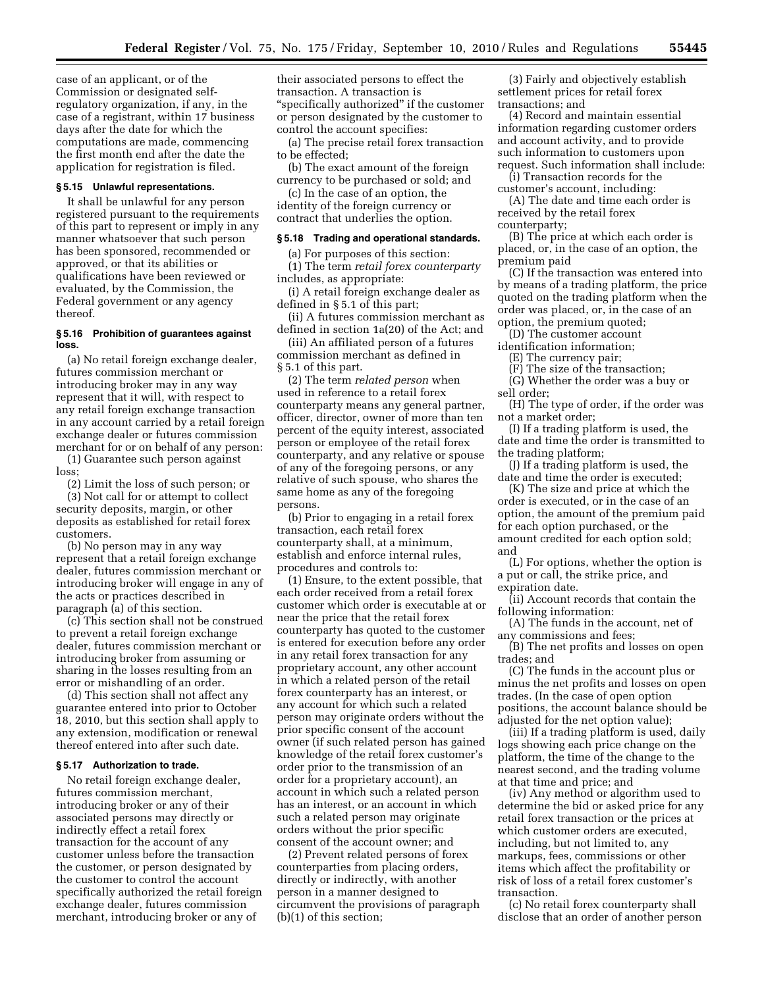case of an applicant, or of the Commission or designated selfregulatory organization, if any, in the case of a registrant, within 17 business days after the date for which the computations are made, commencing the first month end after the date the application for registration is filed.

## **§ 5.15 Unlawful representations.**

It shall be unlawful for any person registered pursuant to the requirements of this part to represent or imply in any manner whatsoever that such person has been sponsored, recommended or approved, or that its abilities or qualifications have been reviewed or evaluated, by the Commission, the Federal government or any agency thereof.

## **§ 5.16 Prohibition of guarantees against loss.**

(a) No retail foreign exchange dealer, futures commission merchant or introducing broker may in any way represent that it will, with respect to any retail foreign exchange transaction in any account carried by a retail foreign exchange dealer or futures commission merchant for or on behalf of any person:

(1) Guarantee such person against loss;

(2) Limit the loss of such person; or (3) Not call for or attempt to collect security deposits, margin, or other deposits as established for retail forex

customers. (b) No person may in any way represent that a retail foreign exchange dealer, futures commission merchant or introducing broker will engage in any of the acts or practices described in paragraph (a) of this section.

(c) This section shall not be construed to prevent a retail foreign exchange dealer, futures commission merchant or introducing broker from assuming or sharing in the losses resulting from an error or mishandling of an order.

(d) This section shall not affect any guarantee entered into prior to October 18, 2010, but this section shall apply to any extension, modification or renewal thereof entered into after such date.

## **§ 5.17 Authorization to trade.**

No retail foreign exchange dealer, futures commission merchant, introducing broker or any of their associated persons may directly or indirectly effect a retail forex transaction for the account of any customer unless before the transaction the customer, or person designated by the customer to control the account specifically authorized the retail foreign exchange dealer, futures commission merchant, introducing broker or any of

their associated persons to effect the transaction. A transaction is "specifically authorized" if the customer or person designated by the customer to control the account specifies:

(a) The precise retail forex transaction to be effected;

(b) The exact amount of the foreign currency to be purchased or sold; and

(c) In the case of an option, the identity of the foreign currency or contract that underlies the option.

#### **§ 5.18 Trading and operational standards.**

(a) For purposes of this section:

(1) The term *retail forex counterparty*  includes, as appropriate:

(i) A retail foreign exchange dealer as defined in § 5.1 of this part;

(ii) A futures commission merchant as defined in section 1a(20) of the Act; and

(iii) An affiliated person of a futures commission merchant as defined in § 5.1 of this part.

(2) The term *related person* when used in reference to a retail forex counterparty means any general partner, officer, director, owner of more than ten percent of the equity interest, associated person or employee of the retail forex counterparty, and any relative or spouse of any of the foregoing persons, or any relative of such spouse, who shares the same home as any of the foregoing persons.

(b) Prior to engaging in a retail forex transaction, each retail forex counterparty shall, at a minimum, establish and enforce internal rules, procedures and controls to:

(1) Ensure, to the extent possible, that each order received from a retail forex customer which order is executable at or near the price that the retail forex counterparty has quoted to the customer is entered for execution before any order in any retail forex transaction for any proprietary account, any other account in which a related person of the retail forex counterparty has an interest, or any account for which such a related person may originate orders without the prior specific consent of the account owner (if such related person has gained knowledge of the retail forex customer's order prior to the transmission of an order for a proprietary account), an account in which such a related person has an interest, or an account in which such a related person may originate orders without the prior specific consent of the account owner; and

(2) Prevent related persons of forex counterparties from placing orders, directly or indirectly, with another person in a manner designed to circumvent the provisions of paragraph (b)(1) of this section;

(3) Fairly and objectively establish settlement prices for retail forex transactions; and

(4) Record and maintain essential information regarding customer orders and account activity, and to provide such information to customers upon request. Such information shall include:

(i) Transaction records for the customer's account, including:

(A) The date and time each order is received by the retail forex counterparty;

(B) The price at which each order is placed, or, in the case of an option, the premium paid

(C) If the transaction was entered into by means of a trading platform, the price quoted on the trading platform when the order was placed, or, in the case of an option, the premium quoted;

(D) The customer account

identification information;

(E) The currency pair;

(F) The size of the transaction;

(G) Whether the order was a buy or

sell order;

(H) The type of order, if the order was not a market order;

(I) If a trading platform is used, the date and time the order is transmitted to the trading platform;

(J) If a trading platform is used, the date and time the order is executed;

(K) The size and price at which the order is executed, or in the case of an option, the amount of the premium paid for each option purchased, or the amount credited for each option sold; and

(L) For options, whether the option is a put or call, the strike price, and expiration date.

(ii) Account records that contain the following information:

(A) The funds in the account, net of any commissions and fees;

(B) The net profits and losses on open trades; and

(C) The funds in the account plus or minus the net profits and losses on open trades. (In the case of open option positions, the account balance should be adjusted for the net option value);

(iii) If a trading platform is used, daily logs showing each price change on the platform, the time of the change to the nearest second, and the trading volume at that time and price; and

(iv) Any method or algorithm used to determine the bid or asked price for any retail forex transaction or the prices at which customer orders are executed, including, but not limited to, any markups, fees, commissions or other items which affect the profitability or risk of loss of a retail forex customer's transaction.

(c) No retail forex counterparty shall disclose that an order of another person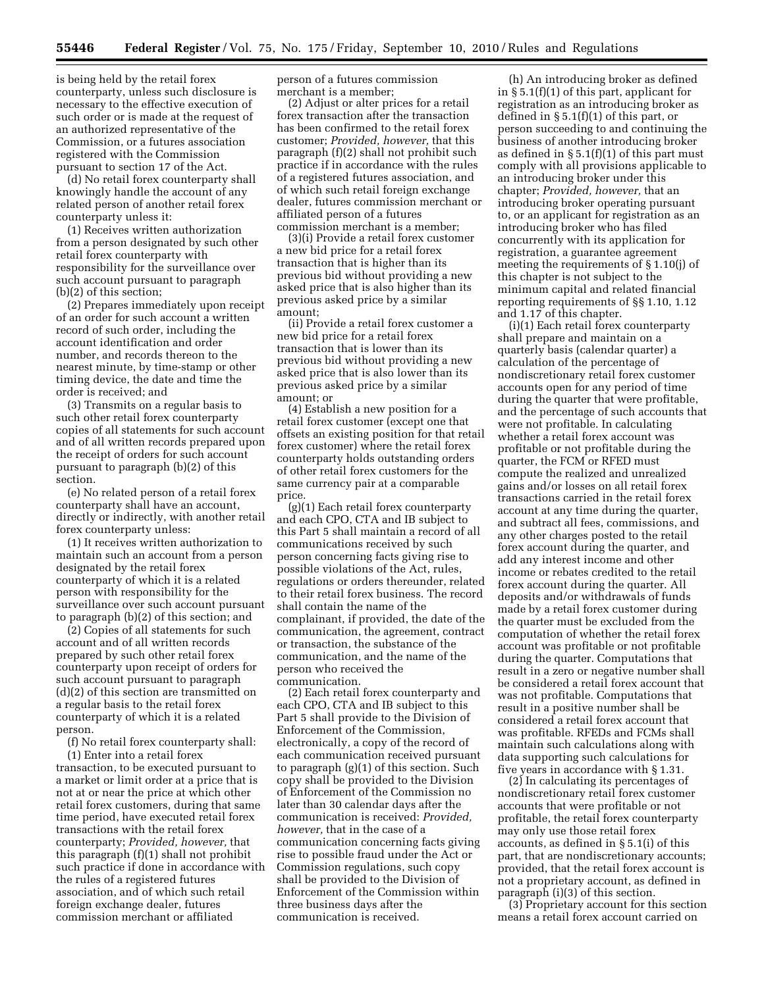is being held by the retail forex counterparty, unless such disclosure is necessary to the effective execution of such order or is made at the request of an authorized representative of the Commission, or a futures association registered with the Commission pursuant to section 17 of the Act.

(d) No retail forex counterparty shall knowingly handle the account of any related person of another retail forex counterparty unless it:

(1) Receives written authorization from a person designated by such other retail forex counterparty with responsibility for the surveillance over such account pursuant to paragraph (b)(2) of this section;

(2) Prepares immediately upon receipt of an order for such account a written record of such order, including the account identification and order number, and records thereon to the nearest minute, by time-stamp or other timing device, the date and time the order is received; and

(3) Transmits on a regular basis to such other retail forex counterparty copies of all statements for such account and of all written records prepared upon the receipt of orders for such account pursuant to paragraph (b)(2) of this section.

(e) No related person of a retail forex counterparty shall have an account, directly or indirectly, with another retail forex counterparty unless:

(1) It receives written authorization to maintain such an account from a person designated by the retail forex counterparty of which it is a related person with responsibility for the surveillance over such account pursuant to paragraph (b)(2) of this section; and

(2) Copies of all statements for such account and of all written records prepared by such other retail forex counterparty upon receipt of orders for such account pursuant to paragraph (d)(2) of this section are transmitted on a regular basis to the retail forex counterparty of which it is a related person.

(f) No retail forex counterparty shall:

(1) Enter into a retail forex transaction, to be executed pursuant to a market or limit order at a price that is not at or near the price at which other retail forex customers, during that same time period, have executed retail forex transactions with the retail forex counterparty; *Provided, however,* that this paragraph (f)(1) shall not prohibit such practice if done in accordance with the rules of a registered futures association, and of which such retail foreign exchange dealer, futures commission merchant or affiliated

person of a futures commission merchant is a member;

(2) Adjust or alter prices for a retail forex transaction after the transaction has been confirmed to the retail forex customer; *Provided, however,* that this paragraph (f)(2) shall not prohibit such practice if in accordance with the rules of a registered futures association, and of which such retail foreign exchange dealer, futures commission merchant or affiliated person of a futures commission merchant is a member;

(3)(i) Provide a retail forex customer a new bid price for a retail forex transaction that is higher than its previous bid without providing a new asked price that is also higher than its previous asked price by a similar amount;

(ii) Provide a retail forex customer a new bid price for a retail forex transaction that is lower than its previous bid without providing a new asked price that is also lower than its previous asked price by a similar amount; or

(4) Establish a new position for a retail forex customer (except one that offsets an existing position for that retail forex customer) where the retail forex counterparty holds outstanding orders of other retail forex customers for the same currency pair at a comparable price.

(g)(1) Each retail forex counterparty and each CPO, CTA and IB subject to this Part 5 shall maintain a record of all communications received by such person concerning facts giving rise to possible violations of the Act, rules, regulations or orders thereunder, related to their retail forex business. The record shall contain the name of the complainant, if provided, the date of the communication, the agreement, contract or transaction, the substance of the communication, and the name of the person who received the communication.

(2) Each retail forex counterparty and each CPO, CTA and IB subject to this Part 5 shall provide to the Division of Enforcement of the Commission, electronically, a copy of the record of each communication received pursuant to paragraph (g)(1) of this section. Such copy shall be provided to the Division of Enforcement of the Commission no later than 30 calendar days after the communication is received: *Provided, however,* that in the case of a communication concerning facts giving rise to possible fraud under the Act or Commission regulations, such copy shall be provided to the Division of Enforcement of the Commission within three business days after the communication is received.

(h) An introducing broker as defined in § 5.1(f)(1) of this part, applicant for registration as an introducing broker as defined in § 5.1(f)(1) of this part, or person succeeding to and continuing the business of another introducing broker as defined in  $\S 5.1(f)(1)$  of this part must comply with all provisions applicable to an introducing broker under this chapter; *Provided, however,* that an introducing broker operating pursuant to, or an applicant for registration as an introducing broker who has filed concurrently with its application for registration, a guarantee agreement meeting the requirements of § 1.10(j) of this chapter is not subject to the minimum capital and related financial reporting requirements of §§ 1.10, 1.12 and 1.17 of this chapter.

(i)(1) Each retail forex counterparty shall prepare and maintain on a quarterly basis (calendar quarter) a calculation of the percentage of nondiscretionary retail forex customer accounts open for any period of time during the quarter that were profitable, and the percentage of such accounts that were not profitable. In calculating whether a retail forex account was profitable or not profitable during the quarter, the FCM or RFED must compute the realized and unrealized gains and/or losses on all retail forex transactions carried in the retail forex account at any time during the quarter, and subtract all fees, commissions, and any other charges posted to the retail forex account during the quarter, and add any interest income and other income or rebates credited to the retail forex account during the quarter. All deposits and/or withdrawals of funds made by a retail forex customer during the quarter must be excluded from the computation of whether the retail forex account was profitable or not profitable during the quarter. Computations that result in a zero or negative number shall be considered a retail forex account that was not profitable. Computations that result in a positive number shall be considered a retail forex account that was profitable. RFEDs and FCMs shall maintain such calculations along with data supporting such calculations for five years in accordance with § 1.31.

(2) In calculating its percentages of nondiscretionary retail forex customer accounts that were profitable or not profitable, the retail forex counterparty may only use those retail forex accounts, as defined in § 5.1(i) of this part, that are nondiscretionary accounts; provided, that the retail forex account is not a proprietary account, as defined in paragraph (i)(3) of this section.

(3) Proprietary account for this section means a retail forex account carried on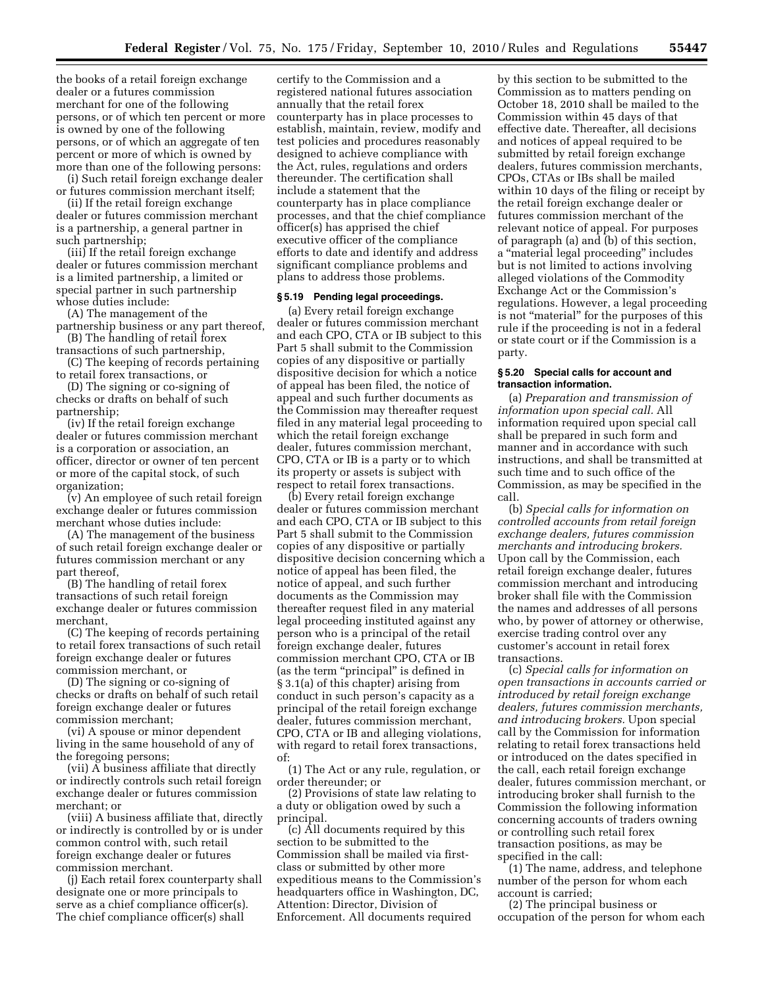the books of a retail foreign exchange dealer or a futures commission merchant for one of the following persons, or of which ten percent or more is owned by one of the following persons, or of which an aggregate of ten percent or more of which is owned by more than one of the following persons:

(i) Such retail foreign exchange dealer or futures commission merchant itself;

(ii) If the retail foreign exchange dealer or futures commission merchant is a partnership, a general partner in such partnership;

(iii) If the retail foreign exchange dealer or futures commission merchant is a limited partnership, a limited or special partner in such partnership whose duties include:

(A) The management of the

partnership business or any part thereof, (B) The handling of retail forex

transactions of such partnership, (C) The keeping of records pertaining to retail forex transactions, or

(D) The signing or co-signing of checks or drafts on behalf of such partnership;

(iv) If the retail foreign exchange dealer or futures commission merchant is a corporation or association, an officer, director or owner of ten percent or more of the capital stock, of such organization;

(v) An employee of such retail foreign exchange dealer or futures commission merchant whose duties include:

(A) The management of the business of such retail foreign exchange dealer or futures commission merchant or any part thereof,

(B) The handling of retail forex transactions of such retail foreign exchange dealer or futures commission merchant,

(C) The keeping of records pertaining to retail forex transactions of such retail foreign exchange dealer or futures commission merchant, or

(D) The signing or co-signing of checks or drafts on behalf of such retail foreign exchange dealer or futures commission merchant;

(vi) A spouse or minor dependent living in the same household of any of the foregoing persons;

(vii) A business affiliate that directly or indirectly controls such retail foreign exchange dealer or futures commission merchant; or

(viii) A business affiliate that, directly or indirectly is controlled by or is under common control with, such retail foreign exchange dealer or futures commission merchant.

(j) Each retail forex counterparty shall designate one or more principals to serve as a chief compliance officer(s). The chief compliance officer(s) shall

certify to the Commission and a registered national futures association annually that the retail forex counterparty has in place processes to establish, maintain, review, modify and test policies and procedures reasonably designed to achieve compliance with the Act, rules, regulations and orders thereunder. The certification shall include a statement that the counterparty has in place compliance processes, and that the chief compliance officer(s) has apprised the chief executive officer of the compliance efforts to date and identify and address significant compliance problems and plans to address those problems.

### **§ 5.19 Pending legal proceedings.**

(a) Every retail foreign exchange dealer or futures commission merchant and each CPO, CTA or IB subject to this Part 5 shall submit to the Commission copies of any dispositive or partially dispositive decision for which a notice of appeal has been filed, the notice of appeal and such further documents as the Commission may thereafter request filed in any material legal proceeding to which the retail foreign exchange dealer, futures commission merchant, CPO, CTA or IB is a party or to which its property or assets is subject with respect to retail forex transactions.

(b) Every retail foreign exchange dealer or futures commission merchant and each CPO, CTA or IB subject to this Part 5 shall submit to the Commission copies of any dispositive or partially dispositive decision concerning which a notice of appeal has been filed, the notice of appeal, and such further documents as the Commission may thereafter request filed in any material legal proceeding instituted against any person who is a principal of the retail foreign exchange dealer, futures commission merchant CPO, CTA or IB (as the term ''principal'' is defined in § 3.1(a) of this chapter) arising from conduct in such person's capacity as a principal of the retail foreign exchange dealer, futures commission merchant, CPO, CTA or IB and alleging violations, with regard to retail forex transactions, of:

(1) The Act or any rule, regulation, or order thereunder; or

(2) Provisions of state law relating to a duty or obligation owed by such a principal.

(c) All documents required by this section to be submitted to the Commission shall be mailed via firstclass or submitted by other more expeditious means to the Commission's headquarters office in Washington, DC, Attention: Director, Division of Enforcement. All documents required

by this section to be submitted to the Commission as to matters pending on October 18, 2010 shall be mailed to the Commission within 45 days of that effective date. Thereafter, all decisions and notices of appeal required to be submitted by retail foreign exchange dealers, futures commission merchants, CPOs, CTAs or IBs shall be mailed within 10 days of the filing or receipt by the retail foreign exchange dealer or futures commission merchant of the relevant notice of appeal. For purposes of paragraph (a) and (b) of this section, a ''material legal proceeding'' includes but is not limited to actions involving alleged violations of the Commodity Exchange Act or the Commission's regulations. However, a legal proceeding is not ''material'' for the purposes of this rule if the proceeding is not in a federal or state court or if the Commission is a party.

## **§ 5.20 Special calls for account and transaction information.**

(a) *Preparation and transmission of information upon special call.* All information required upon special call shall be prepared in such form and manner and in accordance with such instructions, and shall be transmitted at such time and to such office of the Commission, as may be specified in the call.

(b) *Special calls for information on controlled accounts from retail foreign exchange dealers, futures commission merchants and introducing brokers.*  Upon call by the Commission, each retail foreign exchange dealer, futures commission merchant and introducing broker shall file with the Commission the names and addresses of all persons who, by power of attorney or otherwise, exercise trading control over any customer's account in retail forex transactions.

(c) *Special calls for information on open transactions in accounts carried or introduced by retail foreign exchange dealers, futures commission merchants, and introducing brokers.* Upon special call by the Commission for information relating to retail forex transactions held or introduced on the dates specified in the call, each retail foreign exchange dealer, futures commission merchant, or introducing broker shall furnish to the Commission the following information concerning accounts of traders owning or controlling such retail forex transaction positions, as may be specified in the call:

(1) The name, address, and telephone number of the person for whom each account is carried;

(2) The principal business or occupation of the person for whom each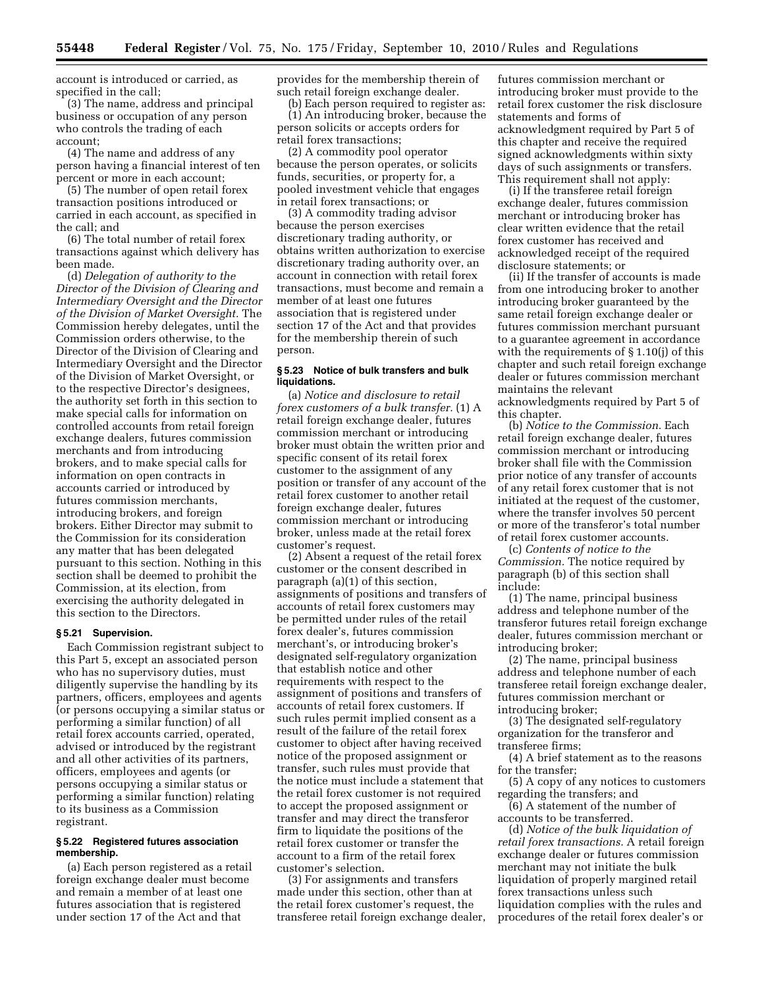account is introduced or carried, as specified in the call;

(3) The name, address and principal business or occupation of any person who controls the trading of each account;

(4) The name and address of any person having a financial interest of ten percent or more in each account;

(5) The number of open retail forex transaction positions introduced or carried in each account, as specified in the call; and

(6) The total number of retail forex transactions against which delivery has been made.

(d) *Delegation of authority to the Director of the Division of Clearing and Intermediary Oversight and the Director of the Division of Market Oversight.* The Commission hereby delegates, until the Commission orders otherwise, to the Director of the Division of Clearing and Intermediary Oversight and the Director of the Division of Market Oversight, or to the respective Director's designees, the authority set forth in this section to make special calls for information on controlled accounts from retail foreign exchange dealers, futures commission merchants and from introducing brokers, and to make special calls for information on open contracts in accounts carried or introduced by futures commission merchants, introducing brokers, and foreign brokers. Either Director may submit to the Commission for its consideration any matter that has been delegated pursuant to this section. Nothing in this section shall be deemed to prohibit the Commission, at its election, from exercising the authority delegated in this section to the Directors.

#### **§ 5.21 Supervision.**

Each Commission registrant subject to this Part 5, except an associated person who has no supervisory duties, must diligently supervise the handling by its partners, officers, employees and agents (or persons occupying a similar status or performing a similar function) of all retail forex accounts carried, operated, advised or introduced by the registrant and all other activities of its partners, officers, employees and agents (or persons occupying a similar status or performing a similar function) relating to its business as a Commission registrant.

## **§ 5.22 Registered futures association membership.**

(a) Each person registered as a retail foreign exchange dealer must become and remain a member of at least one futures association that is registered under section 17 of the Act and that

provides for the membership therein of such retail foreign exchange dealer.

(b) Each person required to register as: (1) An introducing broker, because the person solicits or accepts orders for retail forex transactions;

(2) A commodity pool operator because the person operates, or solicits funds, securities, or property for, a pooled investment vehicle that engages in retail forex transactions; or

(3) A commodity trading advisor because the person exercises discretionary trading authority, or obtains written authorization to exercise discretionary trading authority over, an account in connection with retail forex transactions, must become and remain a member of at least one futures association that is registered under section 17 of the Act and that provides for the membership therein of such person.

### **§ 5.23 Notice of bulk transfers and bulk liquidations.**

(a) *Notice and disclosure to retail forex customers of a bulk transfer.* (1) A retail foreign exchange dealer, futures commission merchant or introducing broker must obtain the written prior and specific consent of its retail forex customer to the assignment of any position or transfer of any account of the retail forex customer to another retail foreign exchange dealer, futures commission merchant or introducing broker, unless made at the retail forex customer's request.

(2) Absent a request of the retail forex customer or the consent described in paragraph (a)(1) of this section, assignments of positions and transfers of accounts of retail forex customers may be permitted under rules of the retail forex dealer's, futures commission merchant's, or introducing broker's designated self-regulatory organization that establish notice and other requirements with respect to the assignment of positions and transfers of accounts of retail forex customers. If such rules permit implied consent as a result of the failure of the retail forex customer to object after having received notice of the proposed assignment or transfer, such rules must provide that the notice must include a statement that the retail forex customer is not required to accept the proposed assignment or transfer and may direct the transferor firm to liquidate the positions of the retail forex customer or transfer the account to a firm of the retail forex customer's selection.

(3) For assignments and transfers made under this section, other than at the retail forex customer's request, the transferee retail foreign exchange dealer,

futures commission merchant or introducing broker must provide to the retail forex customer the risk disclosure statements and forms of acknowledgment required by Part 5 of this chapter and receive the required signed acknowledgments within sixty days of such assignments or transfers. This requirement shall not apply:

(i) If the transferee retail foreign exchange dealer, futures commission merchant or introducing broker has clear written evidence that the retail forex customer has received and acknowledged receipt of the required disclosure statements; or

(ii) If the transfer of accounts is made from one introducing broker to another introducing broker guaranteed by the same retail foreign exchange dealer or futures commission merchant pursuant to a guarantee agreement in accordance with the requirements of § 1.10(j) of this chapter and such retail foreign exchange dealer or futures commission merchant maintains the relevant

acknowledgments required by Part 5 of this chapter.

(b) *Notice to the Commission.* Each retail foreign exchange dealer, futures commission merchant or introducing broker shall file with the Commission prior notice of any transfer of accounts of any retail forex customer that is not initiated at the request of the customer, where the transfer involves 50 percent or more of the transferor's total number of retail forex customer accounts.

(c) *Contents of notice to the Commission.* The notice required by paragraph (b) of this section shall include:

(1) The name, principal business address and telephone number of the transferor futures retail foreign exchange dealer, futures commission merchant or introducing broker;

(2) The name, principal business address and telephone number of each transferee retail foreign exchange dealer, futures commission merchant or introducing broker;

(3) The designated self-regulatory organization for the transferor and transferee firms;

(4) A brief statement as to the reasons for the transfer;

(5) A copy of any notices to customers regarding the transfers; and

(6) A statement of the number of accounts to be transferred.

(d) *Notice of the bulk liquidation of retail forex transactions.* A retail foreign exchange dealer or futures commission merchant may not initiate the bulk liquidation of properly margined retail forex transactions unless such liquidation complies with the rules and procedures of the retail forex dealer's or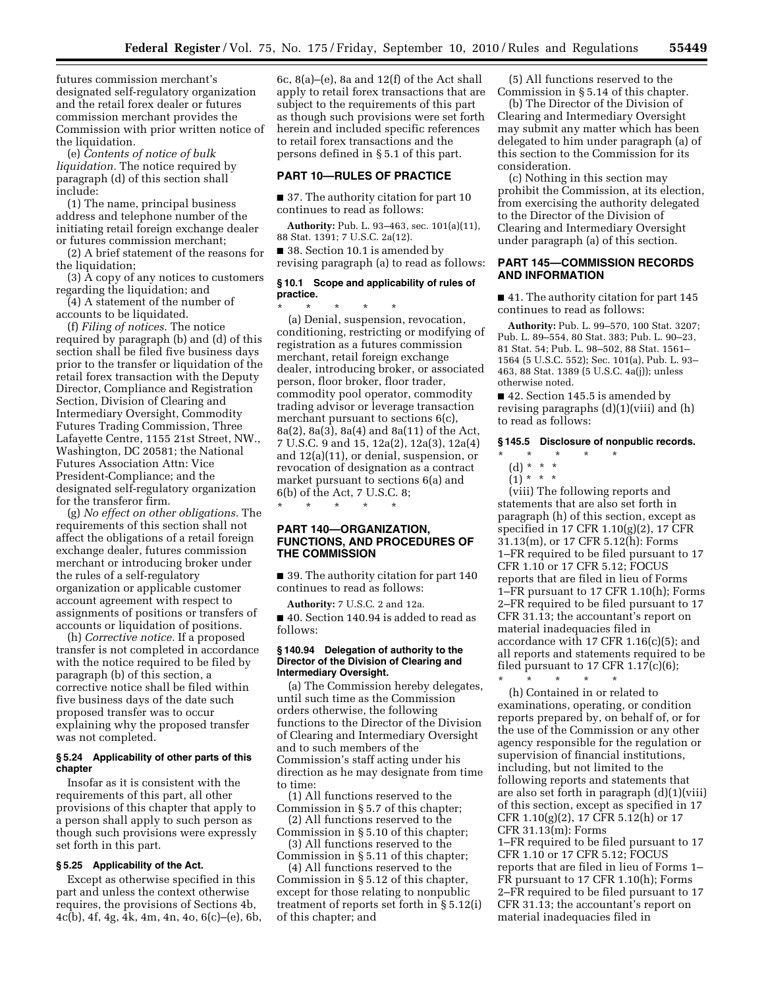futures commission merchant's designated self-regulatory organization and the retail forex dealer or futures commission merchant provides the Commission with prior written notice of the liquidation.

(e) *Contents of notice of bulk liquidation.* The notice required by paragraph (d) of this section shall include:

(1) The name, principal business address and telephone number of the initiating retail foreign exchange dealer or futures commission merchant;

(2) A brief statement of the reasons for the liquidation;

(3) A copy of any notices to customers regarding the liquidation; and

(4) A statement of the number of accounts to be liquidated.

(f) *Filing of notices.* The notice required by paragraph (b) and (d) of this section shall be filed five business days prior to the transfer or liquidation of the retail forex transaction with the Deputy Director, Compliance and Registration Section, Division of Clearing and Intermediary Oversight, Commodity Futures Trading Commission, Three Lafayette Centre, 1155 21st Street, NW., Washington, DC 20581; the National Futures Association Attn: Vice President-Compliance; and the designated self-regulatory organization for the transferor firm.

(g) *No effect on other obligations.* The requirements of this section shall not affect the obligations of a retail foreign exchange dealer, futures commission merchant or introducing broker under the rules of a self-regulatory organization or applicable customer account agreement with respect to assignments of positions or transfers of accounts or liquidation of positions.

(h) *Corrective notice.* If a proposed transfer is not completed in accordance with the notice required to be filed by paragraph (b) of this section, a corrective notice shall be filed within five business days of the date such proposed transfer was to occur explaining why the proposed transfer was not completed.

## **§ 5.24 Applicability of other parts of this chapter**

Insofar as it is consistent with the requirements of this part, all other provisions of this chapter that apply to a person shall apply to such person as though such provisions were expressly set forth in this part.

## **§ 5.25 Applicability of the Act.**

Except as otherwise specified in this part and unless the context otherwise requires, the provisions of Sections 4b, 4c(b), 4f, 4g, 4k, 4m, 4n, 4o, 6(c)–(e), 6b,

6c, 8(a)–(e), 8a and 12(f) of the Act shall apply to retail forex transactions that are subject to the requirements of this part as though such provisions were set forth herein and included specific references to retail forex transactions and the persons defined in § 5.1 of this part.

# **PART 10—RULES OF PRACTICE**

■ 37. The authority citation for part 10 continues to read as follows:

**Authority:** Pub. L. 93–463, sec. 101(a)(11), 88 Stat. 1391; 7 U.S.C. 2a(12).

■ 38. Section 10.1 is amended by revising paragraph (a) to read as follows:

## **§ 10.1 Scope and applicability of rules of practice.**

\* \* \* \* \* (a) Denial, suspension, revocation, conditioning, restricting or modifying of registration as a futures commission merchant, retail foreign exchange dealer, introducing broker, or associated person, floor broker, floor trader, commodity pool operator, commodity trading advisor or leverage transaction merchant pursuant to sections 6(c), 8a(2), 8a(3), 8a(4) and 8a(11) of the Act, 7 U.S.C. 9 and 15, 12a(2), 12a(3), 12a(4) and 12(a)(11), or denial, suspension, or revocation of designation as a contract market pursuant to sections 6(a) and 6(b) of the Act, 7 U.S.C. 8; \* \* \* \* \*

## **PART 140—ORGANIZATION, FUNCTIONS, AND PROCEDURES OF THE COMMISSION**

■ 39. The authority citation for part 140 continues to read as follows:

**Authority:** 7 U.S.C. 2 and 12a.

■ 40. Section 140.94 is added to read as follows:

### **§ 140.94 Delegation of authority to the Director of the Division of Clearing and Intermediary Oversight.**

(a) The Commission hereby delegates, until such time as the Commission orders otherwise, the following functions to the Director of the Division of Clearing and Intermediary Oversight and to such members of the Commission's staff acting under his direction as he may designate from time to time:

(1) All functions reserved to the Commission in § 5.7 of this chapter;

(2) All functions reserved to the Commission in § 5.10 of this chapter;

(3) All functions reserved to the Commission in § 5.11 of this chapter;

(4) All functions reserved to the Commission in § 5.12 of this chapter, except for those relating to nonpublic treatment of reports set forth in § 5.12(i) of this chapter; and

(5) All functions reserved to the Commission in § 5.14 of this chapter.

(b) The Director of the Division of Clearing and Intermediary Oversight may submit any matter which has been delegated to him under paragraph (a) of this section to the Commission for its consideration.

(c) Nothing in this section may prohibit the Commission, at its election, from exercising the authority delegated to the Director of the Division of Clearing and Intermediary Oversight under paragraph (a) of this section.

## **PART 145—COMMISSION RECORDS AND INFORMATION**

■ 41. The authority citation for part 145 continues to read as follows:

**Authority:** Pub. L. 99–570, 100 Stat. 3207; Pub. L. 89–554, 80 Stat. 383; Pub. L. 90–23, 81 Stat. 54; Pub. L. 98–502, 88 Stat. 1561– 1564 (5 U.S.C. 552); Sec. 101(a), Pub. L. 93– 463, 88 Stat. 1389 (5 U.S.C. 4a(j)); unless otherwise noted.

■ 42. Section 145.5 is amended by revising paragraphs (d)(1)(viii) and (h) to read as follows:

### **§ 145.5 Disclosure of nonpublic records.**

# \* \* \* \* \*

(d) \* \* \*

 $(1)^{\ast}$  \* \*

(viii) The following reports and statements that are also set forth in paragraph (h) of this section, except as specified in 17 CFR 1.10(g)(2), 17 CFR 31.13(m), or 17 CFR 5.12(h): Forms 1–FR required to be filed pursuant to 17 CFR 1.10 or 17 CFR 5.12; FOCUS reports that are filed in lieu of Forms 1–FR pursuant to 17 CFR 1.10(h); Forms 2–FR required to be filed pursuant to 17 CFR 31.13; the accountant's report on material inadequacies filed in accordance with 17 CFR 1.16 $(c)(5)$ ; and all reports and statements required to be filed pursuant to 17 CFR  $1.17(c)(6)$ ;

\* \* \* \* \* (h) Contained in or related to examinations, operating, or condition reports prepared by, on behalf of, or for the use of the Commission or any other agency responsible for the regulation or supervision of financial institutions, including, but not limited to the following reports and statements that are also set forth in paragraph (d)(1)(viii) of this section, except as specified in 17 CFR 1.10(g)(2), 17 CFR 5.12(h) or 17 CFR 31.13(m): Forms

1–FR required to be filed pursuant to 17 CFR 1.10 or 17 CFR 5.12; FOCUS reports that are filed in lieu of Forms 1– FR pursuant to 17 CFR 1.10(h); Forms 2–FR required to be filed pursuant to 17 CFR 31.13; the accountant's report on material inadequacies filed in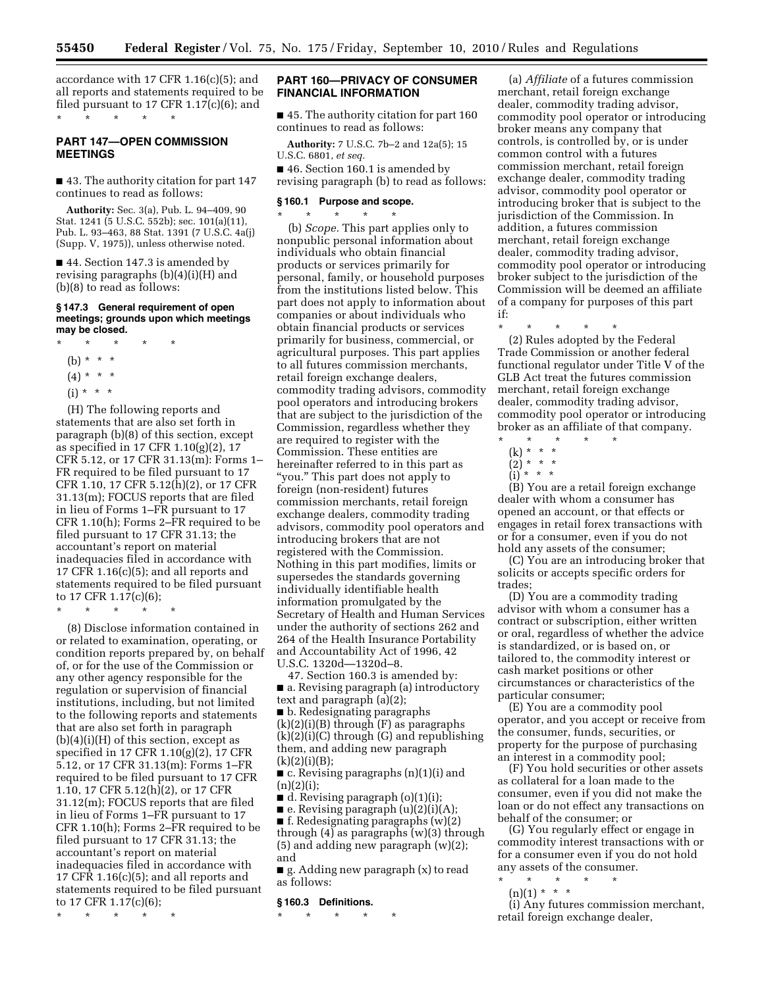accordance with 17 CFR 1.16(c)(5); and all reports and statements required to be filed pursuant to 17 CFR  $1.17(c)(6)$ ; and \* \* \* \* \*

## **PART 147—OPEN COMMISSION MEETINGS**

■ 43. The authority citation for part 147 continues to read as follows:

**Authority:** Sec. 3(a), Pub. L. 94–409, 90 Stat. 1241 (5 U.S.C. 552b); sec. 101(a)(11), Pub. L. 93–463, 88 Stat. 1391 (7 U.S.C. 4a(j) (Supp. V, 1975)), unless otherwise noted.

■ 44. Section 147.3 is amended by revising paragraphs (b)(4)(i)(H) and (b)(8) to read as follows:

### **§ 147.3 General requirement of open meetings; grounds upon which meetings may be closed.**

\* \* \* \* \* (b) \* \* \* (4) \* \* \*  $(i) * * * *$ 

(H) The following reports and statements that are also set forth in paragraph (b)(8) of this section, except as specified in 17 CFR 1.10(g)(2), 17 CFR 5.12, or 17 CFR 31.13(m): Forms 1– FR required to be filed pursuant to 17 CFR 1.10, 17 CFR 5.12(h)(2), or 17 CFR 31.13(m); FOCUS reports that are filed in lieu of Forms 1–FR pursuant to 17 CFR 1.10(h); Forms 2–FR required to be filed pursuant to 17 CFR 31.13; the accountant's report on material inadequacies filed in accordance with 17 CFR 1.16(c)(5); and all reports and statements required to be filed pursuant to 17 CFR 1.17(c)(6);

\* \* \* \* \*

(8) Disclose information contained in or related to examination, operating, or condition reports prepared by, on behalf of, or for the use of the Commission or any other agency responsible for the regulation or supervision of financial institutions, including, but not limited to the following reports and statements that are also set forth in paragraph  $(b)(4)(i)(H)$  of this section, except as specified in 17 CFR 1.10(g)(2), 17 CFR 5.12, or 17 CFR 31.13(m): Forms 1–FR required to be filed pursuant to 17 CFR 1.10, 17 CFR 5.12(h)(2), or 17 CFR 31.12(m); FOCUS reports that are filed in lieu of Forms 1–FR pursuant to 17 CFR 1.10(h); Forms 2–FR required to be filed pursuant to 17 CFR 31.13; the accountant's report on material inadequacies filed in accordance with 17 CFR 1.16 $(c)(5)$ ; and all reports and statements required to be filed pursuant to 17 CFR 1.17(c)(6);

\* \* \* \* \*

## **PART 160—PRIVACY OF CONSUMER FINANCIAL INFORMATION**

■ 45. The authority citation for part 160 continues to read as follows:

**Authority:** 7 U.S.C. 7b–2 and 12a(5); 15 U.S.C. 6801, *et seq.* 

■ 46. Section 160.1 is amended by revising paragraph (b) to read as follows:

#### **§ 160.1 Purpose and scope.**

\* \* \* \* \* (b) *Scope.* This part applies only to nonpublic personal information about individuals who obtain financial products or services primarily for personal, family, or household purposes from the institutions listed below. This part does not apply to information about companies or about individuals who obtain financial products or services primarily for business, commercial, or agricultural purposes. This part applies to all futures commission merchants, retail foreign exchange dealers, commodity trading advisors, commodity pool operators and introducing brokers that are subject to the jurisdiction of the Commission, regardless whether they are required to register with the Commission. These entities are hereinafter referred to in this part as ''you.'' This part does not apply to foreign (non-resident) futures commission merchants, retail foreign exchange dealers, commodity trading advisors, commodity pool operators and introducing brokers that are not registered with the Commission. Nothing in this part modifies, limits or supersedes the standards governing individually identifiable health information promulgated by the Secretary of Health and Human Services under the authority of sections 262 and 264 of the Health Insurance Portability and Accountability Act of 1996, 42 U.S.C. 1320d—1320d–8.

47. Section 160.3 is amended by: ■ a. Revising paragraph (a) introductory text and paragraph (a)(2);

■ b. Redesignating paragraphs  $(k)(2)(i)(B)$  through  $(F)$  as paragraphs  $(k)(2)(i)(C)$  through  $(G)$  and republishing them, and adding new paragraph  $(k)(2)(i)(B);$ 

■ c. Revising paragraphs (n)(1)(i) and  $(n)(2)(i);$ 

■ d. Revising paragraph (o)(1)(i);

■ e. Revising paragraph (u)(2)(i)(A);  $\blacksquare$  f. Redesignating paragraphs (w)(2) through (4) as paragraphs (w)(3) through  $(5)$  and adding new paragraph  $(w)(2)$ ; and

■ g. Adding new paragraph (x) to read as follows:

## **§ 160.3 Definitions.**

\* \* \* \* \*

(a) *Affiliate* of a futures commission merchant, retail foreign exchange dealer, commodity trading advisor, commodity pool operator or introducing broker means any company that controls, is controlled by, or is under common control with a futures commission merchant, retail foreign exchange dealer, commodity trading advisor, commodity pool operator or introducing broker that is subject to the jurisdiction of the Commission. In addition, a futures commission merchant, retail foreign exchange dealer, commodity trading advisor, commodity pool operator or introducing broker subject to the jurisdiction of the Commission will be deemed an affiliate of a company for purposes of this part if:

\* \* \* \* \*

(2) Rules adopted by the Federal Trade Commission or another federal functional regulator under Title V of the GLB Act treat the futures commission merchant, retail foreign exchange dealer, commodity trading advisor, commodity pool operator or introducing broker as an affiliate of that company.

- \* \* \* \* \*
	- (k) \* \* \*  $(2)^{*}$  \* \*
	- $\left(i\right)^{1}$  \* \* \*

(B) You are a retail foreign exchange dealer with whom a consumer has opened an account, or that effects or engages in retail forex transactions with or for a consumer, even if you do not hold any assets of the consumer;

(C) You are an introducing broker that solicits or accepts specific orders for trades;

(D) You are a commodity trading advisor with whom a consumer has a contract or subscription, either written or oral, regardless of whether the advice is standardized, or is based on, or tailored to, the commodity interest or cash market positions or other circumstances or characteristics of the particular consumer;

(E) You are a commodity pool operator, and you accept or receive from the consumer, funds, securities, or property for the purpose of purchasing an interest in a commodity pool;

(F) You hold securities or other assets as collateral for a loan made to the consumer, even if you did not make the loan or do not effect any transactions on behalf of the consumer; or

(G) You regularly effect or engage in commodity interest transactions with or for a consumer even if you do not hold any assets of the consumer.

- $\star$   $\star$   $\star$
- $(n)(1) * * * *$

(i) Any futures commission merchant, retail foreign exchange dealer,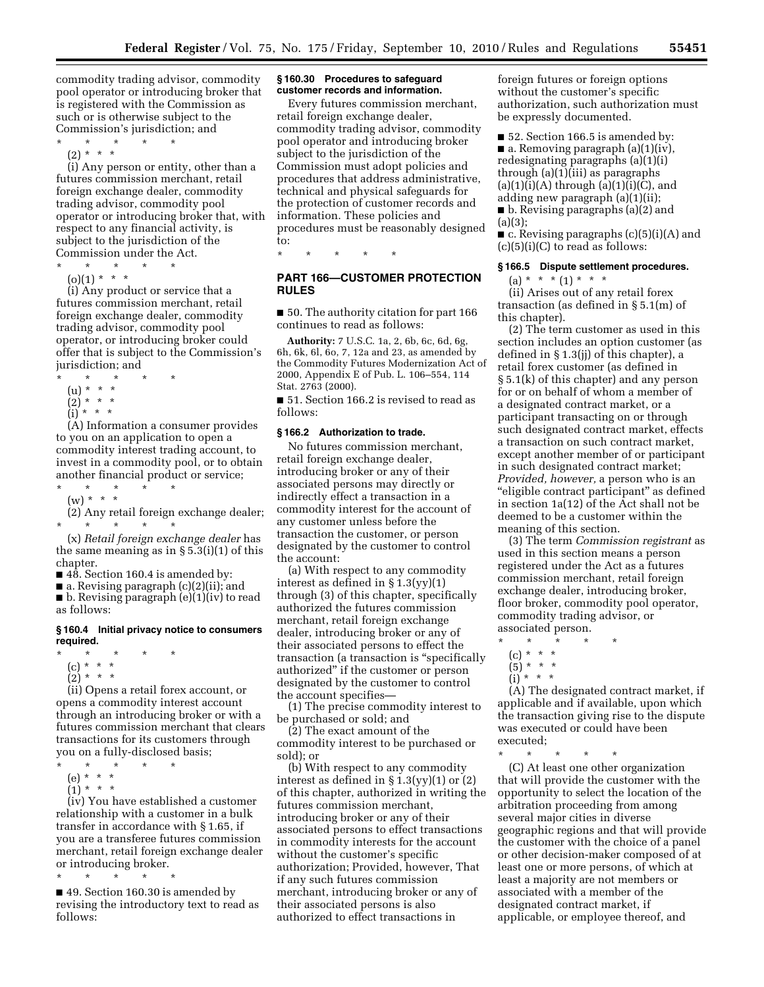commodity trading advisor, commodity pool operator or introducing broker that is registered with the Commission as such or is otherwise subject to the Commission's jurisdiction; and

\* \* \* \* \*

 $(2) * * * *$ 

(i) Any person or entity, other than a futures commission merchant, retail foreign exchange dealer, commodity trading advisor, commodity pool operator or introducing broker that, with respect to any financial activity, is subject to the jurisdiction of the Commission under the Act.

- \* \* \* \* \*
- $(0)(1) * * * *$

(i) Any product or service that a futures commission merchant, retail foreign exchange dealer, commodity trading advisor, commodity pool operator, or introducing broker could offer that is subject to the Commission's jurisdiction; and

- \* \* \* \* \* (u) \* \* \*
- (2) \* \* \*
- (i) \* \* \*

(A) Information a consumer provides to you on an application to open a commodity interest trading account, to invest in a commodity pool, or to obtain another financial product or service;

- \* \* \* \* \*  $(w) * * * *$
- (2) Any retail foreign exchange dealer; \* \* \* \* \*

(x) *Retail foreign exchange dealer* has the same meaning as in  $\S 5.3(i)(1)$  of this chapter.

- 48. Section 160.4 is amended by:
- a. Revising paragraph (c)(2)(ii); and

 $\blacksquare$  b. Revising paragraph (e)(1)(iv) to read as follows:

## **§ 160.4 Initial privacy notice to consumers required.**

- \* \* \* \* \*
	- (c) \* \* \*
	- $(2) * * * *$

(ii) Opens a retail forex account, or opens a commodity interest account through an introducing broker or with a futures commission merchant that clears transactions for its customers through you on a fully-disclosed basis;

- \* \* \* \* \*
	- (e) \* \* \*
	- $(1) * * * *$

(iv) You have established a customer relationship with a customer in a bulk transfer in accordance with § 1.65, if you are a transferee futures commission merchant, retail foreign exchange dealer or introducing broker.

\* \* \* \* \*

■ 49. Section 160.30 is amended by revising the introductory text to read as follows:

### **§ 160.30 Procedures to safeguard customer records and information.**

Every futures commission merchant, retail foreign exchange dealer, commodity trading advisor, commodity pool operator and introducing broker subject to the jurisdiction of the Commission must adopt policies and procedures that address administrative, technical and physical safeguards for the protection of customer records and information. These policies and procedures must be reasonably designed to:

\* \* \* \* \*

## **PART 166—CUSTOMER PROTECTION RULES**

■ 50. The authority citation for part 166 continues to read as follows:

**Authority:** 7 U.S.C. 1a, 2, 6b, 6c, 6d, 6g, 6h, 6k, 6l, 6o, 7, 12a and 23, as amended by the Commodity Futures Modernization Act of 2000, Appendix E of Pub. L. 106–554, 114 Stat. 2763 (2000).

■ 51. Section 166.2 is revised to read as follows:

#### **§ 166.2 Authorization to trade.**

No futures commission merchant, retail foreign exchange dealer, introducing broker or any of their associated persons may directly or indirectly effect a transaction in a commodity interest for the account of any customer unless before the transaction the customer, or person designated by the customer to control the account:

(a) With respect to any commodity interest as defined in § 1.3(yy)(1) through (3) of this chapter, specifically authorized the futures commission merchant, retail foreign exchange dealer, introducing broker or any of their associated persons to effect the transaction (a transaction is ''specifically authorized'' if the customer or person designated by the customer to control the account specifies—

(1) The precise commodity interest to be purchased or sold; and

(2) The exact amount of the commodity interest to be purchased or sold); or

(b) With respect to any commodity interest as defined in § 1.3(yy)(1) or (2) of this chapter, authorized in writing the futures commission merchant, introducing broker or any of their associated persons to effect transactions in commodity interests for the account without the customer's specific authorization; Provided, however, That if any such futures commission merchant, introducing broker or any of their associated persons is also authorized to effect transactions in

foreign futures or foreign options without the customer's specific authorization, such authorization must be expressly documented.

■ 52. Section 166.5 is amended by:  $\blacksquare$  a. Removing paragraph (a)(1)(iv), redesignating paragraphs (a)(1)(i) through (a)(1)(iii) as paragraphs  $(a)(1)(i)(A)$  through  $(a)(1)(i)(C)$ , and adding new paragraph (a)(1)(ii); ■ b. Revising paragraphs (a)(2) and  $(a)(3)$ :

■ c. Revising paragraphs (c)(5)(i)(A) and  $(c)(5)(i)(C)$  to read as follows:

### **§ 166.5 Dispute settlement procedures.**

(a) \* \* \* (1) \* \* \*

(ii) Arises out of any retail forex transaction (as defined in § 5.1(m) of this chapter).

(2) The term customer as used in this section includes an option customer (as defined in § 1.3(jj) of this chapter), a retail forex customer (as defined in § 5.1(k) of this chapter) and any person for or on behalf of whom a member of a designated contract market, or a participant transacting on or through such designated contract market, effects a transaction on such contract market, except another member of or participant in such designated contract market; *Provided, however,* a person who is an "eligible contract participant" as defined in section 1a(12) of the Act shall not be deemed to be a customer within the meaning of this section.

(3) The term *Commission registrant* as used in this section means a person registered under the Act as a futures commission merchant, retail foreign exchange dealer, introducing broker, floor broker, commodity pool operator, commodity trading advisor, or associated person.

- \* \* \* \* \*  $(c) * * * *$ (5) \* \* \*
- (i) \* \* \*

(A) The designated contract market, if applicable and if available, upon which the transaction giving rise to the dispute was executed or could have been executed;

\* \* \* \* \* (C) At least one other organization that will provide the customer with the opportunity to select the location of the arbitration proceeding from among several major cities in diverse geographic regions and that will provide the customer with the choice of a panel or other decision-maker composed of at least one or more persons, of which at least a majority are not members or associated with a member of the designated contract market, if applicable, or employee thereof, and